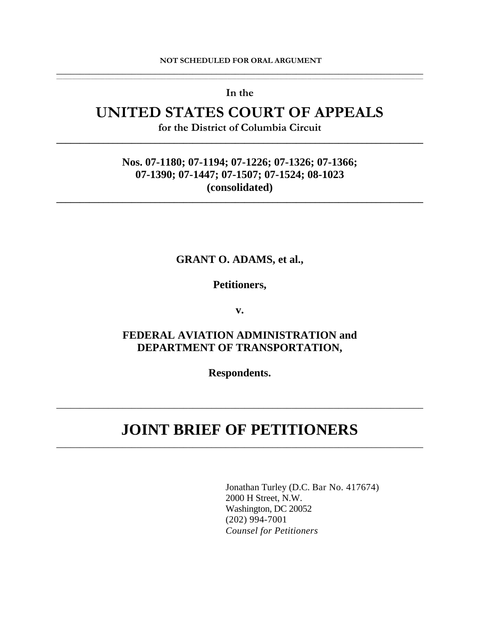#### **NOT SCHEDULED FOR ORAL ARGUMENT \_\_\_\_\_\_\_\_\_\_\_\_\_\_\_\_\_\_\_\_\_\_\_\_\_\_\_\_\_\_\_\_\_\_\_\_\_\_\_\_\_\_\_\_\_\_\_\_\_\_\_\_\_\_\_\_\_\_\_\_\_\_\_\_\_\_\_\_\_\_\_\_\_\_\_\_\_\_**

,我们也不能会在这里,我们也不能会在这里,我们也不能会在这里,我们也不能会在这里,我们也不能会在这里,我们也不能会在这里,我们也不能会不能会不能会。""我们,我们 **In the** 

# **UNITED STATES COURT OF APPEALS**

**for the District of Columbia Circuit \_\_\_\_\_\_\_\_\_\_\_\_\_\_\_\_\_\_\_\_\_\_\_\_\_\_\_\_\_\_\_\_\_\_\_\_\_\_\_\_\_\_\_\_\_\_\_\_\_\_\_\_\_\_\_\_\_\_\_\_\_\_\_\_\_\_\_\_\_\_\_\_\_\_\_\_\_\_** 

### **Nos. 07-1180; 07-1194; 07-1226; 07-1326; 07-1366; 07-1390; 07-1447; 07-1507; 07-1524; 08-1023 (consolidated)**

**\_\_\_\_\_\_\_\_\_\_\_\_\_\_\_\_\_\_\_\_\_\_\_\_\_\_\_\_\_\_\_\_\_\_\_\_\_\_\_\_\_\_\_\_\_\_\_\_\_\_\_\_\_\_\_\_\_\_\_\_\_\_\_\_\_\_\_\_\_\_\_\_\_\_\_\_\_\_** 

#### **GRANT O. ADAMS, et al.,**

**Petitioners,** 

**v.** 

## **FEDERAL AVIATION ADMINISTRATION and DEPARTMENT OF TRANSPORTATION,**

**Respondents.** 

# **JOINT BRIEF OF PETITIONERS** \_\_\_\_\_\_\_\_\_\_\_\_\_\_\_\_\_\_\_\_\_\_\_\_\_\_\_\_\_\_\_\_\_\_\_\_\_\_\_\_\_\_\_\_\_\_\_\_\_\_\_\_\_\_\_\_\_\_\_\_\_\_\_\_\_\_\_\_\_\_\_\_\_\_\_\_\_\_

\_\_\_\_\_\_\_\_\_\_\_\_\_\_\_\_\_\_\_\_\_\_\_\_\_\_\_\_\_\_\_\_\_\_\_\_\_\_\_\_\_\_\_\_\_\_\_\_\_\_\_\_\_\_\_\_\_\_\_\_\_\_\_\_\_\_\_\_\_\_\_\_\_\_\_\_\_\_

Jonathan Turley (D.C. Bar No. 417674) 2000 H Street, N.W. Washington, DC 20052 (202) 994-7001 *Counsel for Petitioners*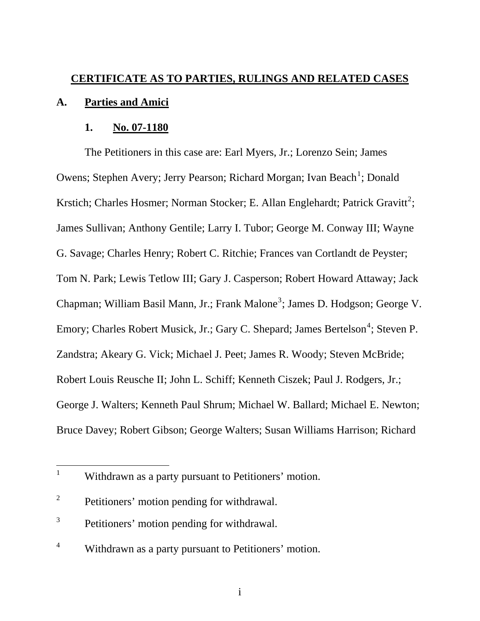# **CERTIFICATE AS TO PARTIES, RULINGS AND RELATED CASES A. Parties and Amici**

### **1. No. 07-1180**

The Petitioners in this case are: Earl Myers, Jr.; Lorenzo Sein; James Owens; Stephen Avery; Jerry Pearson; Richard Morgan; Ivan Beach<sup>[1](#page-1-0)</sup>; Donald Krstich; Charles Hosmer; Norman Stocker; E. Allan Englehardt; Patrick Gravitt<sup>[2](#page-1-1)</sup>; James Sullivan; Anthony Gentile; Larry I. Tubor; George M. Conway III; Wayne G. Savage; Charles Henry; Robert C. Ritchie; Frances van Cortlandt de Peyster; Tom N. Park; Lewis Tetlow III; Gary J. Casperson; Robert Howard Attaway; Jack Chapman; William Basil Mann, Jr.; Frank Malone<sup>[3](#page-1-2)</sup>; James D. Hodgson; George V. Emory; Charles Robert Musick, Jr.; Gary C. Shepard; James Bertelson<sup>[4](#page-1-3)</sup>; Steven P. Zandstra; Akeary G. Vick; Michael J. Peet; James R. Woody; Steven McBride; Robert Louis Reusche II; John L. Schiff; Kenneth Ciszek; Paul J. Rodgers, Jr.; George J. Walters; Kenneth Paul Shrum; Michael W. Ballard; Michael E. Newton; Bruce Davey; Robert Gibson; George Walters; Susan Williams Harrison; Richard

 $\overline{a}$ 

<span id="page-1-0"></span><sup>1</sup> Withdrawn as a party pursuant to Petitioners' motion.

<span id="page-1-1"></span><sup>2</sup> Petitioners' motion pending for withdrawal.

<span id="page-1-2"></span><sup>3</sup> Petitioners' motion pending for withdrawal.

<span id="page-1-3"></span><sup>4</sup> Withdrawn as a party pursuant to Petitioners' motion.

i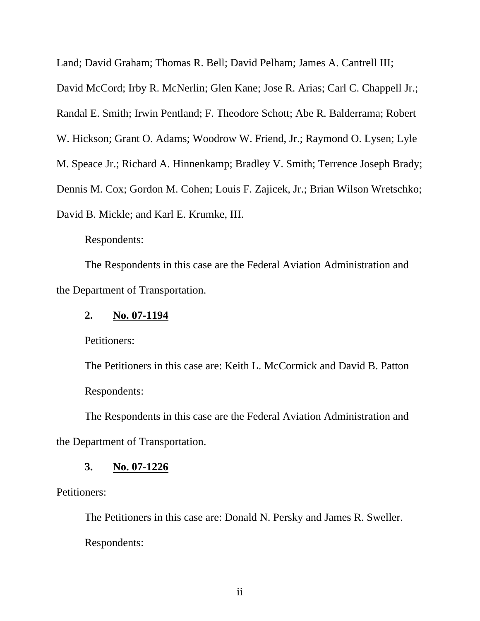Land; David Graham; Thomas R. Bell; David Pelham; James A. Cantrell III; David McCord; Irby R. McNerlin; Glen Kane; Jose R. Arias; Carl C. Chappell Jr.; Randal E. Smith; Irwin Pentland; F. Theodore Schott; Abe R. Balderrama; Robert W. Hickson; Grant O. Adams; Woodrow W. Friend, Jr.; Raymond O. Lysen; Lyle M. Speace Jr.; Richard A. Hinnenkamp; Bradley V. Smith; Terrence Joseph Brady; Dennis M. Cox; Gordon M. Cohen; Louis F. Zajicek, Jr.; Brian Wilson Wretschko; David B. Mickle; and Karl E. Krumke, III.

Respondents:

The Respondents in this case are the Federal Aviation Administration and the Department of Transportation.

### **2. No. 07-1194**

Petitioners:

The Petitioners in this case are: Keith L. McCormick and David B. Patton Respondents:

The Respondents in this case are the Federal Aviation Administration and the Department of Transportation.

### **3. No. 07-1226**

Petitioners:

The Petitioners in this case are: Donald N. Persky and James R. Sweller. Respondents: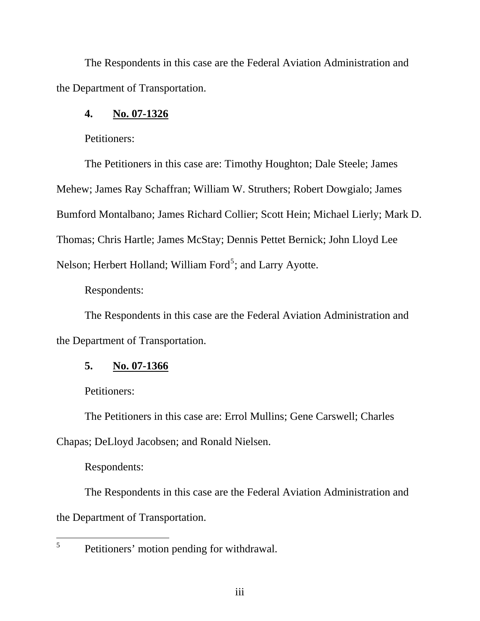The Respondents in this case are the Federal Aviation Administration and the Department of Transportation.

# **4. No. 07-1326**

Petitioners:

The Petitioners in this case are: Timothy Houghton; Dale Steele; James Mehew; James Ray Schaffran; William W. Struthers; Robert Dowgialo; James Bumford Montalbano; James Richard Collier; Scott Hein; Michael Lierly; Mark D. Thomas; Chris Hartle; James McStay; Dennis Pettet Bernick; John Lloyd Lee Nelson; Herbert Holland; William Ford<sup>[5](#page-3-0)</sup>; and Larry Ayotte.

Respondents:

The Respondents in this case are the Federal Aviation Administration and the Department of Transportation.

# **5. No. 07-1366**

Petitioners:

The Petitioners in this case are: Errol Mullins; Gene Carswell; Charles Chapas; DeLloyd Jacobsen; and Ronald Nielsen.

Respondents:

The Respondents in this case are the Federal Aviation Administration and the Department of Transportation.

<span id="page-3-0"></span> $\overline{a}$ 5 Petitioners' motion pending for withdrawal.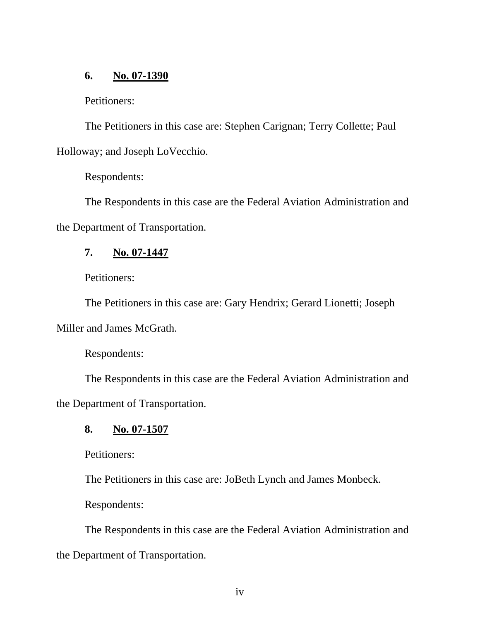## **6. No. 07-1390**

Petitioners:

The Petitioners in this case are: Stephen Carignan; Terry Collette; Paul Holloway; and Joseph LoVecchio.

Respondents:

The Respondents in this case are the Federal Aviation Administration and the Department of Transportation.

# **7. No. 07-1447**

Petitioners:

The Petitioners in this case are: Gary Hendrix; Gerard Lionetti; Joseph

Miller and James McGrath.

Respondents:

The Respondents in this case are the Federal Aviation Administration and the Department of Transportation.

# **8. No. 07-1507**

Petitioners:

The Petitioners in this case are: JoBeth Lynch and James Monbeck.

Respondents:

The Respondents in this case are the Federal Aviation Administration and the Department of Transportation.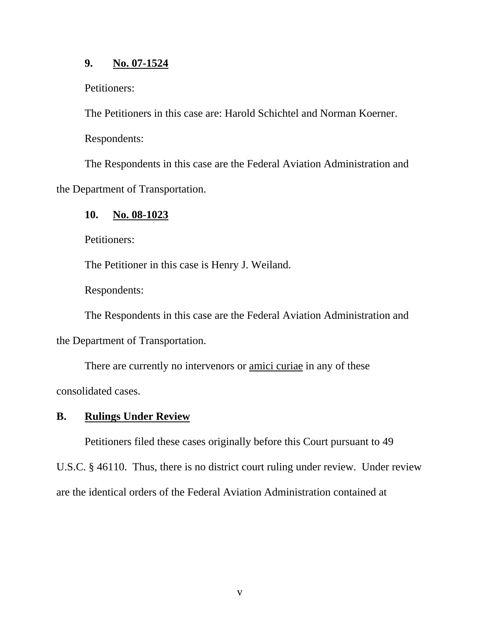# **9. No. 07-1524**

Petitioners:

The Petitioners in this case are: Harold Schichtel and Norman Koerner.

Respondents:

The Respondents in this case are the Federal Aviation Administration and the Department of Transportation.

# **10. No. 08-1023**

Petitioners:

The Petitioner in this case is Henry J. Weiland.

Respondents:

The Respondents in this case are the Federal Aviation Administration and

the Department of Transportation.

There are currently no intervenors or amici curiae in any of these consolidated cases.

# **B. Rulings Under Review**

Petitioners filed these cases originally before this Court pursuant to 49

U.S.C. § 46110. Thus, there is no district court ruling under review. Under review

are the identical orders of the Federal Aviation Administration contained at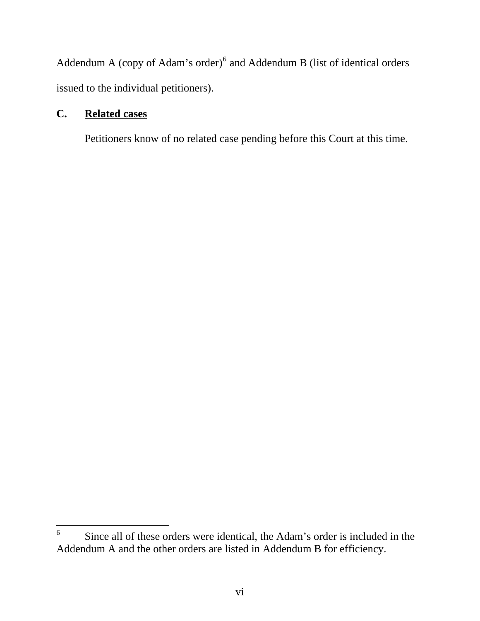Addendum A (copy of Adam's order) $<sup>6</sup>$  $<sup>6</sup>$  $<sup>6</sup>$  and Addendum B (list of identical orders</sup> issued to the individual petitioners).

# **C. Related cases**

 $\overline{a}$ 

Petitioners know of no related case pending before this Court at this time.

<span id="page-6-0"></span><sup>6</sup> Since all of these orders were identical, the Adam's order is included in the Addendum A and the other orders are listed in Addendum B for efficiency.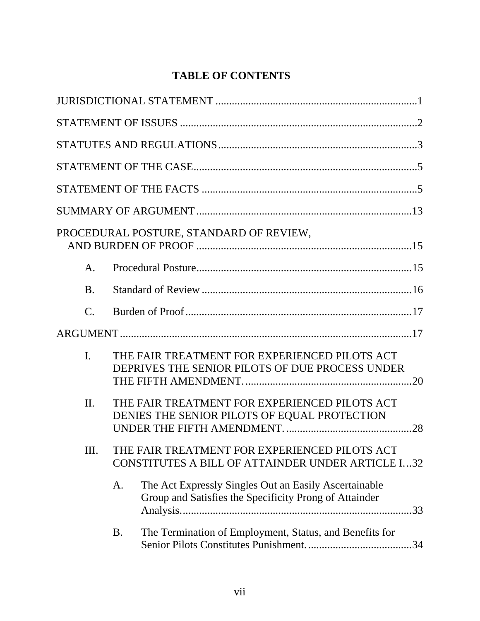# **[TABLE OF CONTENTS](#page-15-0)**

|                 |    | PROCEDURAL POSTURE, STANDARD OF REVIEW,                                                                         |     |
|-----------------|----|-----------------------------------------------------------------------------------------------------------------|-----|
| A.              |    |                                                                                                                 |     |
| B.              |    |                                                                                                                 |     |
| $\mathcal{C}$ . |    |                                                                                                                 |     |
|                 |    |                                                                                                                 |     |
| I.              |    | THE FAIR TREATMENT FOR EXPERIENCED PILOTS ACT<br>DEPRIVES THE SENIOR PILOTS OF DUE PROCESS UNDER                |     |
| $\Pi$ .         |    | THE FAIR TREATMENT FOR EXPERIENCED PILOTS ACT<br>DENIES THE SENIOR PILOTS OF EQUAL PROTECTION                   |     |
| Ш.              |    | THE FAIR TREATMENT FOR EXPERIENCED PILOTS ACT<br>CONSTITUTES A BILL OF ATTAINDER UNDER ARTICLE I32              |     |
|                 | A. | The Act Expressly Singles Out an Easily Ascertainable<br>Group and Satisfies the Specificity Prong of Attainder | .33 |
|                 | B. | The Termination of Employment, Status, and Benefits for                                                         | .34 |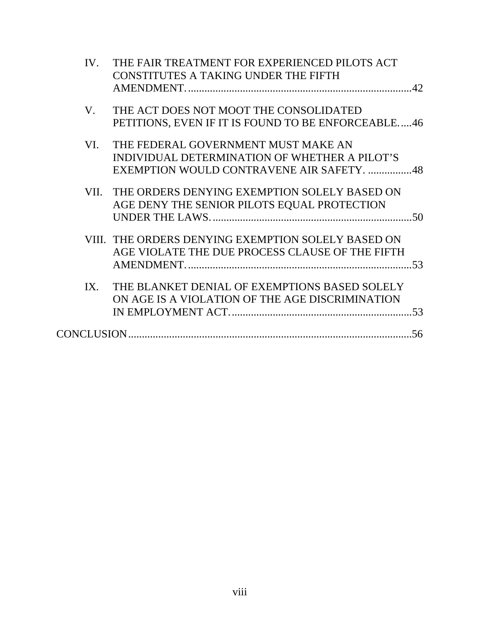| IV. | THE FAIR TREATMENT FOR EXPERIENCED PILOTS ACT      |
|-----|----------------------------------------------------|
|     | <b>CONSTITUTES A TAKING UNDER THE FIFTH</b>        |
|     |                                                    |
| V.  | THE ACT DOES NOT MOOT THE CONSOLIDATED             |
|     | PETITIONS, EVEN IF IT IS FOUND TO BE ENFORCEABLE46 |
| VI. | THE FEDERAL GOVERNMENT MUST MAKE AN                |
|     | INDIVIDUAL DETERMINATION OF WHETHER A PILOT'S      |
|     | EXEMPTION WOULD CONTRAVENE AIR SAFETY. 48          |
|     | VII. THE ORDERS DENYING EXEMPTION SOLELY BASED ON  |
|     | AGE DENY THE SENIOR PILOTS EQUAL PROTECTION        |
|     |                                                    |
|     | VIII. THE ORDERS DENYING EXEMPTION SOLELY BASED ON |
|     | AGE VIOLATE THE DUE PROCESS CLAUSE OF THE FIFTH    |
|     |                                                    |
| IX. | THE BLANKET DENIAL OF EXEMPTIONS BASED SOLELY      |
|     | ON AGE IS A VIOLATION OF THE AGE DISCRIMINATION    |
|     |                                                    |
|     |                                                    |
|     |                                                    |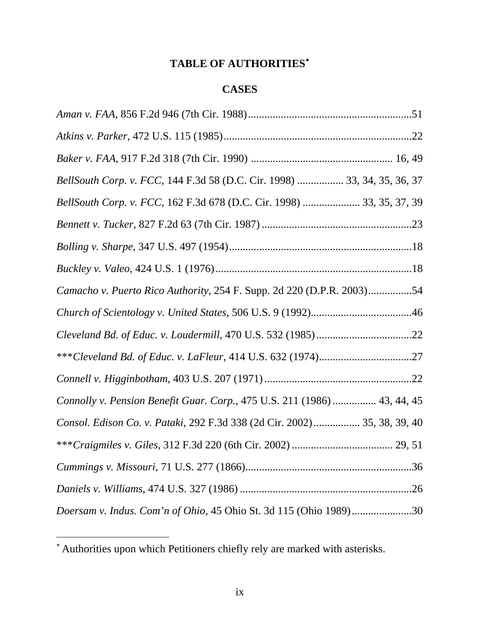# **[TABLE OF AUTHORITIES](#page-9-0)**[∗](#page-9-0)

# **CASES**

| BellSouth Corp. v. FCC, 144 F.3d 58 (D.C. Cir. 1998)  33, 34, 35, 36, 37 |
|--------------------------------------------------------------------------|
| BellSouth Corp. v. FCC, 162 F.3d 678 (D.C. Cir. 1998)  33, 35, 37, 39    |
|                                                                          |
|                                                                          |
|                                                                          |
| Camacho v. Puerto Rico Authority, 254 F. Supp. 2d 220 (D.P.R. 2003)54    |
|                                                                          |
|                                                                          |
|                                                                          |
|                                                                          |
| Connolly v. Pension Benefit Guar. Corp., 475 U.S. 211 (1986)  43, 44, 45 |
| Consol. Edison Co. v. Pataki, 292 F.3d 338 (2d Cir. 2002) 35, 38, 39, 40 |
|                                                                          |
|                                                                          |
|                                                                          |
| Doersam v. Indus. Com'n of Ohio, 45 Ohio St. 3d 115 (Ohio 1989)30        |

 $\overline{a}$ 

<span id="page-9-0"></span><sup>∗</sup> Authorities upon which Petitioners chiefly rely are marked with asterisks.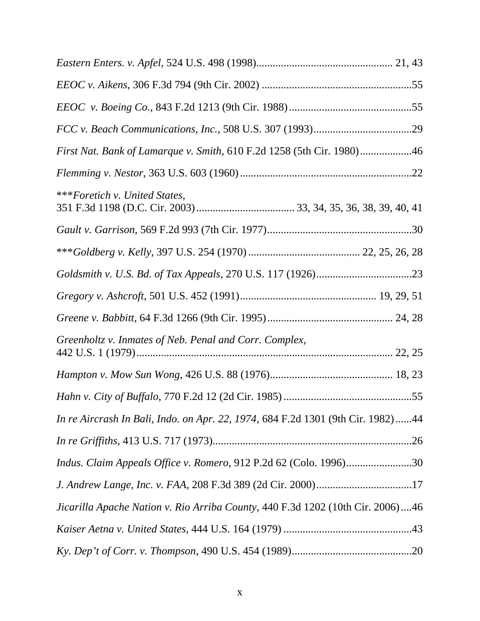| First Nat. Bank of Lamarque v. Smith, 610 F.2d 1258 (5th Cir. 1980)46           |
|---------------------------------------------------------------------------------|
|                                                                                 |
| ***Foretich v. United States,                                                   |
|                                                                                 |
|                                                                                 |
|                                                                                 |
|                                                                                 |
|                                                                                 |
| Greenholtz v. Inmates of Neb. Penal and Corr. Complex,                          |
|                                                                                 |
|                                                                                 |
| In re Aircrash In Bali, Indo. on Apr. 22, 1974, 684 F.2d 1301 (9th Cir. 1982)44 |
|                                                                                 |
| Indus. Claim Appeals Office v. Romero, 912 P.2d 62 (Colo. 1996)30               |
|                                                                                 |
| Jicarilla Apache Nation v. Rio Arriba County, 440 F.3d 1202 (10th Cir. 2006)46  |
|                                                                                 |
|                                                                                 |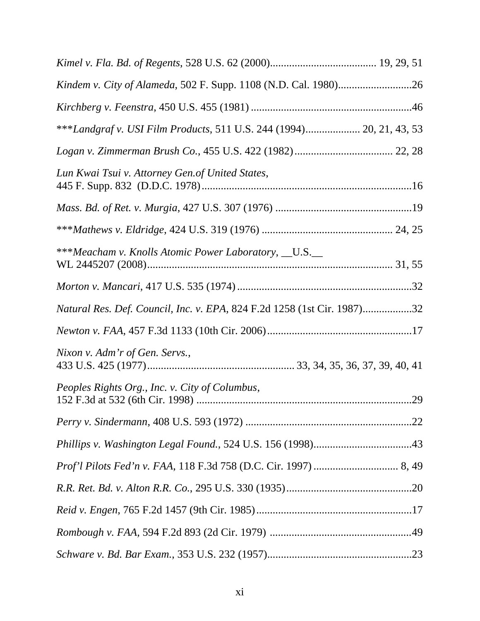| ***Landgraf v. USI Film Products, 511 U.S. 244 (1994) 20, 21, 43, 53    |  |
|-------------------------------------------------------------------------|--|
|                                                                         |  |
| Lun Kwai Tsui v. Attorney Gen. of United States,                        |  |
|                                                                         |  |
|                                                                         |  |
| ***Meacham v. Knolls Atomic Power Laboratory, __U.S.__                  |  |
|                                                                         |  |
| Natural Res. Def. Council, Inc. v. EPA, 824 F.2d 1258 (1st Cir. 1987)32 |  |
|                                                                         |  |
| Nixon v. Adm'r of Gen. Servs.,                                          |  |
| Peoples Rights Org., Inc. v. City of Columbus,                          |  |
|                                                                         |  |
|                                                                         |  |
|                                                                         |  |
|                                                                         |  |
|                                                                         |  |
|                                                                         |  |
|                                                                         |  |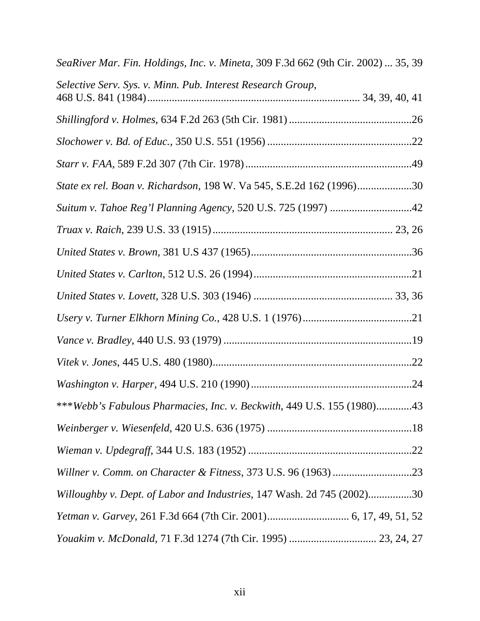| SeaRiver Mar. Fin. Holdings, Inc. v. Mineta, 309 F.3d 662 (9th Cir. 2002)  35, 39 |
|-----------------------------------------------------------------------------------|
| Selective Serv. Sys. v. Minn. Pub. Interest Research Group,                       |
|                                                                                   |
|                                                                                   |
|                                                                                   |
| State ex rel. Boan v. Richardson, 198 W. Va 545, S.E.2d 162 (1996)30              |
| Suitum v. Tahoe Reg'l Planning Agency, 520 U.S. 725 (1997) 42                     |
|                                                                                   |
|                                                                                   |
|                                                                                   |
|                                                                                   |
|                                                                                   |
|                                                                                   |
|                                                                                   |
|                                                                                   |
| ***Webb's Fabulous Pharmacies, Inc. v. Beckwith, 449 U.S. 155 (1980)43            |
|                                                                                   |
|                                                                                   |
|                                                                                   |
| Willoughby v. Dept. of Labor and Industries, 147 Wash. 2d 745 (2002)30            |
|                                                                                   |
|                                                                                   |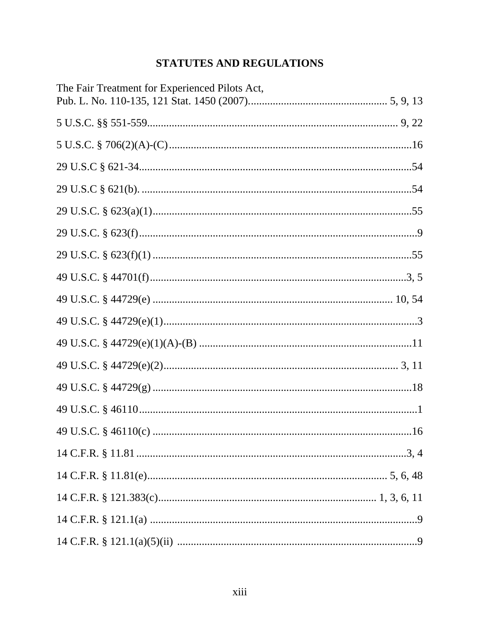# STATUTES AND REGULATIONS

| The Fair Treatment for Experienced Pilots Act, |
|------------------------------------------------|
|                                                |
|                                                |
|                                                |
|                                                |
|                                                |
|                                                |
|                                                |
|                                                |
|                                                |
|                                                |
|                                                |
|                                                |
|                                                |
|                                                |
|                                                |
|                                                |
|                                                |
|                                                |
|                                                |
|                                                |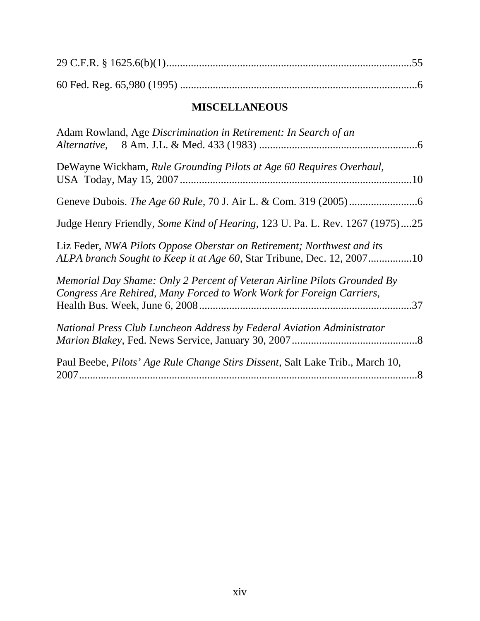# **MISCELLANEOUS**

| Adam Rowland, Age Discrimination in Retirement: In Search of an                                                                                  |  |
|--------------------------------------------------------------------------------------------------------------------------------------------------|--|
| DeWayne Wickham, Rule Grounding Pilots at Age 60 Requires Overhaul,                                                                              |  |
|                                                                                                                                                  |  |
| Judge Henry Friendly, Some Kind of Hearing, 123 U. Pa. L. Rev. 1267 (1975)25                                                                     |  |
| Liz Feder, NWA Pilots Oppose Oberstar on Retirement; Northwest and its<br>ALPA branch Sought to Keep it at Age 60, Star Tribune, Dec. 12, 200710 |  |
| Memorial Day Shame: Only 2 Percent of Veteran Airline Pilots Grounded By<br>Congress Are Rehired, Many Forced to Work Work for Foreign Carriers, |  |
| National Press Club Luncheon Address by Federal Aviation Administrator                                                                           |  |
| Paul Beebe, Pilots' Age Rule Change Stirs Dissent, Salt Lake Trib., March 10,                                                                    |  |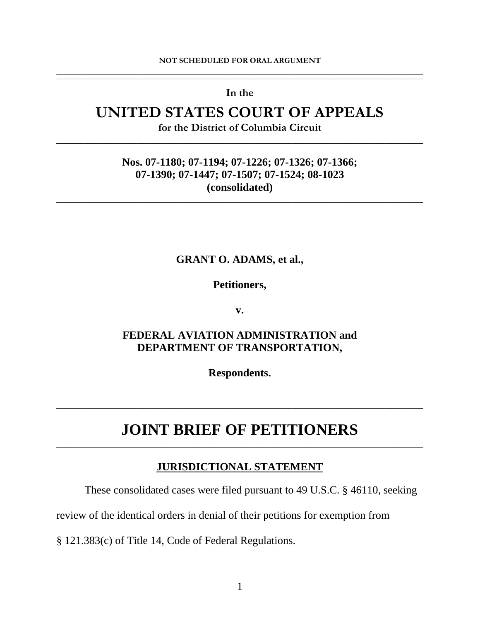#### <span id="page-15-0"></span>**NOT SCHEDULED FOR ORAL ARGUMENT \_\_\_\_\_\_\_\_\_\_\_\_\_\_\_\_\_\_\_\_\_\_\_\_\_\_\_\_\_\_\_\_\_\_\_\_\_\_\_\_\_\_\_\_\_\_\_\_\_\_\_\_\_\_\_\_\_\_\_\_\_\_\_\_\_\_\_\_\_\_\_\_\_\_\_\_\_\_**

,我们也不能会在这里,我们也不能会在这里,我们也不能会在这里,我们也不能会在这里,我们也不能会在这里,我们也不能会在这里,我们也不能会不能会不能会。""我们,我们 **In the** 

# **UNITED STATES COURT OF APPEALS**

**for the District of Columbia Circuit \_\_\_\_\_\_\_\_\_\_\_\_\_\_\_\_\_\_\_\_\_\_\_\_\_\_\_\_\_\_\_\_\_\_\_\_\_\_\_\_\_\_\_\_\_\_\_\_\_\_\_\_\_\_\_\_\_\_\_\_\_\_\_\_\_\_\_\_\_\_\_\_\_\_\_\_\_\_** 

# **Nos. 07-1180; 07-1194; 07-1226; 07-1326; 07-1366; 07-1390; 07-1447; 07-1507; 07-1524; 08-1023 (consolidated)**

**\_\_\_\_\_\_\_\_\_\_\_\_\_\_\_\_\_\_\_\_\_\_\_\_\_\_\_\_\_\_\_\_\_\_\_\_\_\_\_\_\_\_\_\_\_\_\_\_\_\_\_\_\_\_\_\_\_\_\_\_\_\_\_\_\_\_\_\_\_\_\_\_\_\_\_\_\_\_** 

### **GRANT O. ADAMS, et al.,**

**Petitioners,** 

**v.** 

# **FEDERAL AVIATION ADMINISTRATION and DEPARTMENT OF TRANSPORTATION,**

**Respondents.** 

# **JOINT BRIEF OF PETITIONERS** \_\_\_\_\_\_\_\_\_\_\_\_\_\_\_\_\_\_\_\_\_\_\_\_\_\_\_\_\_\_\_\_\_\_\_\_\_\_\_\_\_\_\_\_\_\_\_\_\_\_\_\_\_\_\_\_\_\_\_\_\_\_\_\_\_\_\_\_\_\_\_\_\_\_\_\_\_\_

\_\_\_\_\_\_\_\_\_\_\_\_\_\_\_\_\_\_\_\_\_\_\_\_\_\_\_\_\_\_\_\_\_\_\_\_\_\_\_\_\_\_\_\_\_\_\_\_\_\_\_\_\_\_\_\_\_\_\_\_\_\_\_\_\_\_\_\_\_\_\_\_\_\_\_\_\_\_

# **JURISDICTIONAL STATEMENT**

These consolidated cases were filed pursuant to 49 U.S.C. § 46110, seeking

review of the identical orders in denial of their petitions for exemption from

§ 121.383(c) of Title 14, Code of Federal Regulations.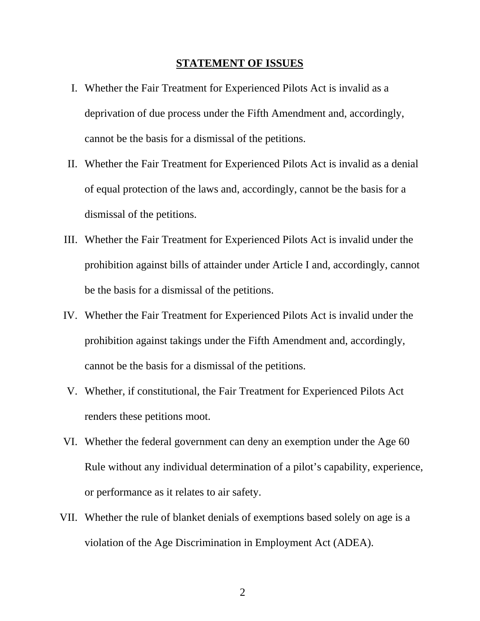#### **STATEMENT OF ISSUES**

- <span id="page-16-0"></span>I. Whether the Fair Treatment for Experienced Pilots Act is invalid as a deprivation of due process under the Fifth Amendment and, accordingly, cannot be the basis for a dismissal of the petitions.
- II. Whether the Fair Treatment for Experienced Pilots Act is invalid as a denial of equal protection of the laws and, accordingly, cannot be the basis for a dismissal of the petitions.
- III. Whether the Fair Treatment for Experienced Pilots Act is invalid under the prohibition against bills of attainder under Article I and, accordingly, cannot be the basis for a dismissal of the petitions.
- IV. Whether the Fair Treatment for Experienced Pilots Act is invalid under the prohibition against takings under the Fifth Amendment and, accordingly, cannot be the basis for a dismissal of the petitions.
- V. Whether, if constitutional, the Fair Treatment for Experienced Pilots Act renders these petitions moot.
- VI. Whether the federal government can deny an exemption under the Age 60 Rule without any individual determination of a pilot's capability, experience, or performance as it relates to air safety.
- VII. Whether the rule of blanket denials of exemptions based solely on age is a violation of the Age Discrimination in Employment Act (ADEA).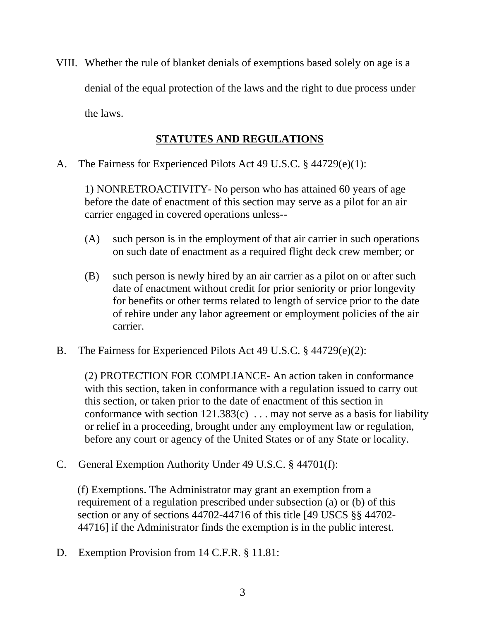<span id="page-17-0"></span>VIII. Whether the rule of blanket denials of exemptions based solely on age is a denial of the equal protection of the laws and the right to due process under the laws.

# **STATUTES AND REGULATIONS**

A. The Fairness for Experienced Pilots Act 49 U.S.C. § 44729(e)(1):

1) NONRETROACTIVITY- No person who has attained 60 years of age before the date of enactment of this section may serve as a pilot for an air carrier engaged in covered operations unless--

- (A) such person is in the employment of that air carrier in such operations on such date of enactment as a required flight deck crew member; or
- (B) such person is newly hired by an air carrier as a pilot on or after such date of enactment without credit for prior seniority or prior longevity for benefits or other terms related to length of service prior to the date of rehire under any labor agreement or employment policies of the air carrier.
- B. The Fairness for Experienced Pilots Act 49 U.S.C. § 44729(e)(2):

(2) PROTECTION FOR COMPLIANCE- An action taken in conformance with this section, taken in conformance with a regulation issued to carry out this section, or taken prior to the date of enactment of this section in conformance with section  $121.383(c)$ ... may not serve as a basis for liability or relief in a proceeding, brought under any employment law or regulation, before any court or agency of the United States or of any State or locality.

C. General Exemption Authority Under 49 U.S.C. § 44701(f):

(f) Exemptions. The Administrator may grant an exemption from a requirement of a regulation prescribed under subsection (a) or (b) of this section or any of sections 44702-44716 of this [title \[49 USCS §§ 44702](http://www.lexis.com/research/buttonTFLink?_m=ba49df67c0f03b6eb7c5343435f9fc38&_xfercite=%253ccite%20cc%253d%2522USA%2522%253e%253c%2521%255bCDATA%255b49%20USCS%20%25a7%2044701%255d%255d%253e%253c%252fcite%253e&_butType=4&_butStat=0&_butNum=8&_butInline=1&_butinfo=49%20USC%2044702&_fmtstr=FULL&docnum=7&_startdoc=1&wchp=dGLbVtz-zSkAz&_md5=98d7ad9552dadcb96b7488946cb4e219)- [44716](http://www.lexis.com/research/buttonTFLink?_m=ba49df67c0f03b6eb7c5343435f9fc38&_xfercite=%253ccite%20cc%253d%2522USA%2522%253e%253c%2521%255bCDATA%255b49%20USCS%20%25a7%2044701%255d%255d%253e%253c%252fcite%253e&_butType=4&_butStat=0&_butNum=9&_butInline=1&_butinfo=49%20USC%2044716&_fmtstr=FULL&docnum=7&_startdoc=1&wchp=dGLbVtz-zSkAz&_md5=5af6be7d44976b5275d6487e319f39ae)] if the Administrator finds the exemption is in the public interest.

D. Exemption Provision from 14 C.F.R. § 11.81: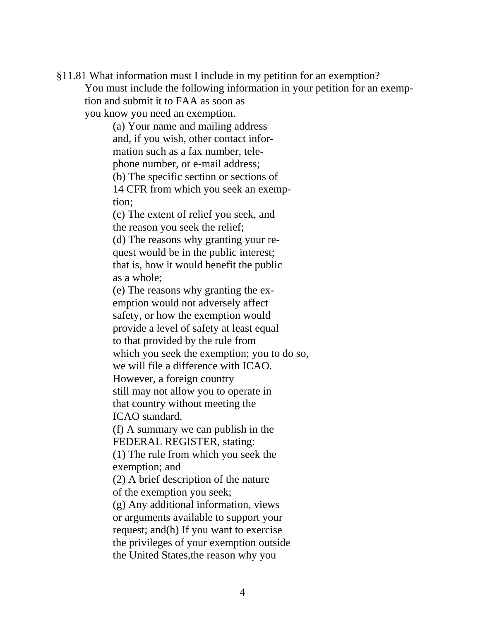§11.81 What information must I include in my petition for an exemption? You must include the following information in your petition for an exemption and submit it to FAA as soon as

you know you need an exemption.

(a) Your name and mailing address and, if you wish, other contact information such as a fax number, telephone number, or e-mail address; (b) The specific section or sections of 14 CFR from which you seek an exemp-

tion;

(c) The extent of relief you seek, and the reason you seek the relief;

(d) The reasons why granting your request would be in the public interest; that is, how it would benefit the public as a whole;

(e) The reasons why granting the exemption would not adversely affect safety, or how the exemption would provide a level of safety at least equal to that provided by the rule from which you seek the exemption; you to do so, we will file a difference with ICAO. However, a foreign country

still may not allow you to operate in that country without meeting the

ICAO standard.

(f) A summary we can publish in the FEDERAL REGISTER, stating:

(1) The rule from which you seek the exemption; and

(2) A brief description of the nature of the exemption you seek;

(g) Any additional information, views or arguments available to support your request; and(h) If you want to exercise the privileges of your exemption outside the United States,the reason why you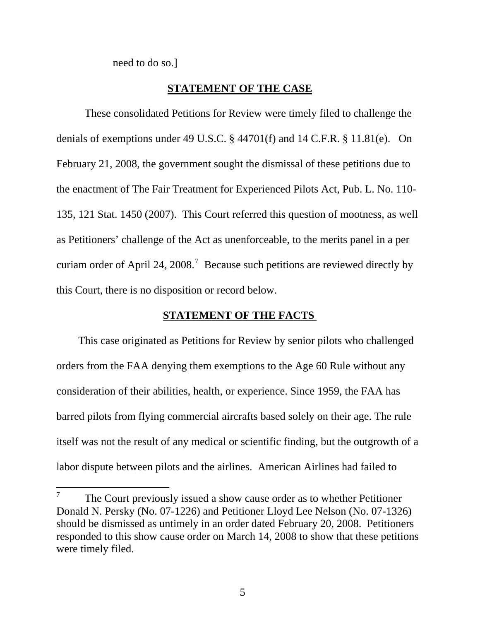need to do so.]

 $\overline{a}$ 

### **STATEMENT OF THE CASE**

<span id="page-19-0"></span>These consolidated Petitions for Review were timely filed to challenge the denials of exemptions under 49 U.S.C. § 44701(f) and 14 C.F.R. § 11.81(e). On February 21, 2008, the government sought the dismissal of these petitions due to the enactment of The Fair Treatment for Experienced Pilots Act, Pub. L. No. 110- 135, 121 Stat. 1450 (2007). This Court referred this question of mootness, as well as Petitioners' challenge of the Act as unenforceable, to the merits panel in a per curiam order of April 24, 2008.<sup>[7](#page-19-1)</sup> Because such petitions are reviewed directly by this Court, there is no disposition or record below.

### **STATEMENT OF THE FACTS**

 This case originated as Petitions for Review by senior pilots who challenged orders from the FAA denying them exemptions to the Age 60 Rule without any consideration of their abilities, health, or experience. Since 1959, the FAA has barred pilots from flying commercial aircrafts based solely on their age. The rule itself was not the result of any medical or scientific finding, but the outgrowth of a labor dispute between pilots and the airlines. American Airlines had failed to

<span id="page-19-1"></span><sup>7</sup> The Court previously issued a show cause order as to whether Petitioner Donald N. Persky (No. 07-1226) and Petitioner Lloyd Lee Nelson (No. 07-1326) should be dismissed as untimely in an order dated February 20, 2008. Petitioners responded to this show cause order on March 14, 2008 to show that these petitions were timely filed.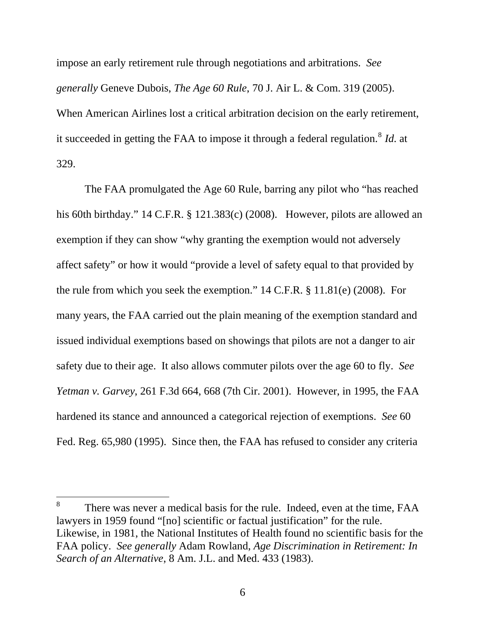impose an early retirement rule through negotiations and arbitrations. *See generally* Geneve Dubois, *The Age 60 Rule*, 70 J. Air L. & Com. 319 (2005). When American Airlines lost a critical arbitration decision on the early retirement, it succeeded in getting the FAA to impose it through a federal regulation.<sup>[8](#page-20-0)</sup> *Id.* at 329.

The FAA promulgated the Age 60 Rule, barring any pilot who "has reached his 60th birthday." 14 C.F.R. § 121.383(c) (2008). However, pilots are allowed an exemption if they can show "why granting the exemption would not adversely affect safety" or how it would "provide a level of safety equal to that provided by the rule from which you seek the exemption." 14 C.F.R. § 11.81(e) (2008). For many years, the FAA carried out the plain meaning of the exemption standard and issued individual exemptions based on showings that pilots are not a danger to air safety due to their age. It also allows commuter pilots over the age 60 to fly. *See Yetman v. Garvey*, 261 F.3d 664, 668 (7th Cir. 2001). However, in 1995, the FAA hardened its stance and announced a categorical rejection of exemptions. *See* [60](http://www.lexis.com/research/buttonTFLink?_m=0c4c69b8c2d8e407ebea58ed81239f13&_xfercite=%253ccite%20cc%253d%2522USA%2522%253e%253c%2521%255bCDATA%255b261%20F.3d%20664%255d%255d%253e%253c%252fcite%253e&_butType=3&_butStat=2&_butNum=42&_butInline=1&_butinfo=%253ccite%20cc%253d%2522USA%2522%253e%253c%2521%255bCDATA%255b60%20FR%2065980%255d%255d%253e%253c%252fcite%253e&_fmtstr=FULL&docnum=3&_startdoc=1&wchp=dGLbVtz-zSkAb&_md5=2d64e85a66aadd874581e848c43198cd)  [Fed. Reg. 65,980 \(1995\).](http://www.lexis.com/research/buttonTFLink?_m=0c4c69b8c2d8e407ebea58ed81239f13&_xfercite=%253ccite%20cc%253d%2522USA%2522%253e%253c%2521%255bCDATA%255b261%20F.3d%20664%255d%255d%253e%253c%252fcite%253e&_butType=3&_butStat=2&_butNum=42&_butInline=1&_butinfo=%253ccite%20cc%253d%2522USA%2522%253e%253c%2521%255bCDATA%255b60%20FR%2065980%255d%255d%253e%253c%252fcite%253e&_fmtstr=FULL&docnum=3&_startdoc=1&wchp=dGLbVtz-zSkAb&_md5=2d64e85a66aadd874581e848c43198cd) Since then, the FAA has refused to consider any criteria

 $\overline{a}$ 

<span id="page-20-0"></span><sup>8</sup> There was never a medical basis for the rule. Indeed, even at the time, FAA lawyers in 1959 found "[no] scientific or factual justification" for the rule. Likewise, in 1981, the National Institutes of Health found no scientific basis for the FAA policy. *See generally* Adam Rowland, *Age Discrimination in Retirement: In Search of an Alternative*, 8 Am. J.L. and Med. 433 (1983).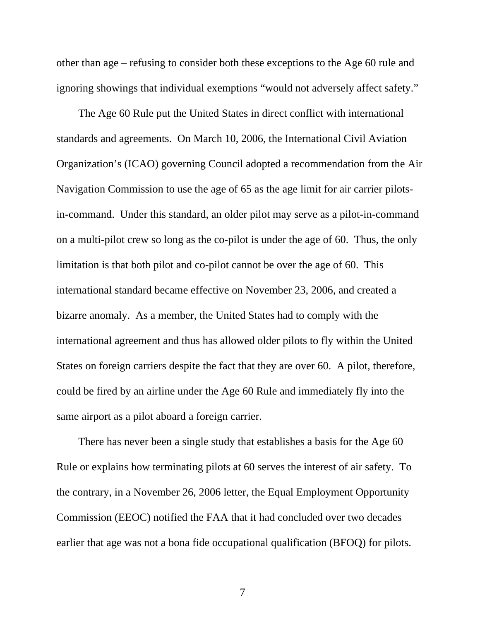other than age – refusing to consider both these exceptions to the Age 60 rule and ignoring showings that individual exemptions "would not adversely affect safety."

 The Age 60 Rule put the United States in direct conflict with international standards and agreements. On March 10, 2006, the International Civil Aviation Organization's (ICAO) governing Council adopted a recommendation from the Air Navigation Commission to use the age of 65 as the age limit for air carrier pilotsin-command. Under this standard, an older pilot may serve as a pilot-in-command on a multi-pilot crew so long as the co-pilot is under the age of 60. Thus, the only limitation is that both pilot and co-pilot cannot be over the age of 60. This international standard became effective on November 23, 2006, and created a bizarre anomaly. As a member, the United States had to comply with the international agreement and thus has allowed older pilots to fly within the United States on foreign carriers despite the fact that they are over 60. A pilot, therefore, could be fired by an airline under the Age 60 Rule and immediately fly into the same airport as a pilot aboard a foreign carrier.

 There has never been a single study that establishes a basis for the Age 60 Rule or explains how terminating pilots at 60 serves the interest of air safety. To the contrary, in a November 26, 2006 letter, the Equal Employment Opportunity Commission (EEOC) notified the FAA that it had concluded over two decades earlier that age was not a bona fide occupational qualification (BFOQ) for pilots.

7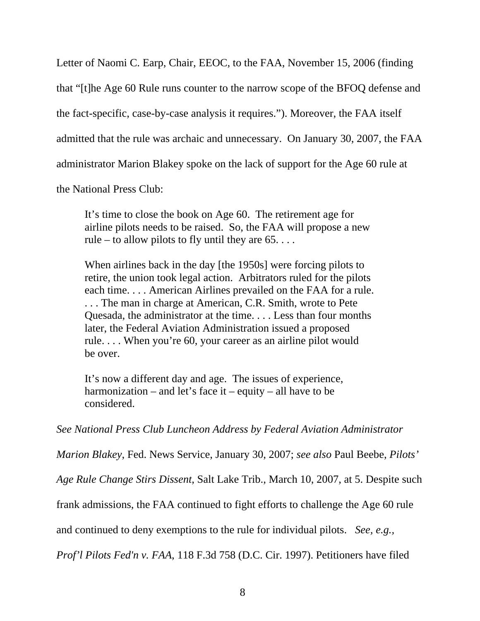Letter of Naomi C. Earp, Chair, EEOC, to the FAA, November 15, 2006 (finding

that "[t]he Age 60 Rule runs counter to the narrow scope of the BFOQ defense and

the fact-specific, case-by-case analysis it requires."). Moreover, the FAA itself

admitted that the rule was archaic and unnecessary. On January 30, 2007, the FAA

administrator Marion Blakey spoke on the lack of support for the Age 60 rule at

the National Press Club:

It's time to close the book on Age 60. The retirement age for airline pilots needs to be raised. So, the FAA will propose a new rule – to allow pilots to fly until they are  $65$ ....

When airlines back in the day [the 1950s] were forcing pilots to retire, the union took legal action. Arbitrators ruled for the pilots each time. . . . American Airlines prevailed on the FAA for a rule. . . . The man in charge at American, C.R. Smith, wrote to Pete Quesada, the administrator at the time. . . . Less than four months later, the Federal Aviation Administration issued a proposed rule. . . . When you're 60, your career as an airline pilot would be over.

It's now a different day and age. The issues of experience, harmonization – and let's face it – equity – all have to be considered.

*See National Press Club Luncheon Address by Federal Aviation Administrator* 

*Marion Blakey*, Fed. News Service, January 30, 2007; *see also* Paul Beebe, *Pilots'* 

*Age Rule Change Stirs Dissent*, Salt Lake Trib., March 10, 2007, at 5. Despite such

frank admissions, the FAA continued to fight efforts to challenge the Age 60 rule

and continued to deny exemptions to the rule for individual pilots. *See, e.g.,* 

*Prof'l Pilots Fed'n v. FAA*, 118 F.3d 758 (D.C. Cir. 1997). Petitioners have filed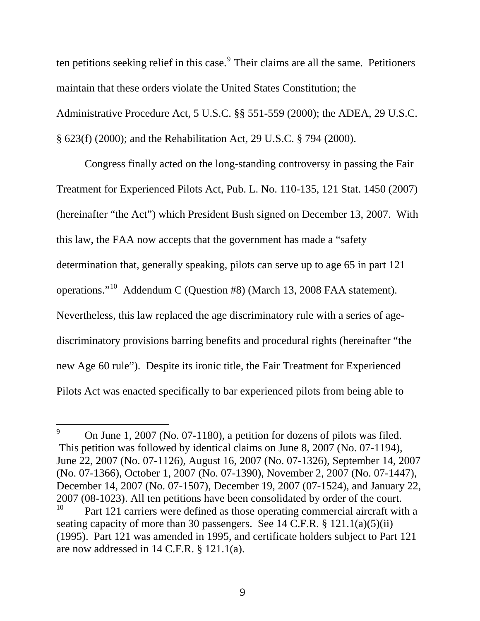ten petitions seeking relief in this case. Their claims are all the same. Petitioners maintain that these orders violate the United States Constitution; the Administrative Procedure Act, 5 U.S.C. §§ 551-559 (2000); the ADEA, 29 U.S.C. § 623(f) (2000); and the Rehabilitation Act, 29 U.S.C. § 794 (2000).

Congress finally acted on the long-standing controversy in passing the Fair Treatment for Experienced Pilots Act, Pub. L. No. 110-135, 121 Stat. 1450 (2007) (hereinafter "the Act") which President Bush signed on December 13, 2007. With this law, the FAA now accepts that the government has made a "safety determination that, generally speaking, pilots can serve up to age 65 in part 121 operations."[10](#page-23-1) Addendum C (Question #8) (March 13, 2008 FAA statement). Nevertheless, this law replaced the age discriminatory rule with a series of agediscriminatory provisions barring benefits and procedural rights (hereinafter "the new Age 60 rule"). Despite its ironic title, the Fair Treatment for Experienced Pilots Act was enacted specifically to bar experienced pilots from being able to

 $\overline{a}$ 

<span id="page-23-0"></span><sup>9</sup> On June 1, 2007 (No. 07-1180), a petition for dozens of pilots was filed. This petition was followed by identical claims on June 8, 2007 (No. 07-1194), June 22, 2007 (No. 07-1126), August 16, 2007 (No. 07-1326), September 14, 2007 (No. 07-1366), October 1, 2007 (No. 07-1390), November 2, 2007 (No. 07-1447), December 14, 2007 (No. 07-1507), December 19, 2007 (07-1524), and January 22, 2007 (08-1023). All ten petitions have been consolidated by order of the court. Part 121 carriers were defined as those operating commercial aircraft with a

<span id="page-23-1"></span>seating capacity of more than 30 passengers. See 14 C.F.R. § 121.1(a)(5)(ii) (1995). Part 121 was amended in 1995, and certificate holders subject to Part 121 are now addressed in 14 C.F.R. § 121.1(a).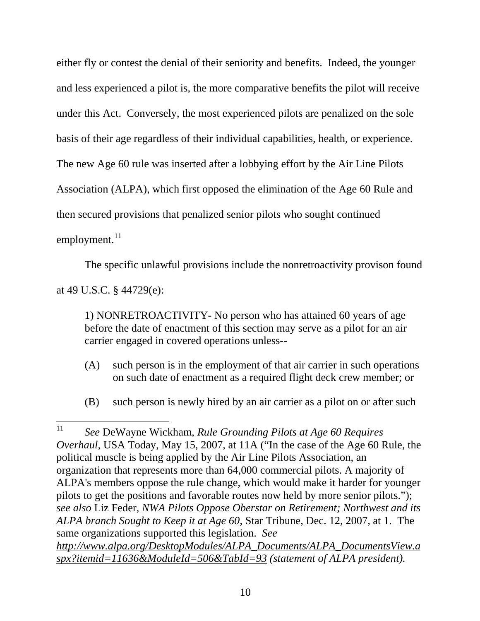either fly or contest the denial of their seniority and benefits. Indeed, the younger and less experienced a pilot is, the more comparative benefits the pilot will receive under this Act. Conversely, the most experienced pilots are penalized on the sole basis of their age regardless of their individual capabilities, health, or experience. The new Age 60 rule was inserted after a lobbying effort by the Air Line Pilots Association (ALPA), which first opposed the elimination of the Age 60 Rule and then secured provisions that penalized senior pilots who sought continued employment. $^{11}$  $^{11}$  $^{11}$ 

The specific unlawful provisions include the nonretroactivity provison found

at 49 U.S.C. § 44729(e):

1) NONRETROACTIVITY- No person who has attained 60 years of age before the date of enactment of this section may serve as a pilot for an air carrier engaged in covered operations unless--

- (A) such person is in the employment of that air carrier in such operations on such date of enactment as a required flight deck crew member; or
- (B) such person is newly hired by an air carrier as a pilot on or after such

<span id="page-24-0"></span> $11$ 11 *See* DeWayne Wickham, *Rule Grounding Pilots at Age 60 Requires Overhaul*, USA Today, May 15, 2007, at 11A ("In the case of the Age 60 Rule, the political muscle is being applied by the Air Line Pilots Association, an organization that represents more than 64,000 commercial pilots. A majority of ALPA's members oppose the rule change, which would make it harder for younger pilots to get the positions and favorable routes now held by more senior pilots."); *see also* Liz Feder, *NWA Pilots Oppose Oberstar on Retirement; Northwest and its ALPA branch Sought to Keep it at Age 60*, Star Tribune, Dec. 12, 2007, at 1. The same organizations supported this legislation. *See http://www.alpa.org/DesktopModules/ALPA\_Documents/ALPA\_DocumentsView.a spx?itemid=11636&ModuleId=506&TabId=93 (statement of ALPA president).*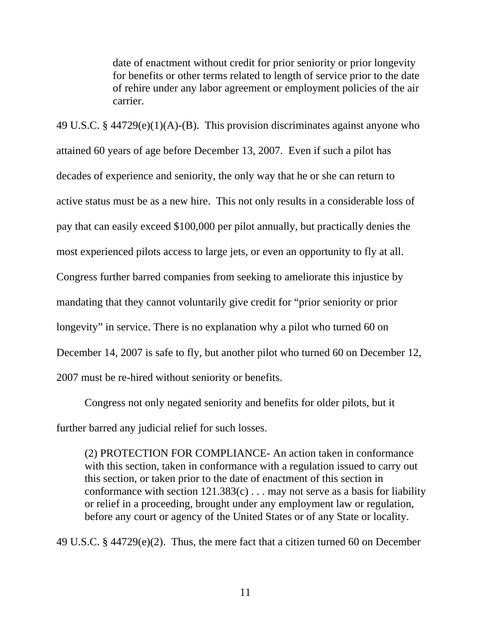date of enactment without credit for prior seniority or prior longevity for benefits or other terms related to length of service prior to the date of rehire under any labor agreement or employment policies of the air carrier.

49 U.S.C. § 44729(e)(1)(A)-(B). This provision discriminates against anyone who attained 60 years of age before December 13, 2007. Even if such a pilot has decades of experience and seniority, the only way that he or she can return to active status must be as a new hire. This not only results in a considerable loss of pay that can easily exceed \$100,000 per pilot annually, but practically denies the most experienced pilots access to large jets, or even an opportunity to fly at all. Congress further barred companies from seeking to ameliorate this injustice by mandating that they cannot voluntarily give credit for "prior seniority or prior longevity" in service. There is no explanation why a pilot who turned 60 on December 14, 2007 is safe to fly, but another pilot who turned 60 on December 12, 2007 must be re-hired without seniority or benefits.

 Congress not only negated seniority and benefits for older pilots, but it further barred any judicial relief for such losses.

(2) PROTECTION FOR COMPLIANCE- An action taken in conformance with this section, taken in conformance with a regulation issued to carry out this section, or taken prior to the date of enactment of this section in conformance with section  $121.383(c)$ ... may not serve as a basis for liability or relief in a proceeding, brought under any employment law or regulation, before any court or agency of the United States or of any State or locality.

49 U.S.C. § 44729(e)(2). Thus, the mere fact that a citizen turned 60 on December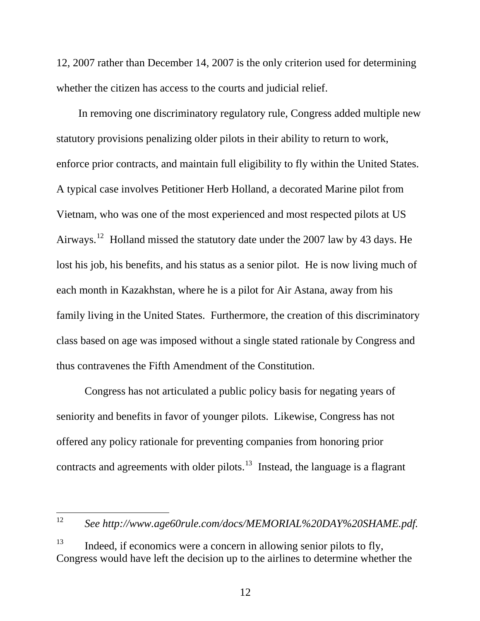12, 2007 rather than December 14, 2007 is the only criterion used for determining whether the citizen has access to the courts and judicial relief.

 In removing one discriminatory regulatory rule, Congress added multiple new statutory provisions penalizing older pilots in their ability to return to work, enforce prior contracts, and maintain full eligibility to fly within the United States. A typical case involves Petitioner Herb Holland, a decorated Marine pilot from Vietnam, who was one of the most experienced and most respected pilots at US Airways.<sup>[12](#page-26-0)</sup> Holland missed the statutory date under the 2007 law by 43 days. He lost his job, his benefits, and his status as a senior pilot. He is now living much of each month in Kazakhstan, where he is a pilot for Air Astana, away from his family living in the United States. Furthermore, the creation of this discriminatory class based on age was imposed without a single stated rationale by Congress and thus contravenes the Fifth Amendment of the Constitution.

Congress has not articulated a public policy basis for negating years of seniority and benefits in favor of younger pilots. Likewise, Congress has not offered any policy rationale for preventing companies from honoring prior contracts and agreements with older pilots.<sup>[13](#page-26-1)</sup> Instead, the language is a flagrant

<span id="page-26-0"></span>12 See http://www.age60rule.com/docs/MEMORIAL%20DAY%20SHAME.pdf.

<span id="page-26-1"></span> $13$  Indeed, if economics were a concern in allowing senior pilots to fly, Congress would have left the decision up to the airlines to determine whether the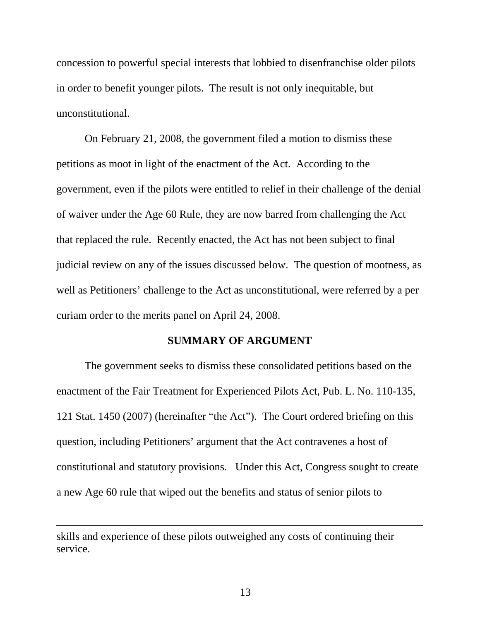<span id="page-27-0"></span>concession to powerful special interests that lobbied to disenfranchise older pilots in order to benefit younger pilots. The result is not only inequitable, but unconstitutional.

 On February 21, 2008, the government filed a motion to dismiss these petitions as moot in light of the enactment of the Act. According to the government, even if the pilots were entitled to relief in their challenge of the denial of waiver under the Age 60 Rule, they are now barred from challenging the Act that replaced the rule. Recently enacted, the Act has not been subject to final judicial review on any of the issues discussed below. The question of mootness, as well as Petitioners' challenge to the Act as unconstitutional, were referred by a per curiam order to the merits panel on April 24, 2008.

#### **SUMMARY OF ARGUMENT**

 The government seeks to dismiss these consolidated petitions based on the enactment of the Fair Treatment for Experienced Pilots Act, Pub. L. No. 110-135, 121 Stat. 1450 (2007) (hereinafter "the Act"). The Court ordered briefing on this question, including Petitioners' argument that the Act contravenes a host of constitutional and statutory provisions. Under this Act, Congress sought to create a new Age 60 rule that wiped out the benefits and status of senior pilots to

 $\overline{a}$ 

skills and experience of these pilots outweighed any costs of continuing their service.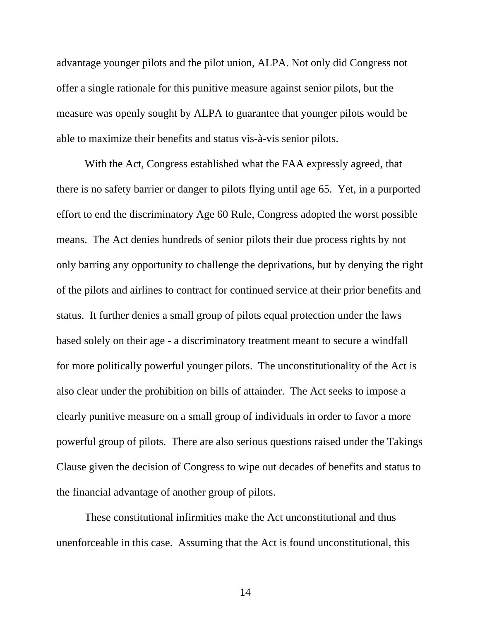advantage younger pilots and the pilot union, ALPA. Not only did Congress not offer a single rationale for this punitive measure against senior pilots, but the measure was openly sought by ALPA to guarantee that younger pilots would be able to maximize their benefits and status vis-à-vis senior pilots.

 With the Act, Congress established what the FAA expressly agreed, that there is no safety barrier or danger to pilots flying until age 65. Yet, in a purported effort to end the discriminatory Age 60 Rule, Congress adopted the worst possible means. The Act denies hundreds of senior pilots their due process rights by not only barring any opportunity to challenge the deprivations, but by denying the right of the pilots and airlines to contract for continued service at their prior benefits and status. It further denies a small group of pilots equal protection under the laws based solely on their age - a discriminatory treatment meant to secure a windfall for more politically powerful younger pilots. The unconstitutionality of the Act is also clear under the prohibition on bills of attainder. The Act seeks to impose a clearly punitive measure on a small group of individuals in order to favor a more powerful group of pilots. There are also serious questions raised under the Takings Clause given the decision of Congress to wipe out decades of benefits and status to the financial advantage of another group of pilots.

 These constitutional infirmities make the Act unconstitutional and thus unenforceable in this case. Assuming that the Act is found unconstitutional, this

14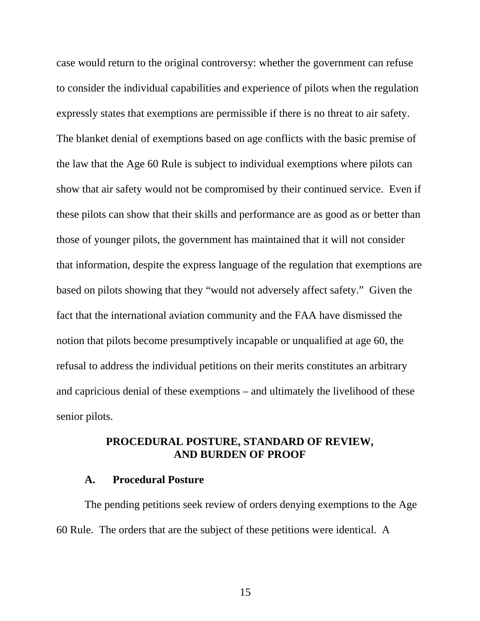<span id="page-29-0"></span>case would return to the original controversy: whether the government can refuse to consider the individual capabilities and experience of pilots when the regulation expressly states that exemptions are permissible if there is no threat to air safety. The blanket denial of exemptions based on age conflicts with the basic premise of the law that the Age 60 Rule is subject to individual exemptions where pilots can show that air safety would not be compromised by their continued service. Even if these pilots can show that their skills and performance are as good as or better than those of younger pilots, the government has maintained that it will not consider that information, despite the express language of the regulation that exemptions are based on pilots showing that they "would not adversely affect safety." Given the fact that the international aviation community and the FAA have dismissed the notion that pilots become presumptively incapable or unqualified at age 60, the refusal to address the individual petitions on their merits constitutes an arbitrary and capricious denial of these exemptions – and ultimately the livelihood of these senior pilots.

# **PROCEDURAL POSTURE, STANDARD OF REVIEW, AND BURDEN OF PROOF**

### **A. Procedural Posture**

The pending petitions seek review of orders denying exemptions to the Age 60 Rule. The orders that are the subject of these petitions were identical. A

15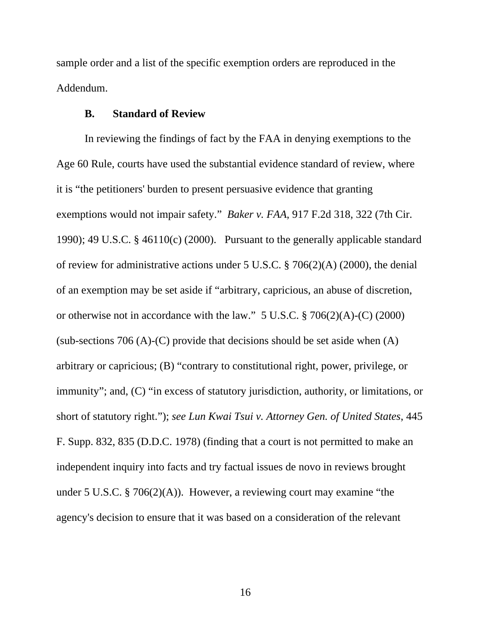<span id="page-30-0"></span>sample order and a list of the specific exemption orders are reproduced in the Addendum.

#### **B. Standard of Review**

In reviewing the findings of fact by the FAA in denying exemptions to the Age 60 Rule, courts have used the substantial evidence standard of review, where it is "the petitioners' burden to present persuasive evidence that granting exemptions would not impair safety." *Baker v. FAA*, 917 F.2d 318, 322 (7th Cir. 1990); 49 U.S.C. § 46110(c) (2000). Pursuant to the generally applicable standard of review for administrative actions under 5 U.S.C. § 706(2)(A) (2000), the denial of an exemption may be set aside if "arbitrary, capricious, an abuse of discretion, or otherwise not in accordance with the law." 5 U.S.C. § 706(2)(A)-(C) (2000) (sub-sections 706 (A)-(C) provide that decisions should be set aside when  $(A)$ arbitrary or capricious; (B) "contrary to constitutional right, power, privilege, or immunity"; and, (C) "in excess of statutory jurisdiction, authority, or limitations, or short of statutory right."); *see Lun Kwai Tsui v. Attorney Gen. of United States*, 445 F. Supp. 832, 835 (D.D.C. 1978) (finding that a court is not permitted to make an independent inquiry into facts and try factual issues de novo in reviews brought under 5 U.S.C. § 706(2)(A)). However, a reviewing court may examine "the agency's decision to ensure that it was based on a consideration of the relevant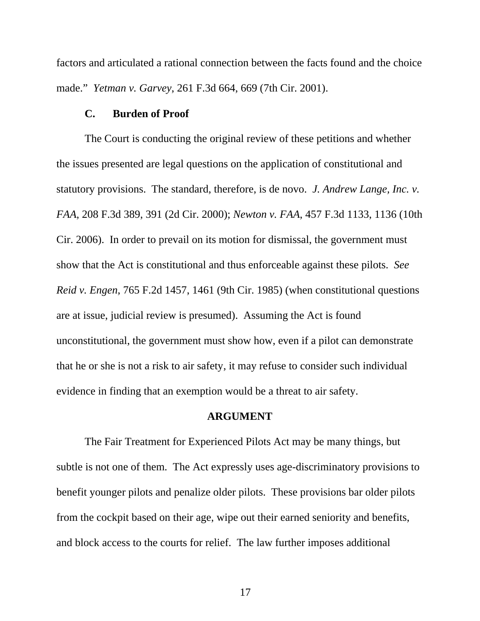<span id="page-31-0"></span>factors and articulated a rational connection between the facts found and the choice made." *Yetman v. Garvey*, 261 F.3d 664, 669 (7th Cir. 2001).

#### **C. Burden of Proof**

The Court is conducting the original review of these petitions and whether the issues presented are legal questions on the application of constitutional and statutory provisions. The standard, therefore, is de novo. *J. Andrew Lange, Inc. v. FAA*, 208 F.3d 389, 391 (2d Cir. 2000); *Newton v. FAA*, 457 F.3d 1133, 1136 (10th Cir. 2006). In order to prevail on its motion for dismissal, the government must show that the Act is constitutional and thus enforceable against these pilots. *See Reid v. Engen*, 765 F.2d 1457, 1461 (9th Cir. 1985) (when constitutional questions are at issue, judicial review is presumed). Assuming the Act is found unconstitutional, the government must show how, even if a pilot can demonstrate that he or she is not a risk to air safety, it may refuse to consider such individual evidence in finding that an exemption would be a threat to air safety.

#### **ARGUMENT**

 The Fair Treatment for Experienced Pilots Act may be many things, but subtle is not one of them. The Act expressly uses age-discriminatory provisions to benefit younger pilots and penalize older pilots. These provisions bar older pilots from the cockpit based on their age, wipe out their earned seniority and benefits, and block access to the courts for relief. The law further imposes additional

17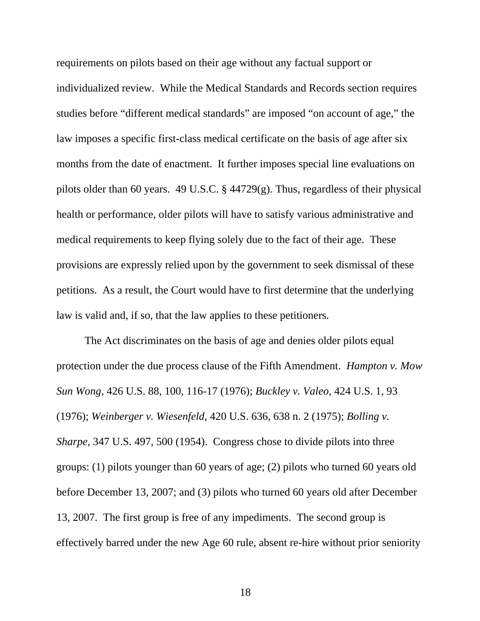requirements on pilots based on their age without any factual support or individualized review. While the Medical Standards and Records section requires studies before "different medical standards" are imposed "on account of age," the law imposes a specific first-class medical certificate on the basis of age after six months from the date of enactment. It further imposes special line evaluations on pilots older than 60 years. 49 U.S.C. § 44729(g). Thus, regardless of their physical health or performance, older pilots will have to satisfy various administrative and medical requirements to keep flying solely due to the fact of their age. These provisions are expressly relied upon by the government to seek dismissal of these petitions. As a result, the Court would have to first determine that the underlying law is valid and, if so, that the law applies to these petitioners.

The Act discriminates on the basis of age and denies older pilots equal protection under the due process clause of the Fifth Amendment. *[Hampton v.](http://www.lexis.com/research/buttonTFLink?_m=e0c72ef167b3c6c0c73801bf2d2aadfd&_xfercite=%253ccite%20cc%253d%2522USA%2522%253e%253c%2521%255bCDATA%255b440%20U.S.%2093%255d%255d%253e%253c%252fcite%253e&_butType=3&_butStat=2&_butNum=61&_butInline=1&_butinfo=%253ccite%20cc%253d%2522USA%2522%253e%253c%2521%255bCDATA%255b426%20U.S.%2088%252c%20100%255d%255d%253e%253c%252fcite%253e&_fmtstr=FULL&docnum=1&_startdoc=1&wchp=dGLbVlz-zSkAV&_md5=afb71f2cf3a2df6fb307a61b97cc3df8) Mow Sun Wong*[, 426 U.S. 88, 100, 116-17 \(1976\)](http://www.lexis.com/research/buttonTFLink?_m=e0c72ef167b3c6c0c73801bf2d2aadfd&_xfercite=%253ccite%20cc%253d%2522USA%2522%253e%253c%2521%255bCDATA%255b440%20U.S.%2093%255d%255d%253e%253c%252fcite%253e&_butType=3&_butStat=2&_butNum=61&_butInline=1&_butinfo=%253ccite%20cc%253d%2522USA%2522%253e%253c%2521%255bCDATA%255b426%20U.S.%2088%252c%20100%255d%255d%253e%253c%252fcite%253e&_fmtstr=FULL&docnum=1&_startdoc=1&wchp=dGLbVlz-zSkAV&_md5=afb71f2cf3a2df6fb307a61b97cc3df8); *Buckley v. Valeo*[, 424 U.S. 1, 93](http://www.lexis.com/research/buttonTFLink?_m=e0c72ef167b3c6c0c73801bf2d2aadfd&_xfercite=%253ccite%20cc%253d%2522USA%2522%253e%253c%2521%255bCDATA%255b440%20U.S.%2093%255d%255d%253e%253c%252fcite%253e&_butType=3&_butStat=2&_butNum=62&_butInline=1&_butinfo=%253ccite%20cc%253d%2522USA%2522%253e%253c%2521%255bCDATA%255b424%20U.S.%201%252c%2093%255d%255d%253e%253c%252fcite%253e&_fmtstr=FULL&docnum=1&_startdoc=1&wchp=dGLbVlz-zSkAV&_md5=87a9e8bb1f758c718b2e847534bf4e6f)  [\(1976\)](http://www.lexis.com/research/buttonTFLink?_m=e0c72ef167b3c6c0c73801bf2d2aadfd&_xfercite=%253ccite%20cc%253d%2522USA%2522%253e%253c%2521%255bCDATA%255b440%20U.S.%2093%255d%255d%253e%253c%252fcite%253e&_butType=3&_butStat=2&_butNum=62&_butInline=1&_butinfo=%253ccite%20cc%253d%2522USA%2522%253e%253c%2521%255bCDATA%255b424%20U.S.%201%252c%2093%255d%255d%253e%253c%252fcite%253e&_fmtstr=FULL&docnum=1&_startdoc=1&wchp=dGLbVlz-zSkAV&_md5=87a9e8bb1f758c718b2e847534bf4e6f); *Weinberger v. Wiesenfeld*[, 420 U.S. 636, 638 n. 2 \(1975\)](http://www.lexis.com/research/buttonTFLink?_m=e0c72ef167b3c6c0c73801bf2d2aadfd&_xfercite=%253ccite%20cc%253d%2522USA%2522%253e%253c%2521%255bCDATA%255b440%20U.S.%2093%255d%255d%253e%253c%252fcite%253e&_butType=3&_butStat=2&_butNum=63&_butInline=1&_butinfo=%253ccite%20cc%253d%2522USA%2522%253e%253c%2521%255bCDATA%255b420%20U.S.%20636%252c%20638%255d%255d%253e%253c%252fcite%253e&_fmtstr=FULL&docnum=1&_startdoc=1&wchp=dGLbVlz-zSkAV&_md5=872b3adb8241ba13cad0f2798f7659c2); *[Bolling](http://www.lexis.com/research/buttonTFLink?_m=e0c72ef167b3c6c0c73801bf2d2aadfd&_xfercite=%253ccite%20cc%253d%2522USA%2522%253e%253c%2521%255bCDATA%255b440%20U.S.%2093%255d%255d%253e%253c%252fcite%253e&_butType=3&_butStat=2&_butNum=64&_butInline=1&_butinfo=%253ccite%20cc%253d%2522USA%2522%253e%253c%2521%255bCDATA%255b347%20U.S.%20497%252c%20500%255d%255d%253e%253c%252fcite%253e&_fmtstr=FULL&docnum=1&_startdoc=1&wchp=dGLbVlz-zSkAV&_md5=dcfa3773f636c3a843808da93bea5837) v. Sharpe*[, 347 U.S. 497, 500 \(1954\)](http://www.lexis.com/research/buttonTFLink?_m=e0c72ef167b3c6c0c73801bf2d2aadfd&_xfercite=%253ccite%20cc%253d%2522USA%2522%253e%253c%2521%255bCDATA%255b440%20U.S.%2093%255d%255d%253e%253c%252fcite%253e&_butType=3&_butStat=2&_butNum=64&_butInline=1&_butinfo=%253ccite%20cc%253d%2522USA%2522%253e%253c%2521%255bCDATA%255b347%20U.S.%20497%252c%20500%255d%255d%253e%253c%252fcite%253e&_fmtstr=FULL&docnum=1&_startdoc=1&wchp=dGLbVlz-zSkAV&_md5=dcfa3773f636c3a843808da93bea5837). Congress chose to divide pilots into three groups: (1) pilots younger than 60 years of age; (2) pilots who turned 60 years old before December 13, 2007; and (3) pilots who turned 60 years old after December 13, 2007. The first group is free of any impediments. The second group is effectively barred under the new Age 60 rule, absent re-hire without prior seniority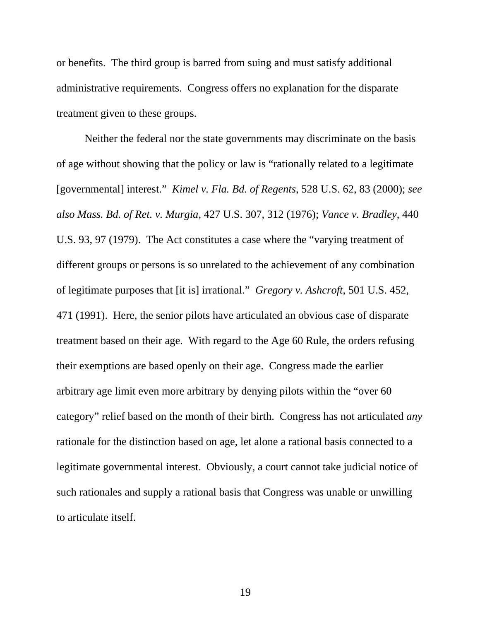or benefits. The third group is barred from suing and must satisfy additional administrative requirements. Congress offers no explanation for the disparate treatment given to these groups.

Neither the federal nor the state governments may discriminate on the basis of age without showing that the policy or law is "rationally related to a legitimate [governmental] interest." *[Kimel v. Fla. Bd. of Regents](http://www.lexis.com/research/buttonTFLink?_m=d8687ce272a84e5a67b5b9ed374f5eb3&_xfercite=%253ccite%20cc%253d%2522USA%2522%253e%253c%2521%255bCDATA%255b2006%20U.S.%20Dist.%20LEXIS%2073606%255d%255d%253e%253c%252fcite%253e&_butType=3&_butStat=2&_butNum=80&_butInline=1&_butinfo=%253ccite%20cc%253d%2522USA%2522%253e%253c%2521%255bCDATA%255b528%20U.S.%2062%252c%2083%255d%255d%253e%253c%252fcite%253e&_fmtstr=FULL&docnum=10&_startdoc=1&wchp=dGLbVlz-zSkAV&_md5=bca06199c9f85ae952e1766e9dea12fa)*, 528 U.S. 62, 83 (2000); *see also Mass. Bd. of Ret. v. Murgia*[, 427 U.S. 307, 312 \(1976\);](http://www.lexis.com/research/buttonTFLink?_m=d8687ce272a84e5a67b5b9ed374f5eb3&_xfercite=%253ccite%20cc%253d%2522USA%2522%253e%253c%2521%255bCDATA%255b2006%20U.S.%20Dist.%20LEXIS%2073606%255d%255d%253e%253c%252fcite%253e&_butType=3&_butStat=2&_butNum=81&_butInline=1&_butinfo=%253ccite%20cc%253d%2522USA%2522%253e%253c%2521%255bCDATA%255b427%20U.S.%20307%252c%20313%255d%255d%253e%253c%252fcite%253e&_fmtstr=FULL&docnum=10&_startdoc=1&wchp=dGLbVlz-zSkAV&_md5=2c2e89b0f0800dc3ce884f2813ec363a) *[Vance v. Bradley](http://www.lexis.com/research/buttonTFLink?_m=d8687ce272a84e5a67b5b9ed374f5eb3&_xfercite=%253ccite%20cc%253d%2522USA%2522%253e%253c%2521%255bCDATA%255b2006%20U.S.%20Dist.%20LEXIS%2073606%255d%255d%253e%253c%252fcite%253e&_butType=3&_butStat=2&_butNum=82&_butInline=1&_butinfo=%253ccite%20cc%253d%2522USA%2522%253e%253c%2521%255bCDATA%255b440%20U.S.%2093%252c%2097%255d%255d%253e%253c%252fcite%253e&_fmtstr=FULL&docnum=10&_startdoc=1&wchp=dGLbVlz-zSkAV&_md5=e7206843ed64ed4ca1529b4d351354ba)*, 440 [U.S. 93, 97 \(1979\)](http://www.lexis.com/research/buttonTFLink?_m=d8687ce272a84e5a67b5b9ed374f5eb3&_xfercite=%253ccite%20cc%253d%2522USA%2522%253e%253c%2521%255bCDATA%255b2006%20U.S.%20Dist.%20LEXIS%2073606%255d%255d%253e%253c%252fcite%253e&_butType=3&_butStat=2&_butNum=82&_butInline=1&_butinfo=%253ccite%20cc%253d%2522USA%2522%253e%253c%2521%255bCDATA%255b440%20U.S.%2093%252c%2097%255d%255d%253e%253c%252fcite%253e&_fmtstr=FULL&docnum=10&_startdoc=1&wchp=dGLbVlz-zSkAV&_md5=e7206843ed64ed4ca1529b4d351354ba). The Act constitutes a case where the "varying treatment of different groups or persons is so unrelated to the achievement of any combination of legitimate purposes that [it is] irrational." *[Gregory v. Ashcroft](http://www.lexis.com/research/buttonTFLink?_m=0483a37b3210548e4357aa3ecd1d2f6a&_xfercite=%253ccite%20cc%253d%2522USA%2522%253e%253c%2521%255bCDATA%255b29%20F.%20Supp.%202d%201357%255d%255d%253e%253c%252fcite%253e&_butType=3&_butStat=2&_butNum=221&_butInline=1&_butinfo=%253ccite%20cc%253d%2522USA%2522%253e%253c%2521%255bCDATA%255b501%20U.S.%20452%252c%20470%255d%255d%253e%253c%252fcite%253e&_fmtstr=FULL&docnum=16&_startdoc=11&wchp=dGLbVlz-zSkAV&_md5=b9cb6541d404f0c65882a0ff63d605cc)*, 501 U.S. 452, [471 \(1991\).](http://www.lexis.com/research/buttonTFLink?_m=0483a37b3210548e4357aa3ecd1d2f6a&_xfercite=%253ccite%20cc%253d%2522USA%2522%253e%253c%2521%255bCDATA%255b29%20F.%20Supp.%202d%201357%255d%255d%253e%253c%252fcite%253e&_butType=3&_butStat=2&_butNum=221&_butInline=1&_butinfo=%253ccite%20cc%253d%2522USA%2522%253e%253c%2521%255bCDATA%255b501%20U.S.%20452%252c%20470%255d%255d%253e%253c%252fcite%253e&_fmtstr=FULL&docnum=16&_startdoc=11&wchp=dGLbVlz-zSkAV&_md5=b9cb6541d404f0c65882a0ff63d605cc) Here, the senior pilots have articulated an obvious case of disparate treatment based on their age. With regard to the Age 60 Rule, the orders refusing their exemptions are based openly on their age. Congress made the earlier arbitrary age limit even more arbitrary by denying pilots within the "over 60 category" relief based on the month of their birth. Congress has not articulated *any* rationale for the distinction based on age, let alone a rational basis connected to a legitimate governmental interest. Obviously, a court cannot take judicial notice of such rationales and supply a rational basis that Congress was unable or unwilling to articulate itself.

19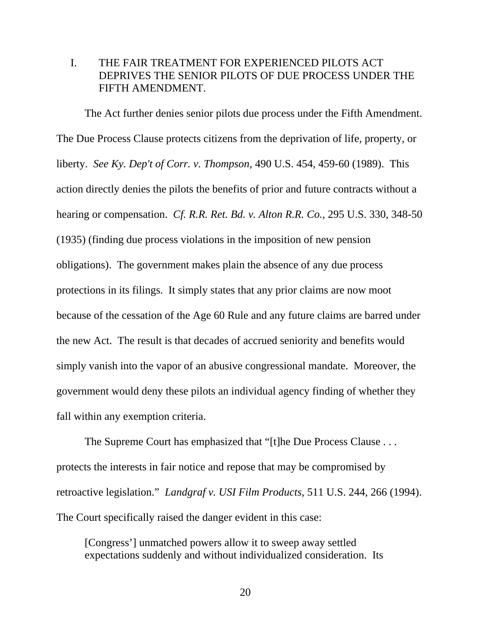# <span id="page-34-0"></span>I. THE FAIR TREATMENT FOR EXPERIENCED PILOTS ACT DEPRIVES THE SENIOR PILOTS OF DUE PROCESS UNDER THE FIFTH AMENDMENT.

The Act further denies senior pilots due process under the Fifth Amendment. The [Due Process Clause](http://www.lexis.com/research/buttonTFLink?_m=cbdae9578782558a68e21ceb5037a3d9&_xfercite=%253ccite%20cc%253d%2522USA%2522%253e%253c%2521%255bCDATA%255b2007%20U.S.%20Dist.%20LEXIS%2066939%255d%255d%253e%253c%252fcite%253e&_butType=4&_butStat=0&_butNum=32&_butInline=1&_butinfo=U.S.%20CONST.%20AMEND.%205&_fmtstr=FULL&docnum=8&_startdoc=1&wchp=dGLbVlz-zSkAV&_md5=033b02b0e1a437d24b314b125cabe281) protects citizens from the deprivation of life, property, or liberty. *See [Ky. Dep't of Corr. v. Thompson](http://www.lexis.com/research/buttonTFLink?_m=cbdae9578782558a68e21ceb5037a3d9&_xfercite=%253ccite%20cc%253d%2522USA%2522%253e%253c%2521%255bCDATA%255b2007%20U.S.%20Dist.%20LEXIS%2066939%255d%255d%253e%253c%252fcite%253e&_butType=3&_butStat=2&_butNum=33&_butInline=1&_butinfo=%253ccite%20cc%253d%2522USA%2522%253e%253c%2521%255bCDATA%255b490%20U.S.%20454%252c%20459%255d%255d%253e%253c%252fcite%253e&_fmtstr=FULL&docnum=8&_startdoc=1&wchp=dGLbVlz-zSkAV&_md5=a24d840d8374795d07f8993e05aa8615)*, 490 U.S. 454, 459-60 (1989). This action directly denies the pilots the benefits of prior and future contracts without a hearing or compensation. *Cf. [R.R. Ret. Bd. v. Alton R.R. Co.](http://www.lexis.com/research/buttonTFLink?_m=1bfd8bcafc88707a1625e5dce5a86881&_xfercite=%253ccite%20cc%253d%2522USA%2522%253e%253c%2521%255bCDATA%255b94%20Geo.%20L.J.%201015%255d%255d%253e%253c%252fcite%253e&_butType=3&_butStat=2&_butNum=354&_butInline=1&_butinfo=%253ccite%20cc%253d%2522USA%2522%253e%253c%2521%255bCDATA%255b295%20U.S.%20330%252cat%20348%255d%255d%253e%253c%252fcite%253e&_fmtstr=FULL&docnum=16&_startdoc=11&wchp=dGLbVlz-zSkAV&_md5=9569490f13ef988e96e6b08c20d7edf3)*, 295 U.S. 330, 348-50 [\(1935\)](http://www.lexis.com/research/buttonTFLink?_m=1bfd8bcafc88707a1625e5dce5a86881&_xfercite=%253ccite%20cc%253d%2522USA%2522%253e%253c%2521%255bCDATA%255b94%20Geo.%20L.J.%201015%255d%255d%253e%253c%252fcite%253e&_butType=3&_butStat=2&_butNum=354&_butInline=1&_butinfo=%253ccite%20cc%253d%2522USA%2522%253e%253c%2521%255bCDATA%255b295%20U.S.%20330%252cat%20348%255d%255d%253e%253c%252fcite%253e&_fmtstr=FULL&docnum=16&_startdoc=11&wchp=dGLbVlz-zSkAV&_md5=9569490f13ef988e96e6b08c20d7edf3) (finding due process violations in the imposition of new pension obligations). The government makes plain the absence of any due process protections in its filings. It simply states that any prior claims are now moot because of the cessation of the Age 60 Rule and any future claims are barred under the new Act. The result is that decades of accrued seniority and benefits would simply vanish into the vapor of an abusive congressional mandate. Moreover, the government would deny these pilots an individual agency finding of whether they fall within any exemption criteria.

 The Supreme Court has emphasized that "[t]he Due Process Clause . . . protects the interests in fair notice and repose that may be compromised by retroactive legislation." *Landgraf v. USI Film Products*, 511 U.S. 244, 266 (1994). The Court specifically raised the danger evident in this case:

[Congress'] unmatched powers allow it to sweep away settled expectations suddenly and without individualized consideration. Its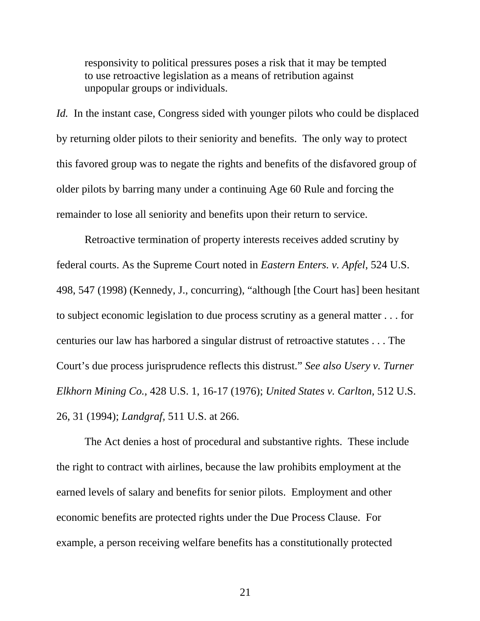responsivity to political pressures poses a risk that it may be tempted to use retroactive legislation as a means of retribution against unpopular groups or individuals.

*Id.* In the instant case, Congress sided with younger pilots who could be displaced by returning older pilots to their seniority and benefits. The only way to protect this favored group was to negate the rights and benefits of the disfavored group of older pilots by barring many under a continuing Age 60 Rule and forcing the remainder to lose all seniority and benefits upon their return to service.

 Retroactive termination of property interests receives added scrutiny by federal courts. As the Supreme Court noted in *Eastern Enters. v. Apfel*, 524 U.S. 498, 547 (1998) (Kennedy, J., concurring), "although [the Court has] been hesitant to subject economic legislation to due process scrutiny as a general matter . . . for centuries our law has harbored a singular distrust of retroactive statutes . . . The Court's due process jurisprudence reflects this distrust." *See also Usery v. Turner Elkhorn Mining Co.,* 428 U.S. 1, 16-17 (1976); *United States v. Carlton,* 512 U.S. 26, 31 (1994); *Landgraf,* [511 U.S. at 266.](http://web2.westlaw.com/find/default.wl?tf=-1&rs=WLW8.06&referencepositiontype=S&serialnum=1994092115&fn=_top&sv=Split&referenceposition=1497&findtype=Y&tc=-1&ordoc=1998132145&db=708&vr=2.0&rp=%2ffind%2fdefault.wl&mt=LawSchoolPractitioner) 

 The Act denies a host of procedural and substantive rights. These include the right to contract with airlines, because the law prohibits employment at the earned levels of salary and benefits for senior pilots. Employment and other economic benefits are protected rights under the Due Process Clause. For example, a person receiving welfare benefits has a constitutionally protected

21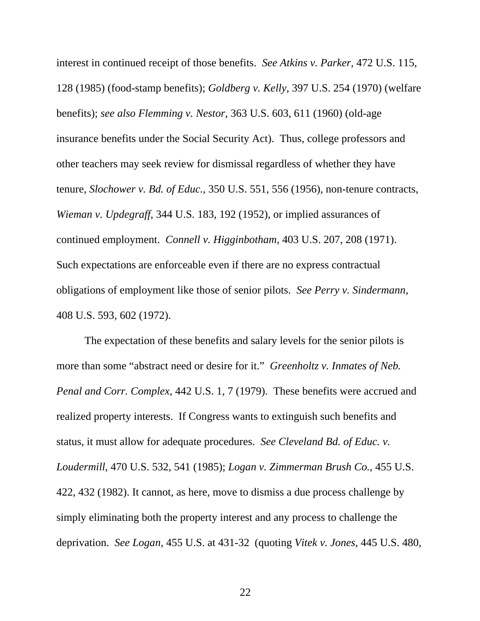interest in continued receipt of those benefits. *See Atkins v. Parker*, 472 U.S. 115, 128 (1985) (food-stamp benefits); *Goldberg v. Kelly*, 397 U.S. 254 (1970) (welfare benefits); *see also Flemming v. Nestor*, 363 U.S. 603, 611 (1960) (old-age insurance benefits under the Social Security Act). Thus, college professors and other teachers may seek review for dismissal regardless of whether they have tenure, *Slochower v. Bd. of Educ.*[, 350 U.S. 551, 556 \(1956\),](http://web2.westlaw.com/find/default.wl?tf=-1&rs=WLW8.06&serialnum=1956111192&fn=_top&sv=Split&tc=-1&findtype=Y&ordoc=1972127192&db=708&vr=2.0&rp=%2ffind%2fdefault.wl&mt=LawSchoolPractitioner) non-tenure contracts, *Wieman v. Updegraff*[, 344 U.S. 183, 192 \(1952\),](http://web2.westlaw.com/find/default.wl?tf=-1&rs=WLW8.06&serialnum=1952120579&fn=_top&sv=Split&tc=-1&findtype=Y&ordoc=1972127192&db=708&vr=2.0&rp=%2ffind%2fdefault.wl&mt=LawSchoolPractitioner) or implied assurances of continued employment. *Connell v. Higginbotham*, 403 U.S. 207, 208 (1971). Such expectations are enforceable even if there are no express contractual obligations of employment like those of senior pilots. *See Perry v. Sindermann*, 408 U.S. 593, 602 (1972).

The expectation of these benefits and salary levels for the senior pilots is more than some "abstract need or desire for it." *Greenholtz v. Inmates of Neb. Penal and Corr. Complex*, 442 U.S. 1, 7 (1979). These benefits were accrued and realized property interests. If Congress wants to extinguish such benefits and status, it must allow for adequate procedures. *See [Cleveland Bd. of Educ. v.](http://web2.westlaw.com/find/default.wl?vc=0&ordoc=1995242570&rp=%2ffind%2fdefault.wl&DB=708&SerialNum=1985114054&FindType=Y&ReferencePositionType=S&ReferencePosition=1492&AP=&fn=_top&rs=WLW8.06&mt=LawSchoolPractitioner&vr=2.0&sv=Split)  Loudermill*[, 470 U.S. 532, 541 \(1985\);](http://web2.westlaw.com/find/default.wl?vc=0&ordoc=1995242570&rp=%2ffind%2fdefault.wl&DB=708&SerialNum=1985114054&FindType=Y&ReferencePositionType=S&ReferencePosition=1492&AP=&fn=_top&rs=WLW8.06&mt=LawSchoolPractitioner&vr=2.0&sv=Split) *Logan v. Zimmerman Brush Co.*, 455 U.S. 422, 432 (1982). It cannot, as here, move to dismiss a due process challenge by simply eliminating both the property interest and any process to challenge the deprivation. *See Logan*[, 455 U.S. at 431-32](http://web2.westlaw.com/find/default.wl?vc=0&ordoc=1995242570&rp=%2ffind%2fdefault.wl&DB=708&SerialNum=1982108988&FindType=Y&ReferencePositionType=S&ReferencePosition=1155&AP=&fn=_top&rs=WLW8.06&mt=LawSchoolPractitioner&vr=2.0&sv=Split) (quoting *Vitek v. Jones*[, 445 U.S. 480,](http://web2.westlaw.com/find/default.wl?vc=0&ordoc=1995242570&rp=%2ffind%2fdefault.wl&DB=708&SerialNum=1980105873&FindType=Y&ReferencePositionType=S&ReferencePosition=1263&AP=&fn=_top&rs=WLW8.06&mt=LawSchoolPractitioner&vr=2.0&sv=Split)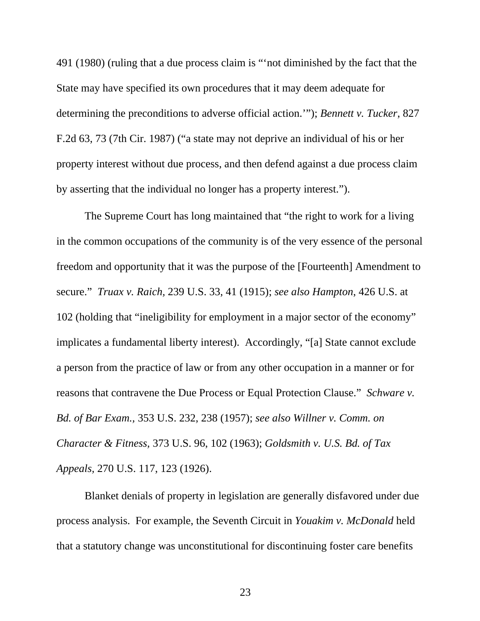[491 \(1980\)](http://web2.westlaw.com/find/default.wl?vc=0&ordoc=1995242570&rp=%2ffind%2fdefault.wl&DB=708&SerialNum=1980105873&FindType=Y&ReferencePositionType=S&ReferencePosition=1263&AP=&fn=_top&rs=WLW8.06&mt=LawSchoolPractitioner&vr=2.0&sv=Split) (ruling that a due process claim is "'not diminished by the fact that the State may have specified its own procedures that it may deem adequate for determining the preconditions to adverse official action.'"); *[Bennett v. Tucker](http://web2.westlaw.com/find/default.wl?vc=0&ordoc=1995242570&rp=%2ffind%2fdefault.wl&DB=350&SerialNum=1987101260&FindType=Y&ReferencePositionType=S&ReferencePosition=73&AP=&fn=_top&rs=WLW8.06&mt=LawSchoolPractitioner&vr=2.0&sv=Split)*, 827 [F.2d 63, 73 \(7th Cir. 1987\)](http://web2.westlaw.com/find/default.wl?vc=0&ordoc=1995242570&rp=%2ffind%2fdefault.wl&DB=350&SerialNum=1987101260&FindType=Y&ReferencePositionType=S&ReferencePosition=73&AP=&fn=_top&rs=WLW8.06&mt=LawSchoolPractitioner&vr=2.0&sv=Split) ("a state may not deprive an individual of his or her property interest without due process, and then defend against a due process claim by asserting that the individual no longer has a property interest.").

The Supreme Court has long maintained that "the right to work for a living in the common occupations of the community is of the very essence of the personal freedom and opportunity that it was the purpose of the [Fourteenth] Amendment to secure." *Truax v. Raich,* [239 U.S. 33, 41 \(1915\);](http://web2.westlaw.com/find/default.wl?tf=-1&rs=WLW8.06&referencepositiontype=S&serialnum=1915100632&fn=_top&sv=Split&referenceposition=10&findtype=Y&tc=-1&ordoc=1993048157&db=708&vr=2.0&rp=%2ffind%2fdefault.wl&mt=LawSchoolPractitioner) *see also Hampton*[, 426 U.S. at](http://web2.westlaw.com/find/default.wl?tf=-1&rs=WLW8.06&referencepositiontype=S&serialnum=1976142381&fn=_top&sv=Split&referenceposition=1905&findtype=Y&tc=-1&ordoc=1993048157&db=708&vr=2.0&rp=%2ffind%2fdefault.wl&mt=LawSchoolPractitioner)  [102](http://web2.westlaw.com/find/default.wl?tf=-1&rs=WLW8.06&referencepositiontype=S&serialnum=1976142381&fn=_top&sv=Split&referenceposition=1905&findtype=Y&tc=-1&ordoc=1993048157&db=708&vr=2.0&rp=%2ffind%2fdefault.wl&mt=LawSchoolPractitioner) (holding that "ineligibility for employment in a major sector of the economy" implicates a fundamental liberty interest). Accordingly, "[a] State cannot exclude a person from the practice of law or from any other occupation in a manner or for reasons that contravene the Due Process or Equal Protection Clause." *Schware v. Bd. of Bar Exam.,* 353 U.S. 232, 238 (1957); *see also [Willner v. Comm. on](http://web2.westlaw.com/find/default.wl?tf=-1&rs=WLW8.06&serialnum=1963106444&fn=_top&sv=Split&tc=-1&findtype=Y&ordoc=1993048157&db=708&vr=2.0&rp=%2ffind%2fdefault.wl&mt=LawSchoolPractitioner)  Character & Fitness,* [373 U.S. 96, 102 \(1963\);](http://web2.westlaw.com/find/default.wl?tf=-1&rs=WLW8.06&serialnum=1963106444&fn=_top&sv=Split&tc=-1&findtype=Y&ordoc=1993048157&db=708&vr=2.0&rp=%2ffind%2fdefault.wl&mt=LawSchoolPractitioner) *[Goldsmith v. U.S. Bd. of Tax](http://web2.westlaw.com/find/default.wl?tf=-1&rs=WLW8.06&serialnum=1926121902&fn=_top&sv=Split&tc=-1&findtype=Y&ordoc=1993048157&db=708&vr=2.0&rp=%2ffind%2fdefault.wl&mt=LawSchoolPractitioner)  Appeals,* [270 U.S. 117, 123 \(1926\).](http://web2.westlaw.com/find/default.wl?tf=-1&rs=WLW8.06&serialnum=1926121902&fn=_top&sv=Split&tc=-1&findtype=Y&ordoc=1993048157&db=708&vr=2.0&rp=%2ffind%2fdefault.wl&mt=LawSchoolPractitioner)

 Blanket denials of property in legislation are generally disfavored under due process analysis. For example, the Seventh Circuit in *Youakim v. McDonald* held that a statutory change was unconstitutional for discontinuing foster care benefits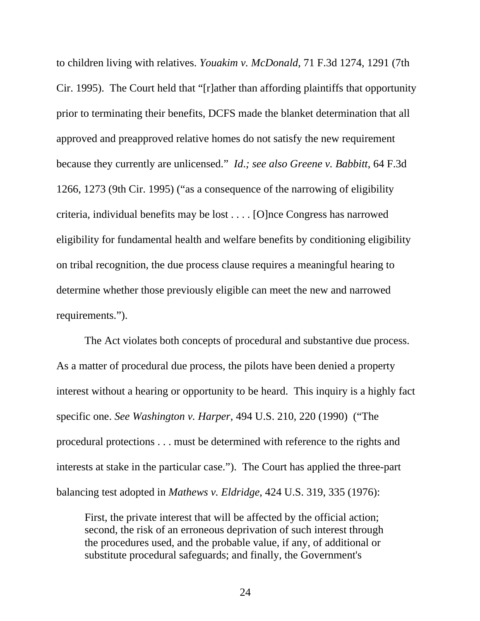to children living with relatives. *Youakim v. McDonald*, 71 F.3d 1274, 1291 (7th Cir. 1995). The Court held that "[r]ather than affording plaintiffs that opportunity prior to terminating their benefits, DCFS made the blanket determination that all approved and preapproved relative homes do not satisfy the new requirement because they currently are unlicensed." *Id*.*; see also Greene v. Babbitt*, 64 F.3d 1266, 1273 (9th Cir. 1995) ("as a consequence of the narrowing of eligibility criteria, individual benefits may be lost . . . . [O]nce Congress has narrowed eligibility for fundamental health and welfare benefits by conditioning eligibility on tribal recognition, the due process clause requires a meaningful hearing to determine whether those previously eligible can meet the new and narrowed requirements.").

 The Act violates both concepts of procedural and substantive due process. As a matter of procedural due process, the pilots have been denied a property interest without a hearing or opportunity to be heard. This inquiry is a highly fact specific one. *See Washington v. Harper*[, 494 U.S. 210, 220 \(1990\)](http://www.lexis.com/research/buttonTFLink?_m=c7f57ba575683cf38464690f6cee963e&_xfercite=%253ccite%20cc%253d%2522USA%2522%253e%253c%2521%255bCDATA%255b913%20F.2d%20230%255d%255d%253e%253c%252fcite%253e&_butType=3&_butStat=2&_butNum=143&_butInline=1&_butinfo=%253ccite%20cc%253d%2522USA%2522%253e%253c%2521%255bCDATA%255b494%20U.S.%20210%255d%255d%253e%253c%252fcite%253e&_fmtstr=FULL&docnum=9&_startdoc=1&wchp=dGLbVlz-zSkAV&_md5=91bcbd292e26994f40ef0fa041c6ce94) ("The procedural protections . . . must be determined with reference to the rights and interests at stake in the particular case."). The Court has applied the three-part balancing test adopted in *Mathews v. Eldridge*[, 424 U.S. 319, 335 \(1976\)](http://www.lexis.com/research/buttonTFLink?_m=c7f57ba575683cf38464690f6cee963e&_xfercite=%253ccite%20cc%253d%2522USA%2522%253e%253c%2521%255bCDATA%255b913%20F.2d%20230%255d%255d%253e%253c%252fcite%253e&_butType=3&_butStat=2&_butNum=153&_butInline=1&_butinfo=%253ccite%20cc%253d%2522USA%2522%253e%253c%2521%255bCDATA%255b424%20U.S.%20319%252c%20335%255d%255d%253e%253c%252fcite%253e&_fmtstr=FULL&docnum=9&_startdoc=1&wchp=dGLbVlz-zSkAV&_md5=74eb3b3633c08b11e3da8fef0840f6f4):

First, the private interest that will be affected by the official action; second, the risk of an erroneous deprivation of such interest through the procedures used, and the probable value, if any, of additional or substitute procedural safeguards; and finally, the Government's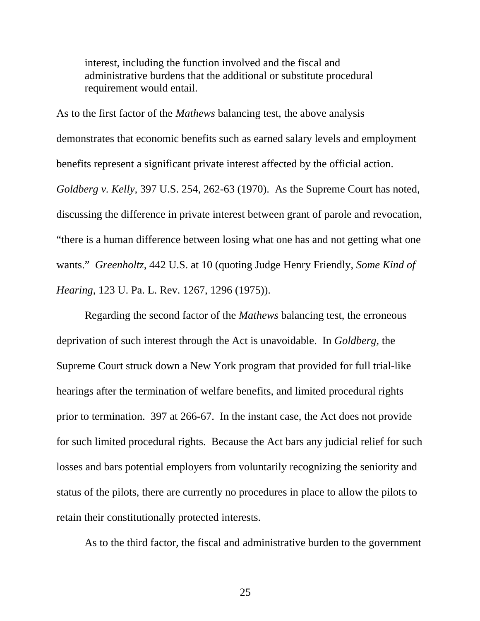interest, including the function involved and the fiscal and administrative burdens that the additional or substitute procedural requirement would entail.

As to the first factor of the *Mathews* balancing test, the above analysis demonstrates that economic benefits such as earned salary levels and employment benefits represent a significant private interest affected by the official action. *Goldberg v. Kelly,* 397 U.S. 254, 262-63 (1970). As the Supreme Court has noted, discussing the difference in private interest between grant of parole and revocation, "there is a human difference between losing what one has and not getting what one wants." *Greenholtz*, 442 U.S. at 10 (quoting Judge Henry Friendly, *[Some Kind of](http://web2.westlaw.com/find/default.wl?tf=-1&rs=WLW8.06&referencepositiontype=S&serialnum=0284400347&fn=_top&sv=Split&referenceposition=1296&findtype=Y&tc=-1&ordoc=1979135121&db=1268&vr=2.0&rp=%2ffind%2fdefault.wl)  Hearing*[, 123 U. Pa. L. Rev. 1267, 1296 \(1975\)](http://web2.westlaw.com/find/default.wl?tf=-1&rs=WLW8.06&referencepositiontype=S&serialnum=0284400347&fn=_top&sv=Split&referenceposition=1296&findtype=Y&tc=-1&ordoc=1979135121&db=1268&vr=2.0&rp=%2ffind%2fdefault.wl)).

 Regarding the second factor of the *Mathews* balancing test, the erroneous deprivation of such interest through the Act is unavoidable. In *Goldberg,* the Supreme Court struck down a New York program that provided for full trial-like hearings after the termination of welfare benefits, and limited procedural rights prior to termination. 397 at 266-67. In the instant case, the Act does not provide for such limited procedural rights. Because the Act bars any judicial relief for such losses and bars potential employers from voluntarily recognizing the seniority and status of the pilots, there are currently no procedures in place to allow the pilots to retain their constitutionally protected interests.

As to the third factor, the fiscal and administrative burden to the government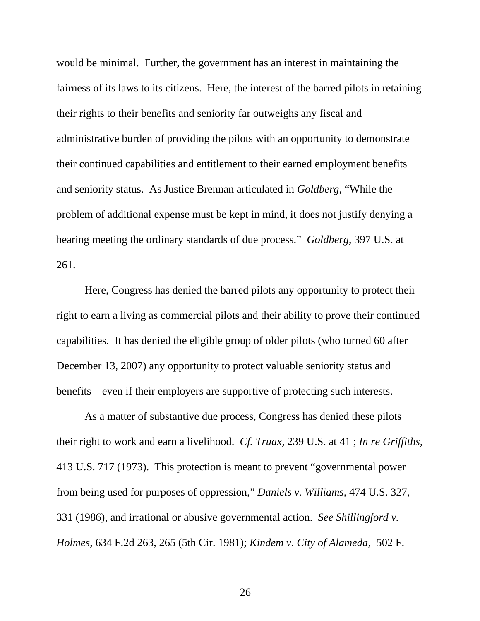would be minimal. Further, the government has an interest in maintaining the fairness of its laws to its citizens. Here, the interest of the barred pilots in retaining their rights to their benefits and seniority far outweighs any fiscal and administrative burden of providing the pilots with an opportunity to demonstrate their continued capabilities and entitlement to their earned employment benefits and seniority status. As Justice Brennan articulated in *Goldberg*, "While the problem of additional expense must be kept in mind, it does not justify denying a hearing meeting the ordinary standards of due process." *Goldberg*, 397 U.S. at 261.

 Here, Congress has denied the barred pilots any opportunity to protect their right to earn a living as commercial pilots and their ability to prove their continued capabilities. It has denied the eligible group of older pilots (who turned 60 after December 13, 2007) any opportunity to protect valuable seniority status and benefits – even if their employers are supportive of protecting such interests.

As a matter of substantive due process, Congress has denied these pilots their right to work and earn a livelihood. *Cf. Truax,* [239 U.S. at 41 ;](http://www.lexis.com/research/buttonTFLink?_m=0738cdaa6575c79674e723bc713b4de8&_xfercite=%253ccite%20cc%253d%2522USA%2522%253e%253c%2521%255bCDATA%255b541%20F.%20Supp.%201187%255d%255d%253e%253c%252fcite%253e&_butType=3&_butStat=2&_butNum=12&_butInline=1&_butinfo=%253ccite%20cc%253d%2522USA%2522%253e%253c%2521%255bCDATA%255b239%20U.S.%2033%252c%2041%255d%255d%253e%253c%252fcite%253e&_fmtstr=FULL&docnum=7&_startdoc=1&wchp=dGLbVlz-zSkAV&_md5=8e7beea25697ef9471d69cad2d4e7035) *[In re Griffiths](http://www.lexis.com/research/buttonTFLink?_m=0738cdaa6575c79674e723bc713b4de8&_xfercite=%253ccite%20cc%253d%2522USA%2522%253e%253c%2521%255bCDATA%255b541%20F.%20Supp.%201187%255d%255d%253e%253c%252fcite%253e&_butType=3&_butStat=2&_butNum=13&_butInline=1&_butinfo=%253ccite%20cc%253d%2522USA%2522%253e%253c%2521%255bCDATA%255b413%20U.S.%20717%255d%255d%253e%253c%252fcite%253e&_fmtstr=FULL&docnum=7&_startdoc=1&wchp=dGLbVlz-zSkAV&_md5=f6d021a9dd5b751eb7c4c06688e5f9dd)*, [413 U.S. 717 \(1973\).](http://www.lexis.com/research/buttonTFLink?_m=0738cdaa6575c79674e723bc713b4de8&_xfercite=%253ccite%20cc%253d%2522USA%2522%253e%253c%2521%255bCDATA%255b541%20F.%20Supp.%201187%255d%255d%253e%253c%252fcite%253e&_butType=3&_butStat=2&_butNum=13&_butInline=1&_butinfo=%253ccite%20cc%253d%2522USA%2522%253e%253c%2521%255bCDATA%255b413%20U.S.%20717%255d%255d%253e%253c%252fcite%253e&_fmtstr=FULL&docnum=7&_startdoc=1&wchp=dGLbVlz-zSkAV&_md5=f6d021a9dd5b751eb7c4c06688e5f9dd) This protection is meant to prevent "governmental power from being used for purposes of oppression," *[Daniels v. Williams](http://www.lexis.com/research/buttonTFLink?_m=4f9ad9e26c9ffce1f28180f877ff1f63&_xfercite=%253ccite%20cc%253d%2522USA%2522%253e%253c%2521%255bCDATA%255b859%20F.2d%20929%255d%255d%253e%253c%252fcite%253e&_butType=3&_butStat=2&_butNum=143&_butInline=1&_butinfo=%253ccite%20cc%253d%2522USA%2522%253e%253c%2521%255bCDATA%255b474%20U.S.%20327%252c%20331%255d%255d%253e%253c%252fcite%253e&_fmtstr=FULL&docnum=8&_startdoc=1&wchp=dGLbVlz-zSkAV&_md5=ed3ed041288b6d53525b6ca4c5509953)*, 474 U.S. 327, [331 \(1986\),](http://www.lexis.com/research/buttonTFLink?_m=4f9ad9e26c9ffce1f28180f877ff1f63&_xfercite=%253ccite%20cc%253d%2522USA%2522%253e%253c%2521%255bCDATA%255b859%20F.2d%20929%255d%255d%253e%253c%252fcite%253e&_butType=3&_butStat=2&_butNum=143&_butInline=1&_butinfo=%253ccite%20cc%253d%2522USA%2522%253e%253c%2521%255bCDATA%255b474%20U.S.%20327%252c%20331%255d%255d%253e%253c%252fcite%253e&_fmtstr=FULL&docnum=8&_startdoc=1&wchp=dGLbVlz-zSkAV&_md5=ed3ed041288b6d53525b6ca4c5509953) and irrational or abusive governmental action. *See [Shillingford v.](http://www.lexis.com/research/buttonTFLink?_m=4f9ad9e26c9ffce1f28180f877ff1f63&_xfercite=%253ccite%20cc%253d%2522USA%2522%253e%253c%2521%255bCDATA%255b859%20F.2d%20929%255d%255d%253e%253c%252fcite%253e&_butType=3&_butStat=2&_butNum=144&_butInline=1&_butinfo=%253ccite%20cc%253d%2522USA%2522%253e%253c%2521%255bCDATA%255b634%20F.2d%20263%252c%20265%255d%255d%253e%253c%252fcite%253e&_fmtstr=FULL&docnum=8&_startdoc=1&wchp=dGLbVlz-zSkAV&_md5=646e42d24cf746a9eb0b88c1a0e1dc0f)  Holmes*[, 634 F.2d 263, 265 \(5th Cir. 1981\)](http://www.lexis.com/research/buttonTFLink?_m=4f9ad9e26c9ffce1f28180f877ff1f63&_xfercite=%253ccite%20cc%253d%2522USA%2522%253e%253c%2521%255bCDATA%255b859%20F.2d%20929%255d%255d%253e%253c%252fcite%253e&_butType=3&_butStat=2&_butNum=144&_butInline=1&_butinfo=%253ccite%20cc%253d%2522USA%2522%253e%253c%2521%255bCDATA%255b634%20F.2d%20263%252c%20265%255d%255d%253e%253c%252fcite%253e&_fmtstr=FULL&docnum=8&_startdoc=1&wchp=dGLbVlz-zSkAV&_md5=646e42d24cf746a9eb0b88c1a0e1dc0f); *[Kindem v. City of Alameda](http://www.lexis.com/research/buttonTFLink?_m=4f9ad9e26c9ffce1f28180f877ff1f63&_xfercite=%253ccite%20cc%253d%2522USA%2522%253e%253c%2521%255bCDATA%255b859%20F.2d%20929%255d%255d%253e%253c%252fcite%253e&_butType=3&_butStat=2&_butNum=145&_butInline=1&_butinfo=%253ccite%20cc%253d%2522USA%2522%253e%253c%2521%255bCDATA%255b502%20F.%20Supp.%201108%252c%201113%255d%255d%253e%253c%252fcite%253e&_fmtstr=FULL&docnum=8&_startdoc=1&wchp=dGLbVlz-zSkAV&_md5=3b746a3f0c2d8999d6a8a1bb8025f75f)*, 502 F.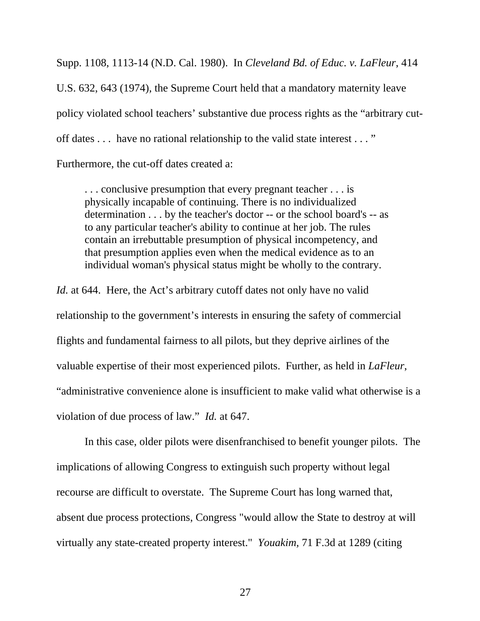[Supp. 1108, 1113-14 \(N.D. Cal. 1980\)](http://www.lexis.com/research/buttonTFLink?_m=4f9ad9e26c9ffce1f28180f877ff1f63&_xfercite=%253ccite%20cc%253d%2522USA%2522%253e%253c%2521%255bCDATA%255b859%20F.2d%20929%255d%255d%253e%253c%252fcite%253e&_butType=3&_butStat=2&_butNum=145&_butInline=1&_butinfo=%253ccite%20cc%253d%2522USA%2522%253e%253c%2521%255bCDATA%255b502%20F.%20Supp.%201108%252c%201113%255d%255d%253e%253c%252fcite%253e&_fmtstr=FULL&docnum=8&_startdoc=1&wchp=dGLbVlz-zSkAV&_md5=3b746a3f0c2d8999d6a8a1bb8025f75f). In *Cleveland Bd. of Educ. v. LaFleur*, 414 U.S. 632, 643 (1974), the Supreme Court held that a mandatory maternity leave policy violated school teachers' substantive due process rights as the "arbitrary cutoff dates . . . have no rational relationship to the valid state interest . . . " Furthermore, the cut-off dates created a:

. . . conclusive presumption that every pregnant teacher . . . is physically incapable of continuing. There is no individualized determination . . . by the teacher's doctor -- or the school board's -- as to any particular teacher's ability to continue at her job. The rules contain an irrebuttable presumption of physical incompetency, and that presumption applies even when the medical evidence as to an individual woman's physical status might be wholly to the contrary.

*Id.* at 644. Here, the Act's arbitrary cutoff dates not only have no valid relationship to the government's interests in ensuring the safety of commercial flights and fundamental fairness to all pilots, but they deprive airlines of the valuable expertise of their most experienced pilots. Further, as held in *LaFleur*, "administrative convenience alone is insufficient to make valid what otherwise is a violation of due process of law." *Id.* at 647.

In this case, older pilots were disenfranchised to benefit younger pilots. The implications of allowing Congress to extinguish such property without legal recourse are difficult to overstate. The Supreme Court has long warned that, absent due process protections, Congress "would allow the State to destroy at will virtually any state-created property interest." *Youakim,* [71 F.3d at 1289 \(citing](http://web2.westlaw.com/find/default.wl?vc=0&ordoc=1995242570&rp=%2ffind%2fdefault.wl&DB=708&SerialNum=1982108988&FindType=Y&ReferencePositionType=S&ReferencePosition=1155&AP=&fn=_top&rs=WLW8.06&mt=LawSchoolPractitioner&vr=2.0&sv=Split)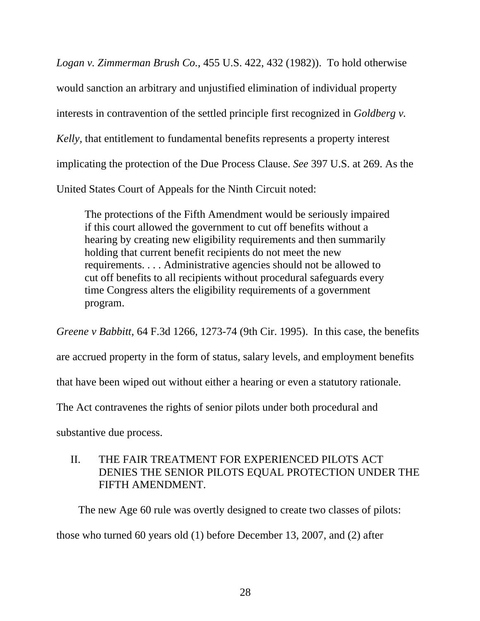*[Logan v. Zimmerman Brush Co.](http://web2.westlaw.com/find/default.wl?vc=0&ordoc=1995242570&rp=%2ffind%2fdefault.wl&DB=708&SerialNum=1982108988&FindType=Y&ReferencePositionType=S&ReferencePosition=1155&AP=&fn=_top&rs=WLW8.06&mt=LawSchoolPractitioner&vr=2.0&sv=Split)*, 455 U.S. 422, 432 (1982)). To hold otherwise would sanction an arbitrary and unjustified elimination of individual property interests in contravention of the settled principle first recognized in *Goldberg v. Kelly,* that entitlement to fundamental benefits represents a property interest implicating the protection of the Due Process Clause. *See* [397 U.S. at 269.](http://web2.westlaw.com/find/default.wl?tf=-1&rs=WLW8.06&referencepositiontype=S&serialnum=1970134198&fn=_top&sv=Split&referenceposition=1021&findtype=Y&tc=-1&ordoc=1995175195&db=708&vr=2.0&rp=%2ffind%2fdefault.wl&mt=LawSchoolPractitioner) As the United States Court of Appeals for the Ninth Circuit noted:

The protections of the Fifth Amendment would be seriously impaired if this court allowed the government to cut off benefits without a hearing by creating new eligibility requirements and then summarily holding that current benefit recipients do not meet the new requirements. . . . Administrative agencies should not be allowed to cut off benefits to all recipients without procedural safeguards every time Congress alters the eligibility requirements of a government program.

*Greene v Babbitt*, 64 F.3d 1266, 1273-74 (9th Cir. 1995). In this case, the benefits are accrued property in the form of status, salary levels, and employment benefits that have been wiped out without either a hearing or even a statutory rationale. The Act contravenes the rights of senior pilots under both procedural and substantive due process.

# II. THE FAIR TREATMENT FOR EXPERIENCED PILOTS ACT DENIES THE SENIOR PILOTS EQUAL PROTECTION UNDER THE FIFTH AMENDMENT.

 The new Age 60 rule was overtly designed to create two classes of pilots: those who turned 60 years old (1) before December 13, 2007, and (2) after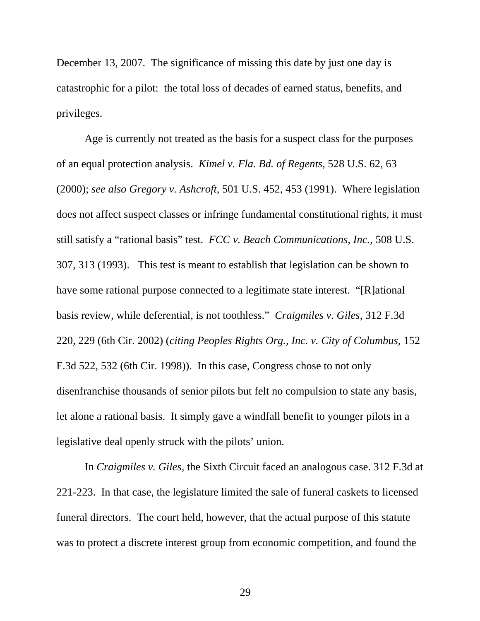December 13, 2007. The significance of missing this date by just one day is catastrophic for a pilot: the total loss of decades of earned status, benefits, and privileges.

Age is currently not treated as the basis for a suspect class for the purposes of an equal protection analysis. *[Kimel v. Fla. Bd. of Regents](http://www.westlaw.com/Find/Default.wl?rs=dfa1.0&vr=2.0&DB=0000960&FindType=Y&SerialNum=2000028881)*, 528 U.S. 62, 63 [\(2000\)](http://www.westlaw.com/Find/Default.wl?rs=dfa1.0&vr=2.0&DB=0000960&FindType=Y&SerialNum=2000028881); *see also Gregory v. Ashcroft,* 501 U.S. 452, 453 (1991). Where legislation does not affect suspect classes or infringe fundamental constitutional rights, it must still satisfy a "rational basis" test. *FCC v. Beach Communications, Inc.*, 508 U.S. 307, 313 (1993). This test is meant to establish that legislation can be shown to have some rational purpose connected to a legitimate state interest. "[R]ational basis review, while deferential, is not toothless." *Craigmiles v. Giles*, 312 F.3d 220, 229 (6th Cir. 2002) (*citing Peoples Rights Org., Inc. v. City of Columbus*, 152 F.3d 522, 532 (6th Cir. 1998)). In this case, Congress chose to not only disenfranchise thousands of senior pilots but felt no compulsion to state any basis, let alone a rational basis. It simply gave a windfall benefit to younger pilots in a legislative deal openly struck with the pilots' union.

In *Craigmiles v. Giles*, the Sixth Circuit faced an analogous case. 312 F.3d at 221-223. In that case, the legislature limited the sale of funeral caskets to licensed funeral directors. The court held, however, that the actual purpose of this statute was to protect a discrete interest group from economic competition, and found the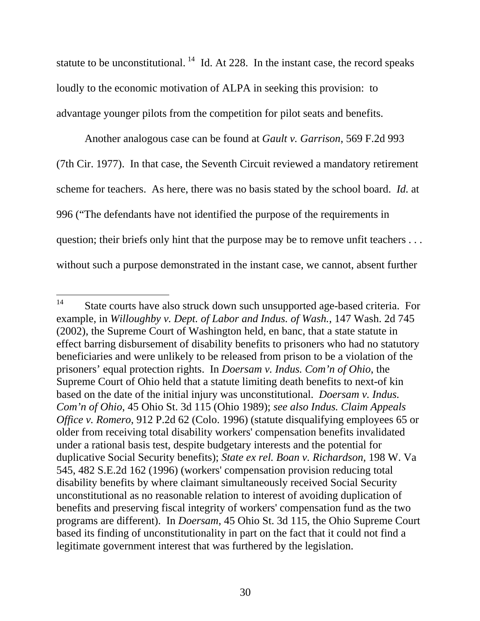statute to be unconstitutional.  $^{14}$  $^{14}$  $^{14}$  Id. At 228. In the instant case, the record speaks loudly to the economic motivation of ALPA in seeking this provision: to advantage younger pilots from the competition for pilot seats and benefits.

Another analogous case can be found at *Gault v. Garrison*, 569 F.2d 993 (7th Cir. 1977). In that case, the Seventh Circuit reviewed a mandatory retirement scheme for teachers. As here, there was no basis stated by the school board. *Id.* at 996 ("The defendants have not identified the purpose of the requirements in question; their briefs only hint that the purpose may be to remove unfit teachers ... without such a purpose demonstrated in the instant case, we cannot, absent further

<span id="page-44-0"></span> $14$ State courts have also struck down such unsupported age-based criteria. For example, in *Willoughby v. Dept. of Labor and Indus. of Wash.*, 147 Wash. 2d 745 (2002), the Supreme Court of Washington held, en banc, that a state statute in effect barring disbursement of disability benefits to prisoners who had no statutory beneficiaries and were unlikely to be released from prison to be a violation of the prisoners' equal protection rights. In *Doersam v. Indus. Com'n of Ohio*, the Supreme Court of Ohio held that a statute limiting death benefits to next-of kin based on the date of the initial injury was unconstitutional. *Doersam v. Indus. Com'n of Ohio*, 45 Ohio St. 3d 115 (Ohio 1989); *see also Indus. Claim Appeals Office v. Romero*, 912 P.2d 62 (Colo. 1996) (statute disqualifying employees 65 or older from receiving total disability workers' compensation benefits invalidated under a rational basis test, despite budgetary interests and the potential for duplicative Social Security benefits); *State ex rel. Boan v. Richardson*, 198 W. Va 545, 482 S.E.2d 162 (1996) (workers' compensation provision reducing total disability benefits by where claimant simultaneously received Social Security unconstitutional as no reasonable relation to interest of avoiding duplication of benefits and preserving fiscal integrity of workers' compensation fund as the two programs are different). In *Doersam*, 45 Ohio St. 3d 115, the Ohio Supreme Court based its finding of unconstitutionality in part on the fact that it could not find a legitimate government interest that was furthered by the legislation.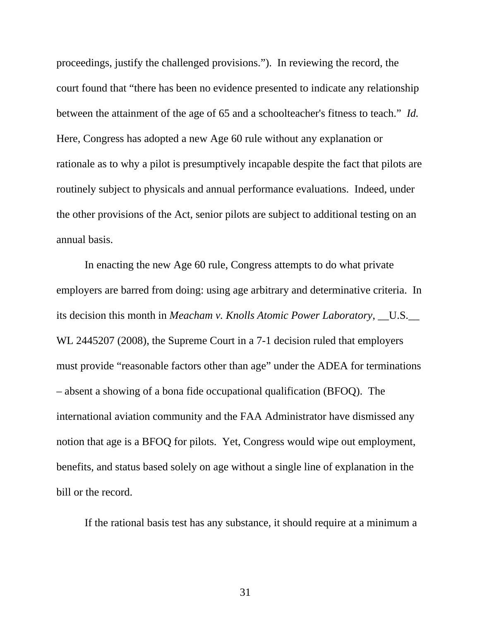proceedings, justify the challenged provisions."). In reviewing the record, the court found that "there has been no evidence presented to indicate any relationship between the attainment of the age of 65 and a schoolteacher's fitness to teach." *Id.* Here, Congress has adopted a new Age 60 rule without any explanation or rationale as to why a pilot is presumptively incapable despite the fact that pilots are routinely subject to physicals and annual performance evaluations. Indeed, under the other provisions of the Act, senior pilots are subject to additional testing on an annual basis.

In enacting the new Age 60 rule, Congress attempts to do what private employers are barred from doing: using age arbitrary and determinative criteria. In its decision this month in *Meacham v. Knolls Atomic Power Laboratory*, \_\_U.S.\_\_ WL 2445207 (2008), the Supreme Court in a 7-1 decision ruled that employers must provide "reasonable factors other than age" under the ADEA for terminations – absent a showing of a bona fide occupational qualification (BFOQ). The international aviation community and the FAA Administrator have dismissed any notion that age is a BFOQ for pilots. Yet, Congress would wipe out employment, benefits, and status based solely on age without a single line of explanation in the bill or the record.

If the rational basis test has any substance, it should require at a minimum a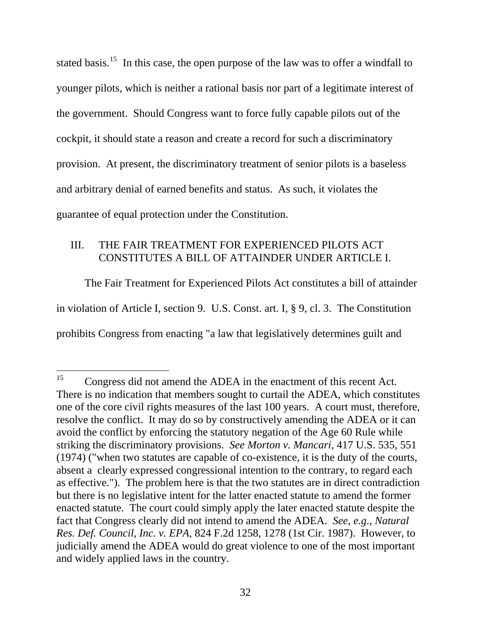stated basis.<sup>[15](#page-46-0)</sup> In this case, the open purpose of the law was to offer a windfall to younger pilots, which is neither a rational basis nor part of a legitimate interest of the government. Should Congress want to force fully capable pilots out of the cockpit, it should state a reason and create a record for such a discriminatory provision. At present, the discriminatory treatment of senior pilots is a baseless and arbitrary denial of earned benefits and status. As such, it violates the guarantee of equal protection under the Constitution.

### III. THE FAIR TREATMENT FOR EXPERIENCED PILOTS ACT CONSTITUTES A BILL OF ATTAINDER UNDER ARTICLE I.

The Fair Treatment for Experienced Pilots Act constitutes a bill of attainder in violation of Article I, section 9. [U.S. Const. art. I, § 9, cl. 3.](http://www.lexis.com/research/buttonTFLink?_m=52a15f02cfada1e8ab9931dc320832bc&_xfercite=%253ccite%20cc%253d%2522USA%2522%253e%253c%2521%255bCDATA%255b359%20U.S.%20App.%20D.C.%2054%255d%255d%253e%253c%252fcite%253e&_butType=4&_butStat=0&_butNum=165&_butInline=1&_butinfo=U.S.%20CONST.%20ART.%20I%209%203&_fmtstr=FULL&docnum=19&_startdoc=11&wchp=dGLbVzb-zSkAW&_md5=b4b82a688abfde8b363be089915b758a) The Constitution prohibits Congress from enacting "a law that legislatively determines guilt and

 $\overline{a}$ 

<span id="page-46-0"></span><sup>&</sup>lt;sup>15</sup> Congress did not amend the ADEA in the enactment of this recent Act. There is no indication that members sought to curtail the ADEA, which constitutes one of the core civil rights measures of the last 100 years. A court must, therefore, resolve the conflict. It may do so by constructively amending the ADEA or it can avoid the conflict by enforcing the statutory negation of the Age 60 Rule while striking the discriminatory provisions. *See Morton v. Mancari*[, 417 U.S. 535, 551](http://www.seniorpilotscoalition.org)  [\(1974\)](http://www.seniorpilotscoalition.org) ("when two statutes are capable of co-existence, it is the duty of the courts, absent a clearly expressed congressional intention to the contrary, to regard each as effective."). The problem here is that the two statutes are in direct contradiction but there is no legislative intent for the latter enacted statute to amend the former enacted statute. The court could simply apply the later enacted statute despite the fact that Congress clearly did not intend to amend the ADEA. *See, e.g*., *[Natural](http://www.seniorpilotscoalition.org)  Res. Def. Council, Inc. v. EPA*[, 824 F.2d 1258, 1278 \(1st Cir. 1987\)](http://www.seniorpilotscoalition.org). However, to judicially amend the ADEA would do great violence to one of the most important and widely applied laws in the country.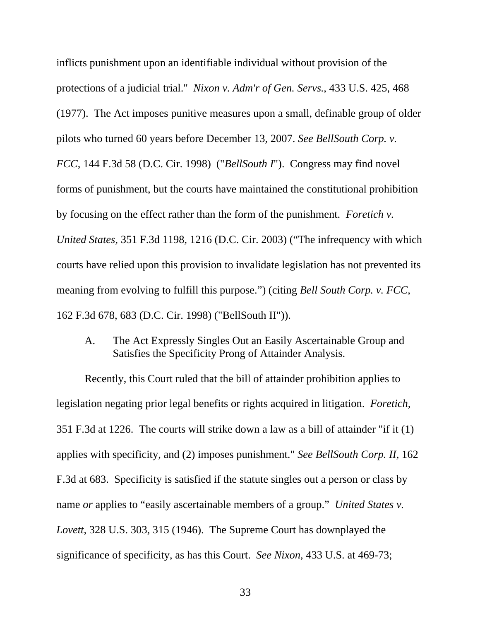inflicts punishment upon an identifiable individual without provision of the protections of a judicial trial." *[Nixon v. Adm'r of Gen. Servs.](http://www.lexis.com/research/buttonTFLink?_m=d213ca33fc7b82570c82629340018b7d&_xfercite=%253ccite%20cc%253d%2522USA%2522%253e%253c%2521%255bCDATA%255b359%20U.S.%20App.%20D.C.%2054%255d%255d%253e%253c%252fcite%253e&_butType=3&_butStat=2&_butNum=167&_butInline=1&_butinfo=%253ccite%20cc%253d%2522USA%2522%253e%253c%2521%255bCDATA%255b433%20U.S.%20425%252c%20468%255d%255d%253e%253c%252fcite%253e&_fmtstr=FULL&docnum=19&_startdoc=11&wchp=dGLbVlW-zSkAb&_md5=ae4ade3fd08296aaddfe3d12af378901)*, 433 U.S. 425, 468 [\(1977\)](http://www.lexis.com/research/buttonTFLink?_m=d213ca33fc7b82570c82629340018b7d&_xfercite=%253ccite%20cc%253d%2522USA%2522%253e%253c%2521%255bCDATA%255b359%20U.S.%20App.%20D.C.%2054%255d%255d%253e%253c%252fcite%253e&_butType=3&_butStat=2&_butNum=167&_butInline=1&_butinfo=%253ccite%20cc%253d%2522USA%2522%253e%253c%2521%255bCDATA%255b433%20U.S.%20425%252c%20468%255d%255d%253e%253c%252fcite%253e&_fmtstr=FULL&docnum=19&_startdoc=11&wchp=dGLbVlW-zSkAb&_md5=ae4ade3fd08296aaddfe3d12af378901). The Act imposes punitive measures upon a small, definable group of older pilots who turned 60 years before December 13, 2007. *See [BellSouth Corp. v.](http://www.lexis.com/research/buttonTFLink?_m=d213ca33fc7b82570c82629340018b7d&_xfercite=%253ccite%20cc%253d%2522USA%2522%253e%253c%2521%255bCDATA%255b359%20U.S.%20App.%20D.C.%2054%255d%255d%253e%253c%252fcite%253e&_butType=3&_butStat=2&_butNum=171&_butInline=1&_butinfo=%253ccite%20cc%253d%2522USA%2522%253e%253c%2521%255bCDATA%255b144%20F.3d%2058%252c%2062%255d%255d%253e%253c%252fcite%253e&_fmtstr=FULL&docnum=19&_startdoc=11&wchp=dGLbVlW-zSkAb&_md5=c41daf1431822880f77874cdb46ca44e)  [FCC](http://www.lexis.com/research/buttonTFLink?_m=d213ca33fc7b82570c82629340018b7d&_xfercite=%253ccite%20cc%253d%2522USA%2522%253e%253c%2521%255bCDATA%255b359%20U.S.%20App.%20D.C.%2054%255d%255d%253e%253c%252fcite%253e&_butType=3&_butStat=2&_butNum=171&_butInline=1&_butinfo=%253ccite%20cc%253d%2522USA%2522%253e%253c%2521%255bCDATA%255b144%20F.3d%2058%252c%2062%255d%255d%253e%253c%252fcite%253e&_fmtstr=FULL&docnum=19&_startdoc=11&wchp=dGLbVlW-zSkAb&_md5=c41daf1431822880f77874cdb46ca44e)*, 144 F.3d 58 (D.C. Cir. 1998) ("*BellSouth I*"). Congress may find novel forms of punishment, but the courts have maintained the constitutional prohibition by focusing on the effect rather than the form of the punishment. *Foretich v. United States*, 351 F.3d 1198, 1216 (D.C. Cir. 2003) ("The infrequency with which courts have relied upon this provision to invalidate legislation has not prevented its meaning from evolving to fulfill this purpose.") (citing *[Bell South](http://www.lexis.com/research/buttonTFLink?_m=d213ca33fc7b82570c82629340018b7d&_xfercite=%253ccite%20cc%253d%2522USA%2522%253e%253c%2521%255bCDATA%255b359%20U.S.%20App.%20D.C.%2054%255d%255d%253e%253c%252fcite%253e&_butType=3&_butStat=2&_butNum=170&_butInline=1&_butinfo=%253ccite%20cc%253d%2522USA%2522%253e%253c%2521%255bCDATA%255b162%20F.3d%20678%252c%20683%255d%255d%253e%253c%252fcite%253e&_fmtstr=FULL&docnum=19&_startdoc=11&wchp=dGLbVlW-zSkAb&_md5=405d4d44d1f9d7d9d259820d45bd783c) Corp. v. FCC*, [162 F.3d 678, 683 \(D.C. Cir. 1998\)](http://www.lexis.com/research/buttonTFLink?_m=d213ca33fc7b82570c82629340018b7d&_xfercite=%253ccite%20cc%253d%2522USA%2522%253e%253c%2521%255bCDATA%255b359%20U.S.%20App.%20D.C.%2054%255d%255d%253e%253c%252fcite%253e&_butType=3&_butStat=2&_butNum=170&_butInline=1&_butinfo=%253ccite%20cc%253d%2522USA%2522%253e%253c%2521%255bCDATA%255b162%20F.3d%20678%252c%20683%255d%255d%253e%253c%252fcite%253e&_fmtstr=FULL&docnum=19&_startdoc=11&wchp=dGLbVlW-zSkAb&_md5=405d4d44d1f9d7d9d259820d45bd783c) ("BellSouth II")).

A. The Act Expressly Singles Out an Easily Ascertainable Group and Satisfies the Specificity Prong of Attainder Analysis.

Recently, this Court ruled that the bill of attainder prohibition applies to legislation negating prior legal benefits or rights acquired in litigation. *Foretich,*  351 F.3d at 1226. The courts will strike down a law as a bill of attainder "if it (1) applies with specificity, and (2) imposes punishment." *See [BellSouth Corp. II,](http://www.lexis.com/research/buttonTFLink?_m=52a15f02cfada1e8ab9931dc320832bc&_xfercite=%253ccite%20cc%253d%2522USA%2522%253e%253c%2521%255bCDATA%255b359%20U.S.%20App.%20D.C.%2054%255d%255d%253e%253c%252fcite%253e&_butType=3&_butStat=2&_butNum=170&_butInline=1&_butinfo=%253ccite%20cc%253d%2522USA%2522%253e%253c%2521%255bCDATA%255b162%20F.3d%20678%252c%20683%255d%255d%253e%253c%252fcite%253e&_fmtstr=FULL&docnum=19&_startdoc=11&wchp=dGLbVzb-zSkAW&_md5=7eed78b94b414a16efbeb133fd4f964d)* 162 [F.3d at 683](http://www.lexis.com/research/buttonTFLink?_m=52a15f02cfada1e8ab9931dc320832bc&_xfercite=%253ccite%20cc%253d%2522USA%2522%253e%253c%2521%255bCDATA%255b359%20U.S.%20App.%20D.C.%2054%255d%255d%253e%253c%252fcite%253e&_butType=3&_butStat=2&_butNum=170&_butInline=1&_butinfo=%253ccite%20cc%253d%2522USA%2522%253e%253c%2521%255bCDATA%255b162%20F.3d%20678%252c%20683%255d%255d%253e%253c%252fcite%253e&_fmtstr=FULL&docnum=19&_startdoc=11&wchp=dGLbVzb-zSkAW&_md5=7eed78b94b414a16efbeb133fd4f964d). Specificity is satisfied if the statute singles out a person or class by name *or* applies to "easily ascertainable members of a group." *[United States v.](http://www.lexis.com/research/buttonTFLink?_m=52a15f02cfada1e8ab9931dc320832bc&_xfercite=%253ccite%20cc%253d%2522USA%2522%253e%253c%2521%255bCDATA%255b359%20U.S.%20App.%20D.C.%2054%255d%255d%253e%253c%252fcite%253e&_butType=3&_butStat=2&_butNum=181&_butInline=1&_butinfo=%253ccite%20cc%253d%2522USA%2522%253e%253c%2521%255bCDATA%255b328%20U.S.%20303%252c%20315%255d%255d%253e%253c%252fcite%253e&_fmtstr=FULL&docnum=19&_startdoc=11&wchp=dGLbVzb-zSkAW&_md5=87d5eefc893fcd814e421d5791b077b0)  Lovett*[, 328 U.S. 303, 315 \(1946\).](http://www.lexis.com/research/buttonTFLink?_m=52a15f02cfada1e8ab9931dc320832bc&_xfercite=%253ccite%20cc%253d%2522USA%2522%253e%253c%2521%255bCDATA%255b359%20U.S.%20App.%20D.C.%2054%255d%255d%253e%253c%252fcite%253e&_butType=3&_butStat=2&_butNum=181&_butInline=1&_butinfo=%253ccite%20cc%253d%2522USA%2522%253e%253c%2521%255bCDATA%255b328%20U.S.%20303%252c%20315%255d%255d%253e%253c%252fcite%253e&_fmtstr=FULL&docnum=19&_startdoc=11&wchp=dGLbVzb-zSkAW&_md5=87d5eefc893fcd814e421d5791b077b0) The Supreme Court has downplayed the significance of specificity, as has this Court. *See Nixon,* [433 U.S. at 469-73;](http://www.lexis.com/research/buttonTFLink?_m=d213ca33fc7b82570c82629340018b7d&_xfercite=%253ccite%20cc%253d%2522USA%2522%253e%253c%2521%255bCDATA%255b359%20U.S.%20App.%20D.C.%2054%255d%255d%253e%253c%252fcite%253e&_butType=3&_butStat=2&_butNum=182&_butInline=1&_butinfo=%253ccite%20cc%253d%2522USA%2522%253e%253c%2521%255bCDATA%255b433%20U.S.%20425%252c%20469%255d%255d%253e%253c%252fcite%253e&_fmtstr=FULL&docnum=19&_startdoc=11&wchp=dGLbVlW-zSkAb&_md5=952a3d5770b18ccf412faf7a239649a4)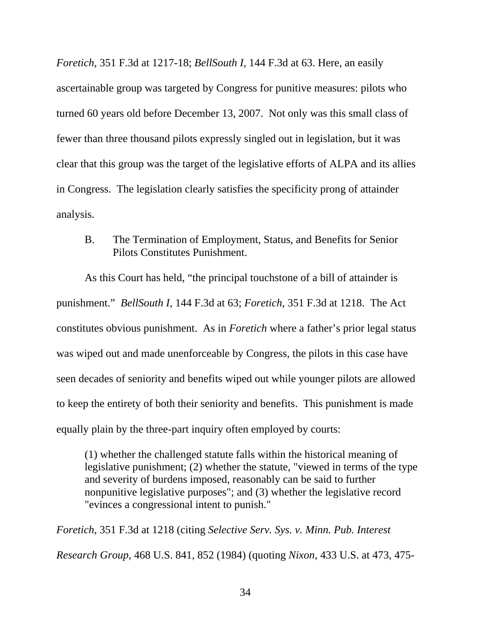*Foretich*, 351 F.3d at 1217-18; *BellSouth I,* [144 F.3d at 63.](http://www.lexis.com/research/buttonTFLink?_m=d213ca33fc7b82570c82629340018b7d&_xfercite=%253ccite%20cc%253d%2522USA%2522%253e%253c%2521%255bCDATA%255b359%20U.S.%20App.%20D.C.%2054%255d%255d%253e%253c%252fcite%253e&_butType=3&_butStat=2&_butNum=187&_butInline=1&_butinfo=%253ccite%20cc%253d%2522USA%2522%253e%253c%2521%255bCDATA%255b144%20F.3d%2058%252c%2063%255d%255d%253e%253c%252fcite%253e&_fmtstr=FULL&docnum=19&_startdoc=11&wchp=dGLbVlW-zSkAb&_md5=7211d35df1dec5efae0073ab9be7dbf5) Here, an easily ascertainable group was targeted by Congress for punitive measures: pilots who turned 60 years old before December 13, 2007. Not only was this small class of fewer than three thousand pilots expressly singled out in legislation, but it was clear that this group was the target of the legislative efforts of ALPA and its allies in Congress. The legislation clearly satisfies the specificity prong of attainder analysis.

B. The Termination of Employment, Status, and Benefits for Senior Pilots Constitutes Punishment.

As this Court has held, "the principal touchstone of a bill of attainder is punishment." *BellSouth I,* 144 F.3d at 63; *Foretich*, 351 F.3d at 1218. The Act constitutes obvious punishment. As in *Foretich* where a father's prior legal status was wiped out and made unenforceable by Congress, the pilots in this case have seen decades of seniority and benefits wiped out while younger pilots are allowed to keep the entirety of both their seniority and benefits. This punishment is made equally plain by the three-part inquiry often employed by courts:

(1) whether the challenged statute falls within the historical meaning of legislative punishment; (2) whether the statute, "viewed in terms of the type and severity of burdens imposed, reasonably can be said to further nonpunitive legislative purposes"; and (3) whether the legislative record "evinces a congressional intent to punish."

*Foretich*, 351 F.3d at 1218 (citing *[Selective Serv. Sys. v. Minn. Pub. Interest](http://www.lexis.com/research/buttonTFLink?_m=52a15f02cfada1e8ab9931dc320832bc&_xfercite=%253ccite%20cc%253d%2522USA%2522%253e%253c%2521%255bCDATA%255b359%20U.S.%20App.%20D.C.%2054%255d%255d%253e%253c%252fcite%253e&_butType=3&_butStat=2&_butNum=189&_butInline=1&_butinfo=%253ccite%20cc%253d%2522USA%2522%253e%253c%2521%255bCDATA%255b468%20U.S.%20841%252c%20852%255d%255d%253e%253c%252fcite%253e&_fmtstr=FULL&docnum=19&_startdoc=11&wchp=dGLbVzb-zSkAW&_md5=48d5b844886966ba6e6fabec38129d8f)  Research Group*[, 468 U.S. 841, 852 \(1984\)](http://www.lexis.com/research/buttonTFLink?_m=52a15f02cfada1e8ab9931dc320832bc&_xfercite=%253ccite%20cc%253d%2522USA%2522%253e%253c%2521%255bCDATA%255b359%20U.S.%20App.%20D.C.%2054%255d%255d%253e%253c%252fcite%253e&_butType=3&_butStat=2&_butNum=189&_butInline=1&_butinfo=%253ccite%20cc%253d%2522USA%2522%253e%253c%2521%255bCDATA%255b468%20U.S.%20841%252c%20852%255d%255d%253e%253c%252fcite%253e&_fmtstr=FULL&docnum=19&_startdoc=11&wchp=dGLbVzb-zSkAW&_md5=48d5b844886966ba6e6fabec38129d8f) (quoting *Nixon*[, 433 U.S. at 473, 475-](http://www.lexis.com/research/buttonTFLink?_m=52a15f02cfada1e8ab9931dc320832bc&_xfercite=%253ccite%20cc%253d%2522USA%2522%253e%253c%2521%255bCDATA%255b359%20U.S.%20App.%20D.C.%2054%255d%255d%253e%253c%252fcite%253e&_butType=3&_butStat=2&_butNum=190&_butInline=1&_butinfo=%253ccite%20cc%253d%2522USA%2522%253e%253c%2521%255bCDATA%255b433%20U.S.%20425%252c%20473%255d%255d%253e%253c%252fcite%253e&_fmtstr=FULL&docnum=19&_startdoc=11&wchp=dGLbVzb-zSkAW&_md5=7c0a1a50e7c0254e851f32640750927b)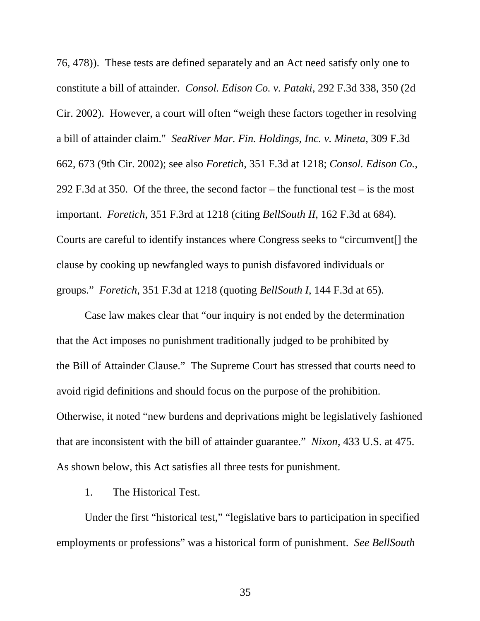[76, 478\)\)](http://www.lexis.com/research/buttonTFLink?_m=52a15f02cfada1e8ab9931dc320832bc&_xfercite=%253ccite%20cc%253d%2522USA%2522%253e%253c%2521%255bCDATA%255b359%20U.S.%20App.%20D.C.%2054%255d%255d%253e%253c%252fcite%253e&_butType=3&_butStat=2&_butNum=190&_butInline=1&_butinfo=%253ccite%20cc%253d%2522USA%2522%253e%253c%2521%255bCDATA%255b433%20U.S.%20425%252c%20473%255d%255d%253e%253c%252fcite%253e&_fmtstr=FULL&docnum=19&_startdoc=11&wchp=dGLbVzb-zSkAW&_md5=7c0a1a50e7c0254e851f32640750927b). These tests are defined separately and an Act need satisfy only one to constitute a bill of attainder. *[Consol. Edison Co. v. Pataki](http://www.lexis.com/research/buttonTFLink?_m=52a15f02cfada1e8ab9931dc320832bc&_xfercite=%253ccite%20cc%253d%2522USA%2522%253e%253c%2521%255bCDATA%255b359%20U.S.%20App.%20D.C.%2054%255d%255d%253e%253c%252fcite%253e&_butType=3&_butStat=2&_butNum=194&_butInline=1&_butinfo=%253ccite%20cc%253d%2522USA%2522%253e%253c%2521%255bCDATA%255b292%20F.3d%20338%252c%20350%255d%255d%253e%253c%252fcite%253e&_fmtstr=FULL&docnum=19&_startdoc=11&wchp=dGLbVzb-zSkAW&_md5=3e1bfb50fb1e2c88ad5c86356396e771)*, 292 F.3d 338, 350 (2d [Cir. 2002\).](http://www.lexis.com/research/buttonTFLink?_m=52a15f02cfada1e8ab9931dc320832bc&_xfercite=%253ccite%20cc%253d%2522USA%2522%253e%253c%2521%255bCDATA%255b359%20U.S.%20App.%20D.C.%2054%255d%255d%253e%253c%252fcite%253e&_butType=3&_butStat=2&_butNum=194&_butInline=1&_butinfo=%253ccite%20cc%253d%2522USA%2522%253e%253c%2521%255bCDATA%255b292%20F.3d%20338%252c%20350%255d%255d%253e%253c%252fcite%253e&_fmtstr=FULL&docnum=19&_startdoc=11&wchp=dGLbVzb-zSkAW&_md5=3e1bfb50fb1e2c88ad5c86356396e771) However, a court will often "weigh these factors together in resolving a bill of attainder claim." *[SeaRiver Mar. Fin. Holdings, Inc. v. Mineta](http://www.lexis.com/research/buttonTFLink?_m=d213ca33fc7b82570c82629340018b7d&_xfercite=%253ccite%20cc%253d%2522USA%2522%253e%253c%2521%255bCDATA%255b359%20U.S.%20App.%20D.C.%2054%255d%255d%253e%253c%252fcite%253e&_butType=3&_butStat=2&_butNum=193&_butInline=1&_butinfo=%253ccite%20cc%253d%2522USA%2522%253e%253c%2521%255bCDATA%255b309%20F.3d%20662%252c%20673%255d%255d%253e%253c%252fcite%253e&_fmtstr=FULL&docnum=19&_startdoc=11&wchp=dGLbVlW-zSkAb&_md5=ca663de9281d8a9591a46f2760192cfe)*, 309 F.3d [662, 673 \(9th Cir. 2002\)](http://www.lexis.com/research/buttonTFLink?_m=d213ca33fc7b82570c82629340018b7d&_xfercite=%253ccite%20cc%253d%2522USA%2522%253e%253c%2521%255bCDATA%255b359%20U.S.%20App.%20D.C.%2054%255d%255d%253e%253c%252fcite%253e&_butType=3&_butStat=2&_butNum=193&_butInline=1&_butinfo=%253ccite%20cc%253d%2522USA%2522%253e%253c%2521%255bCDATA%255b309%20F.3d%20662%252c%20673%255d%255d%253e%253c%252fcite%253e&_fmtstr=FULL&docnum=19&_startdoc=11&wchp=dGLbVlW-zSkAb&_md5=ca663de9281d8a9591a46f2760192cfe); see also *Foretich*, 351 F.3d at 1218; *Consol. Edison Co.*, 292 F.3d at 350. Of the three, the second factor – the functional test – is the most important. *Foretich*, 351 F.3rd at 1218 (citing *BellSouth II*[, 162 F.3d at 684](http://www.lexis.com/research/buttonTFLink?_m=52a15f02cfada1e8ab9931dc320832bc&_xfercite=%253ccite%20cc%253d%2522USA%2522%253e%253c%2521%255bCDATA%255b359%20U.S.%20App.%20D.C.%2054%255d%255d%253e%253c%252fcite%253e&_butType=3&_butStat=2&_butNum=196&_butInline=1&_butinfo=%253ccite%20cc%253d%2522USA%2522%253e%253c%2521%255bCDATA%255b162%20F.3d%20678%252c%20684%255d%255d%253e%253c%252fcite%253e&_fmtstr=FULL&docnum=19&_startdoc=11&wchp=dGLbVzb-zSkAW&_md5=122e38e18f14bde81716c4769cf40498)). Courts are careful to identify instances where Congress seeks to "circumvent[] the clause by cooking up newfangled ways to punish disfavored individuals or groups." *Foretich*, 351 F.3d at 1218 (quoting *BellSouth I*, 144 F.3d at 65).

Case law makes clear that "our inquiry is not ended by the determination that the Act imposes no punishment traditionally judged to be prohibited by the [Bill of Attainder Clause.](http://www.lexis.com/research/buttonTFLink?_m=d213ca33fc7b82570c82629340018b7d&_xfercite=%253ccite%20cc%253d%2522USA%2522%253e%253c%2521%255bCDATA%255b359%20U.S.%20App.%20D.C.%2054%255d%255d%253e%253c%252fcite%253e&_butType=4&_butStat=0&_butNum=223&_butInline=1&_butinfo=U.S.%20CONST.%20ART.%201%209%203&_fmtstr=FULL&docnum=19&_startdoc=11&wchp=dGLbVlW-zSkAb&_md5=0baab4525eab179cf94b1080ebf32791)" The Supreme Court has stressed that courts need to avoid rigid definitions and should focus on the purpose of the prohibition. Otherwise, it noted "new burdens and deprivations might be legislatively fashioned that are inconsistent with the bill of attainder guarantee." *Nixon*[, 433 U.S. at 475](http://www.lexis.com/research/buttonTFLink?_m=d213ca33fc7b82570c82629340018b7d&_xfercite=%253ccite%20cc%253d%2522USA%2522%253e%253c%2521%255bCDATA%255b359%20U.S.%20App.%20D.C.%2054%255d%255d%253e%253c%252fcite%253e&_butType=3&_butStat=2&_butNum=224&_butInline=1&_butinfo=%253ccite%20cc%253d%2522USA%2522%253e%253c%2521%255bCDATA%255b433%20U.S.%20425%252c%20475%255d%255d%253e%253c%252fcite%253e&_fmtstr=FULL&docnum=19&_startdoc=11&wchp=dGLbVlW-zSkAb&_md5=b1d5c40513acc12af08fe2e6d14ab292). As shown below, this Act satisfies all three tests for punishment.

1. The Historical Test.

Under the first "historical test," "legislative bars to participation in specified employments or professions" was a historical form of punishment. *See BellSouth*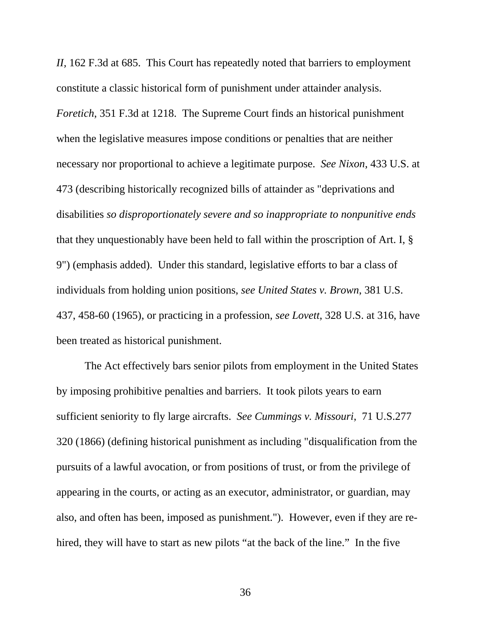*II,* 162 F.3d at 685. This Court has repeatedly noted that barriers to employment constitute a classic historical form of punishment under attainder analysis. *Foretich*, 351 F.3d at 1218. The Supreme Court finds an historical punishment when the legislative measures impose conditions or penalties that are neither necessary nor proportional to achieve a legitimate purpose. *See Nixon*[, 433 U.S. at](http://www.lexis.com/research/buttonTFLink?_m=d213ca33fc7b82570c82629340018b7d&_xfercite=%253ccite%20cc%253d%2522USA%2522%253e%253c%2521%255bCDATA%255b359%20U.S.%20App.%20D.C.%2054%255d%255d%253e%253c%252fcite%253e&_butType=3&_butStat=2&_butNum=214&_butInline=1&_butinfo=%253ccite%20cc%253d%2522USA%2522%253e%253c%2521%255bCDATA%255b433%20U.S.%20425%252c%20473%255d%255d%253e%253c%252fcite%253e&_fmtstr=FULL&docnum=19&_startdoc=11&wchp=dGLbVlW-zSkAb&_md5=76a37f4b4dce24d57f795223ac5b2349)  [473](http://www.lexis.com/research/buttonTFLink?_m=d213ca33fc7b82570c82629340018b7d&_xfercite=%253ccite%20cc%253d%2522USA%2522%253e%253c%2521%255bCDATA%255b359%20U.S.%20App.%20D.C.%2054%255d%255d%253e%253c%252fcite%253e&_butType=3&_butStat=2&_butNum=214&_butInline=1&_butinfo=%253ccite%20cc%253d%2522USA%2522%253e%253c%2521%255bCDATA%255b433%20U.S.%20425%252c%20473%255d%255d%253e%253c%252fcite%253e&_fmtstr=FULL&docnum=19&_startdoc=11&wchp=dGLbVlW-zSkAb&_md5=76a37f4b4dce24d57f795223ac5b2349) (describing historically recognized bills of attainder as "deprivations and disabilities *so disproportionately severe and so inappropriate to nonpunitive ends* that they unquestionably have been held to fall within the proscription of Art. I, § 9") (emphasis added). Under this standard, legislative efforts to bar a class of individuals from holding union positions, *see United States v. Brown*[, 381 U.S.](http://www.lexis.com/research/buttonTFLink?_m=d213ca33fc7b82570c82629340018b7d&_xfercite=%253ccite%20cc%253d%2522USA%2522%253e%253c%2521%255bCDATA%255b359%20U.S.%20App.%20D.C.%2054%255d%255d%253e%253c%252fcite%253e&_butType=3&_butStat=2&_butNum=220&_butInline=1&_butinfo=%253ccite%20cc%253d%2522USA%2522%253e%253c%2521%255bCDATA%255b381%20U.S.%20437%252c%20458%255d%255d%253e%253c%252fcite%253e&_fmtstr=FULL&docnum=19&_startdoc=11&wchp=dGLbVlW-zSkAb&_md5=ce5b235db104f3e5dd127045d8a0d790)  [437, 458-60](http://www.lexis.com/research/buttonTFLink?_m=d213ca33fc7b82570c82629340018b7d&_xfercite=%253ccite%20cc%253d%2522USA%2522%253e%253c%2521%255bCDATA%255b359%20U.S.%20App.%20D.C.%2054%255d%255d%253e%253c%252fcite%253e&_butType=3&_butStat=2&_butNum=220&_butInline=1&_butinfo=%253ccite%20cc%253d%2522USA%2522%253e%253c%2521%255bCDATA%255b381%20U.S.%20437%252c%20458%255d%255d%253e%253c%252fcite%253e&_fmtstr=FULL&docnum=19&_startdoc=11&wchp=dGLbVlW-zSkAb&_md5=ce5b235db104f3e5dd127045d8a0d790) (1965), or practicing in a profession, *see Lovett*[, 328 U.S. at 316](http://www.lexis.com/research/buttonTFLink?_m=d213ca33fc7b82570c82629340018b7d&_xfercite=%253ccite%20cc%253d%2522USA%2522%253e%253c%2521%255bCDATA%255b359%20U.S.%20App.%20D.C.%2054%255d%255d%253e%253c%252fcite%253e&_butType=3&_butStat=2&_butNum=221&_butInline=1&_butinfo=%253ccite%20cc%253d%2522USA%2522%253e%253c%2521%255bCDATA%255b328%20U.S.%20303%252c%20316%255d%255d%253e%253c%252fcite%253e&_fmtstr=FULL&docnum=19&_startdoc=11&wchp=dGLbVlW-zSkAb&_md5=23e2385dc02b6b8c116e2e1032371a22), have been treated as historical punishment.

The Act effectively bars senior pilots from employment in the United States by imposing prohibitive penalties and barriers. It took pilots years to earn sufficient seniority to fly large aircrafts. *See Cummings v. Missouri*, [71 U.S.277](http://www.lexis.com/research/buttonTFLink?_m=d213ca33fc7b82570c82629340018b7d&_xfercite=%253ccite%20cc%253d%2522USA%2522%253e%253c%2521%255bCDATA%255b359%20U.S.%20App.%20D.C.%2054%255d%255d%253e%253c%252fcite%253e&_butType=3&_butStat=2&_butNum=206&_butInline=1&_butinfo=%253ccite%20cc%253d%2522USA%2522%253e%253c%2521%255bCDATA%255b71%20U.S.%20277%252c%20320%255d%255d%253e%253c%252fcite%253e&_fmtstr=FULL&docnum=19&_startdoc=11&wchp=dGLbVlW-zSkAb&_md5=9ef8a3d78361fcc34563ccc9cb567a4f)  [320](http://www.lexis.com/research/buttonTFLink?_m=d213ca33fc7b82570c82629340018b7d&_xfercite=%253ccite%20cc%253d%2522USA%2522%253e%253c%2521%255bCDATA%255b359%20U.S.%20App.%20D.C.%2054%255d%255d%253e%253c%252fcite%253e&_butType=3&_butStat=2&_butNum=206&_butInline=1&_butinfo=%253ccite%20cc%253d%2522USA%2522%253e%253c%2521%255bCDATA%255b71%20U.S.%20277%252c%20320%255d%255d%253e%253c%252fcite%253e&_fmtstr=FULL&docnum=19&_startdoc=11&wchp=dGLbVlW-zSkAb&_md5=9ef8a3d78361fcc34563ccc9cb567a4f) (1866) (defining historical punishment as including "disqualification from the pursuits of a lawful avocation, or from positions of trust, or from the privilege of appearing in the courts, or acting as an executor, administrator, or guardian, may also, and often has been, imposed as punishment."). However, even if they are rehired, they will have to start as new pilots "at the back of the line." In the five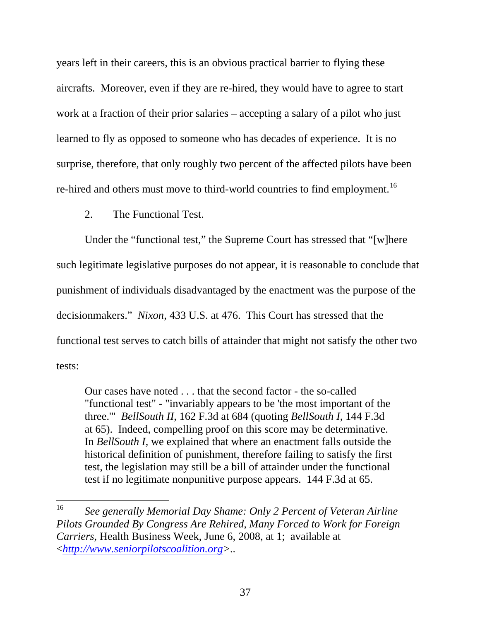years left in their careers, this is an obvious practical barrier to flying these aircrafts. Moreover, even if they are re-hired, they would have to agree to start work at a fraction of their prior salaries – accepting a salary of a pilot who just learned to fly as opposed to someone who has decades of experience. It is no surprise, therefore, that only roughly two percent of the affected pilots have been re-hired and others must move to third-world countries to find employment.<sup>[16](#page-51-0)</sup>

2. The Functional Test.

Under the "functional test," the Supreme Court has stressed that "[w]here such legitimate legislative purposes do not appear, it is reasonable to conclude that punishment of individuals disadvantaged by the enactment was the purpose of the decisionmakers." *Nixon*, 433 U.S. at 476. This Court has stressed that the functional test serves to catch bills of attainder that might not satisfy the other two tests:

Our cases have noted . . . that the second factor - the so-called "functional test" - "invariably appears to be 'the most important of the three.'" *BellSouth II*[, 162 F.3d at 684](http://www.lexis.com/research/buttonTFLink?_m=d213ca33fc7b82570c82629340018b7d&_xfercite=%253ccite%20cc%253d%2522USA%2522%253e%253c%2521%255bCDATA%255b359%20U.S.%20App.%20D.C.%2054%255d%255d%253e%253c%252fcite%253e&_butType=3&_butStat=2&_butNum=196&_butInline=1&_butinfo=%253ccite%20cc%253d%2522USA%2522%253e%253c%2521%255bCDATA%255b162%20F.3d%20678%252c%20684%255d%255d%253e%253c%252fcite%253e&_fmtstr=FULL&docnum=19&_startdoc=11&wchp=dGLbVlW-zSkAb&_md5=171551f919cd341e02fe67fee7cb4784) (quoting *[BellSouth I](http://www.lexis.com/research/buttonTFLink?_m=d213ca33fc7b82570c82629340018b7d&_xfercite=%253ccite%20cc%253d%2522USA%2522%253e%253c%2521%255bCDATA%255b359%20U.S.%20App.%20D.C.%2054%255d%255d%253e%253c%252fcite%253e&_butType=3&_butStat=2&_butNum=197&_butInline=1&_butinfo=%253ccite%20cc%253d%2522USA%2522%253e%253c%2521%255bCDATA%255b144%20F.3d%2058%252c%2065%255d%255d%253e%253c%252fcite%253e&_fmtstr=FULL&docnum=19&_startdoc=11&wchp=dGLbVlW-zSkAb&_md5=202aa425cc1c56d9077eebc9abdd05e5)*, 144 F.3d [at 65\)](http://www.lexis.com/research/buttonTFLink?_m=d213ca33fc7b82570c82629340018b7d&_xfercite=%253ccite%20cc%253d%2522USA%2522%253e%253c%2521%255bCDATA%255b359%20U.S.%20App.%20D.C.%2054%255d%255d%253e%253c%252fcite%253e&_butType=3&_butStat=2&_butNum=197&_butInline=1&_butinfo=%253ccite%20cc%253d%2522USA%2522%253e%253c%2521%255bCDATA%255b144%20F.3d%2058%252c%2065%255d%255d%253e%253c%252fcite%253e&_fmtstr=FULL&docnum=19&_startdoc=11&wchp=dGLbVlW-zSkAb&_md5=202aa425cc1c56d9077eebc9abdd05e5). Indeed, compelling proof on this score may be determinative. In *BellSouth I*, we explained that where an enactment falls outside the historical definition of punishment, therefore failing to satisfy the first test, the legislation may still be a bill of attainder under the functional test if no legitimate nonpunitive purpose appears. [144 F.3d at 65](http://www.lexis.com/research/buttonTFLink?_m=d213ca33fc7b82570c82629340018b7d&_xfercite=%253ccite%20cc%253d%2522USA%2522%253e%253c%2521%255bCDATA%255b359%20U.S.%20App.%20D.C.%2054%255d%255d%253e%253c%252fcite%253e&_butType=3&_butStat=2&_butNum=198&_butInline=1&_butinfo=%253ccite%20cc%253d%2522USA%2522%253e%253c%2521%255bCDATA%255b144%20F.3d%2058%252c%2065%255d%255d%253e%253c%252fcite%253e&_fmtstr=FULL&docnum=19&_startdoc=11&wchp=dGLbVlW-zSkAb&_md5=91f6e1bcc6fcfcee218e2832c1b15aec).

<span id="page-51-0"></span><sup>16</sup> 16 *See generally Memorial Day Shame: Only 2 Percent of Veteran Airline Pilots Grounded By Congress Are Rehired, Many Forced to Work for Foreign Carriers*, Health Business Week, June 6, 2008, at 1; available at <*http://www.seniorpilotscoalition.org>..*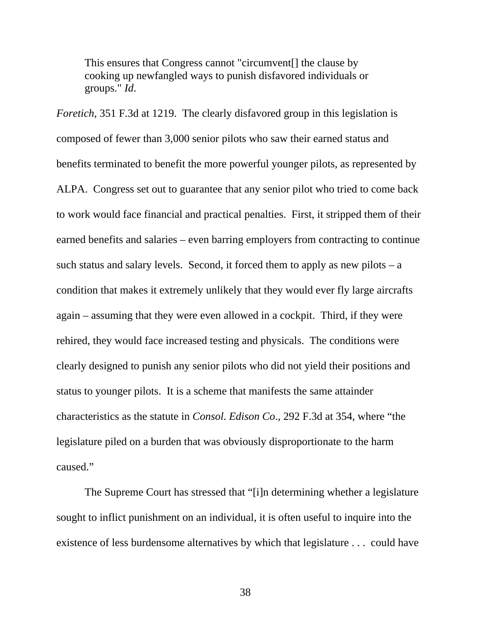This ensures that Congress cannot "circumvent[] the clause by cooking up newfangled ways to punish disfavored individuals or groups." *[Id](http://www.lexis.com/research/buttonTFLink?_m=d213ca33fc7b82570c82629340018b7d&_xfercite=%253ccite%20cc%253d%2522USA%2522%253e%253c%2521%255bCDATA%255b359%20U.S.%20App.%20D.C.%2054%255d%255d%253e%253c%252fcite%253e&_butType=3&_butStat=2&_butNum=199&_butInline=1&_butinfo=%253ccite%20cc%253d%2522USA%2522%253e%253c%2521%255bCDATA%255b330%20U.S.%20App.%20D.C.%20109%255d%255d%253e%253c%252fcite%253e&_fmtstr=FULL&docnum=19&_startdoc=11&wchp=dGLbVlW-zSkAb&_md5=ef199a12b5e136c448619456022ccd9c)*.

*Foretich*, 351 F.3d at 1219. The clearly disfavored group in this legislation is composed of fewer than 3,000 senior pilots who saw their earned status and benefits terminated to benefit the more powerful younger pilots, as represented by ALPA. Congress set out to guarantee that any senior pilot who tried to come back to work would face financial and practical penalties. First, it stripped them of their earned benefits and salaries – even barring employers from contracting to continue such status and salary levels. Second, it forced them to apply as new pilots  $-$  a condition that makes it extremely unlikely that they would ever fly large aircrafts again – assuming that they were even allowed in a cockpit. Third, if they were rehired, they would face increased testing and physicals. The conditions were clearly designed to punish any senior pilots who did not yield their positions and status to younger pilots. It is a scheme that manifests the same attainder characteristics as the statute in *[Consol. Edison Co](http://www.lexis.com/research/buttonTFLink?_m=d213ca33fc7b82570c82629340018b7d&_xfercite=%253ccite%20cc%253d%2522USA%2522%253e%253c%2521%255bCDATA%255b359%20U.S.%20App.%20D.C.%2054%255d%255d%253e%253c%252fcite%253e&_butType=3&_butStat=2&_butNum=247&_butInline=1&_butinfo=%253ccite%20cc%253d%2522USA%2522%253e%253c%2521%255bCDATA%255b292%20F.3d%20338%252c%20354%255d%255d%253e%253c%252fcite%253e&_fmtstr=FULL&docnum=19&_startdoc=11&wchp=dGLbVlW-zSkAb&_md5=9129e13376460e6a37825871988fc963)*., 292 F.3d at 354, where "the legislature piled on a burden that was obviously disproportionate to the harm caused."

 The Supreme Court has stressed that "[i]n determining whether a legislature sought to inflict punishment on an individual, it is often useful to inquire into the existence of less burdensome alternatives by which that legislature . . . could have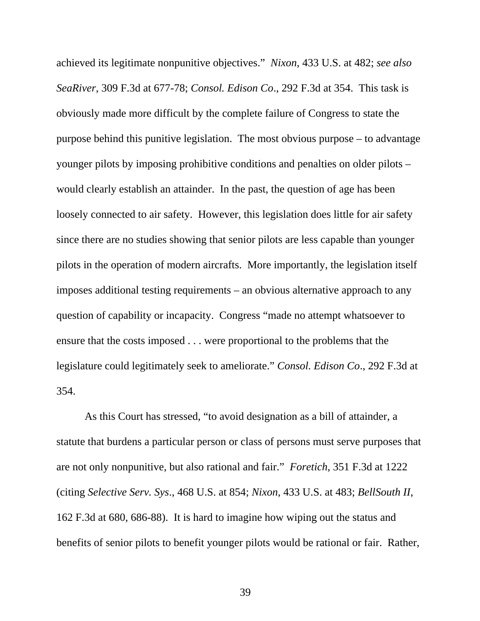achieved its legitimate nonpunitive objectives." *Nixon*[, 433 U.S. at 482](http://www.lexis.com/research/buttonTFLink?_m=d213ca33fc7b82570c82629340018b7d&_xfercite=%253ccite%20cc%253d%2522USA%2522%253e%253c%2521%255bCDATA%255b359%20U.S.%20App.%20D.C.%2054%255d%255d%253e%253c%252fcite%253e&_butType=3&_butStat=2&_butNum=248&_butInline=1&_butinfo=%253ccite%20cc%253d%2522USA%2522%253e%253c%2521%255bCDATA%255b433%20U.S.%20425%252c%20482%255d%255d%253e%253c%252fcite%253e&_fmtstr=FULL&docnum=19&_startdoc=11&wchp=dGLbVlW-zSkAb&_md5=399067a6a6fdee1a52eac24ed8ecb43f); *see also SeaRiver*[, 309 F.3d at 677-78](http://www.lexis.com/research/buttonTFLink?_m=d213ca33fc7b82570c82629340018b7d&_xfercite=%253ccite%20cc%253d%2522USA%2522%253e%253c%2521%255bCDATA%255b359%20U.S.%20App.%20D.C.%2054%255d%255d%253e%253c%252fcite%253e&_butType=3&_butStat=2&_butNum=249&_butInline=1&_butinfo=%253ccite%20cc%253d%2522USA%2522%253e%253c%2521%255bCDATA%255b309%20F.3d%20662%252c%20677%255d%255d%253e%253c%252fcite%253e&_fmtstr=FULL&docnum=19&_startdoc=11&wchp=dGLbVlW-zSkAb&_md5=a1abac799b486e42d82f1ed74fef089e); *[Consol. Edison Co](http://www.lexis.com/research/buttonTFLink?_m=d213ca33fc7b82570c82629340018b7d&_xfercite=%253ccite%20cc%253d%2522USA%2522%253e%253c%2521%255bCDATA%255b359%20U.S.%20App.%20D.C.%2054%255d%255d%253e%253c%252fcite%253e&_butType=3&_butStat=2&_butNum=250&_butInline=1&_butinfo=%253ccite%20cc%253d%2522USA%2522%253e%253c%2521%255bCDATA%255b292%20F.3d%20338%252c%20354%255d%255d%253e%253c%252fcite%253e&_fmtstr=FULL&docnum=19&_startdoc=11&wchp=dGLbVlW-zSkAb&_md5=dea119f7861a2ffaab2a0ce5599e7790)*., 292 F.3d at 354. This task is obviously made more difficult by the complete failure of Congress to state the purpose behind this punitive legislation. The most obvious purpose – to advantage younger pilots by imposing prohibitive conditions and penalties on older pilots – would clearly establish an attainder. In the past, the question of age has been loosely connected to air safety. However, this legislation does little for air safety since there are no studies showing that senior pilots are less capable than younger pilots in the operation of modern aircrafts. More importantly, the legislation itself imposes additional testing requirements – an obvious alternative approach to any question of capability or incapacity. Congress "made no attempt whatsoever to ensure that the costs imposed . . . were proportional to the problems that the legislature could legitimately seek to ameliorate." *[Consol. Edison Co](http://www.lexis.com/research/buttonTFLink?_m=d213ca33fc7b82570c82629340018b7d&_xfercite=%253ccite%20cc%253d%2522USA%2522%253e%253c%2521%255bCDATA%255b359%20U.S.%20App.%20D.C.%2054%255d%255d%253e%253c%252fcite%253e&_butType=3&_butStat=2&_butNum=250&_butInline=1&_butinfo=%253ccite%20cc%253d%2522USA%2522%253e%253c%2521%255bCDATA%255b292%20F.3d%20338%252c%20354%255d%255d%253e%253c%252fcite%253e&_fmtstr=FULL&docnum=19&_startdoc=11&wchp=dGLbVlW-zSkAb&_md5=dea119f7861a2ffaab2a0ce5599e7790)*., 292 F.3d at [354.](http://www.lexis.com/research/buttonTFLink?_m=d213ca33fc7b82570c82629340018b7d&_xfercite=%253ccite%20cc%253d%2522USA%2522%253e%253c%2521%255bCDATA%255b359%20U.S.%20App.%20D.C.%2054%255d%255d%253e%253c%252fcite%253e&_butType=3&_butStat=2&_butNum=250&_butInline=1&_butinfo=%253ccite%20cc%253d%2522USA%2522%253e%253c%2521%255bCDATA%255b292%20F.3d%20338%252c%20354%255d%255d%253e%253c%252fcite%253e&_fmtstr=FULL&docnum=19&_startdoc=11&wchp=dGLbVlW-zSkAb&_md5=dea119f7861a2ffaab2a0ce5599e7790)

 As this Court has stressed, "to avoid designation as a bill of attainder, a statute that burdens a particular person or class of persons must serve purposes that are not only nonpunitive, but also rational and fair." *Foretich*, 351 F.3d at 1222 (citing *[Selective Serv. Sys](http://www.lexis.com/research/buttonTFLink?_m=d213ca33fc7b82570c82629340018b7d&_xfercite=%253ccite%20cc%253d%2522USA%2522%253e%253c%2521%255bCDATA%255b359%20U.S.%20App.%20D.C.%2054%255d%255d%253e%253c%252fcite%253e&_butType=3&_butStat=2&_butNum=252&_butInline=1&_butinfo=%253ccite%20cc%253d%2522USA%2522%253e%253c%2521%255bCDATA%255b468%20U.S.%20841%252c%20854%255d%255d%253e%253c%252fcite%253e&_fmtstr=FULL&docnum=19&_startdoc=11&wchp=dGLbVlW-zSkAb&_md5=95ea66a2a18fdd8c75efd0592767b098)*., 468 U.S. at 854; *Nixon*[, 433 U.S. at 483](http://www.lexis.com/research/buttonTFLink?_m=d213ca33fc7b82570c82629340018b7d&_xfercite=%253ccite%20cc%253d%2522USA%2522%253e%253c%2521%255bCDATA%255b359%20U.S.%20App.%20D.C.%2054%255d%255d%253e%253c%252fcite%253e&_butType=3&_butStat=2&_butNum=253&_butInline=1&_butinfo=%253ccite%20cc%253d%2522USA%2522%253e%253c%2521%255bCDATA%255b433%20U.S.%20425%252c%20483%255d%255d%253e%253c%252fcite%253e&_fmtstr=FULL&docnum=19&_startdoc=11&wchp=dGLbVlW-zSkAb&_md5=319dcce1906edd385b59f3193ce61adb); *[BellSouth II](http://www.lexis.com/research/buttonTFLink?_m=d213ca33fc7b82570c82629340018b7d&_xfercite=%253ccite%20cc%253d%2522USA%2522%253e%253c%2521%255bCDATA%255b359%20U.S.%20App.%20D.C.%2054%255d%255d%253e%253c%252fcite%253e&_butType=3&_butStat=2&_butNum=254&_butInline=1&_butinfo=%253ccite%20cc%253d%2522USA%2522%253e%253c%2521%255bCDATA%255b162%20F.3d%20678%252c%20680%255d%255d%253e%253c%252fcite%253e&_fmtstr=FULL&docnum=19&_startdoc=11&wchp=dGLbVlW-zSkAb&_md5=ff0b69653c06f8b8bc19f36e99aeb3e7)*, [162 F.3d at 680, 686-88\)](http://www.lexis.com/research/buttonTFLink?_m=d213ca33fc7b82570c82629340018b7d&_xfercite=%253ccite%20cc%253d%2522USA%2522%253e%253c%2521%255bCDATA%255b359%20U.S.%20App.%20D.C.%2054%255d%255d%253e%253c%252fcite%253e&_butType=3&_butStat=2&_butNum=254&_butInline=1&_butinfo=%253ccite%20cc%253d%2522USA%2522%253e%253c%2521%255bCDATA%255b162%20F.3d%20678%252c%20680%255d%255d%253e%253c%252fcite%253e&_fmtstr=FULL&docnum=19&_startdoc=11&wchp=dGLbVlW-zSkAb&_md5=ff0b69653c06f8b8bc19f36e99aeb3e7). It is hard to imagine how wiping out the status and benefits of senior pilots to benefit younger pilots would be rational or fair. Rather,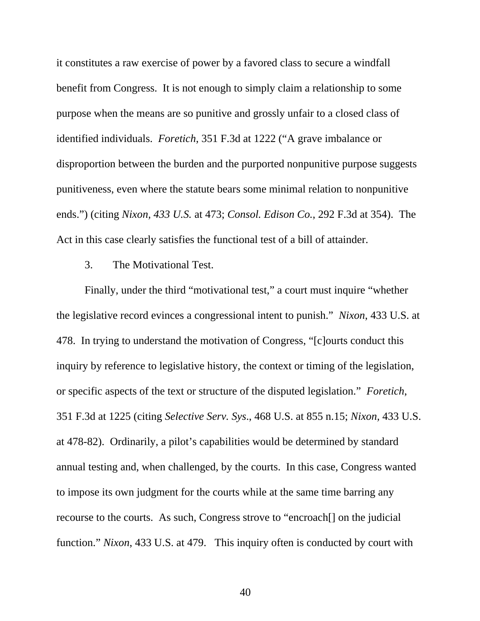it constitutes a raw exercise of power by a favored class to secure a windfall benefit from Congress. It is not enough to simply claim a relationship to some purpose when the means are so punitive and grossly unfair to a closed class of identified individuals. *Foretich*, 351 F.3d at 1222 ("A grave imbalance or disproportion between the burden and the purported nonpunitive purpose suggests punitiveness, even where the statute bears some minimal relation to nonpunitive ends.") (citing *[Nixon, 433 U.S.](http://www.lexis.com/research/buttonTFLink?_m=d213ca33fc7b82570c82629340018b7d&_xfercite=%253ccite%20cc%253d%2522USA%2522%253e%253c%2521%255bCDATA%255b359%20U.S.%20App.%20D.C.%2054%255d%255d%253e%253c%252fcite%253e&_butType=3&_butStat=2&_butNum=258&_butInline=1&_butinfo=%253ccite%20cc%253d%2522USA%2522%253e%253c%2521%255bCDATA%255b433%20U.S.%20425%252c%20473%255d%255d%253e%253c%252fcite%253e&_fmtstr=FULL&docnum=19&_startdoc=11&wchp=dGLbVlW-zSkAb&_md5=223d8d8582a66d23054043d56ca38345)* at 473; *[Consol. Edison Co.](http://www.lexis.com/research/buttonTFLink?_m=d213ca33fc7b82570c82629340018b7d&_xfercite=%253ccite%20cc%253d%2522USA%2522%253e%253c%2521%255bCDATA%255b359%20U.S.%20App.%20D.C.%2054%255d%255d%253e%253c%252fcite%253e&_butType=3&_butStat=2&_butNum=259&_butInline=1&_butinfo=%253ccite%20cc%253d%2522USA%2522%253e%253c%2521%255bCDATA%255b292%20F.3d%20338%252c%20354%255d%255d%253e%253c%252fcite%253e&_fmtstr=FULL&docnum=19&_startdoc=11&wchp=dGLbVlW-zSkAb&_md5=b73e744772558c95b059c2aee91b46e6)*, 292 F.3d at 354). The Act in this case clearly satisfies the functional test of a bill of attainder.

3. The Motivational Test.

 Finally, under the third "motivational test," a court must inquire "whether the legislative record evinces a congressional intent to punish." *Nixon*, 433 U.S. at 478. In trying to understand the motivation of Congress, "[c]ourts conduct this inquiry by reference to legislative history, the context or timing of the legislation, or specific aspects of the text or structure of the disputed legislation." *Foretich*, 351 F.3d at 1225 (citing *Selective Serv. Sys*., 468 U.S. at 855 n.15; *Nixon,* 433 U.S. at 478-82). Ordinarily, a pilot's capabilities would be determined by standard annual testing and, when challenged, by the courts. In this case, Congress wanted to impose its own judgment for the courts while at the same time barring any recourse to the courts. As such, Congress strove to "encroach[] on the judicial function." *Nixon*[, 433 U.S. at 479.](http://www.lexis.com/research/buttonTFLink?_m=d213ca33fc7b82570c82629340018b7d&_xfercite=%253ccite%20cc%253d%2522USA%2522%253e%253c%2521%255bCDATA%255b359%20U.S.%20App.%20D.C.%2054%255d%255d%253e%253c%252fcite%253e&_butType=3&_butStat=2&_butNum=287&_butInline=1&_butinfo=%253ccite%20cc%253d%2522USA%2522%253e%253c%2521%255bCDATA%255b433%20U.S.%20425%252c%20478%255d%255d%253e%253c%252fcite%253e&_fmtstr=FULL&docnum=19&_startdoc=11&wchp=dGLbVlW-zSkAb&_md5=1103839cc26d4905e05532fbbe977c30) This inquiry often is conducted by court with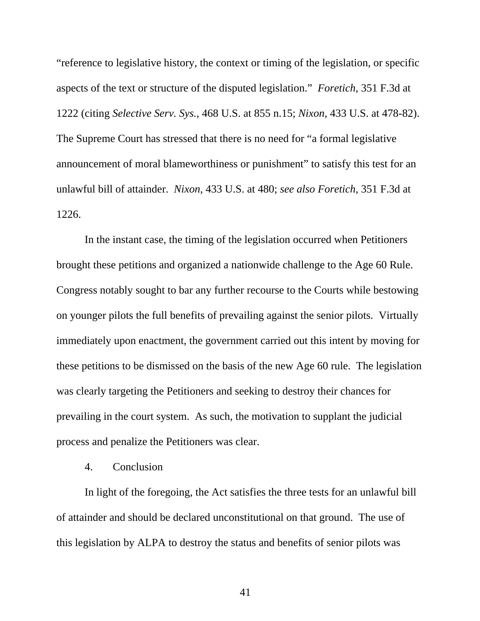"reference to legislative history, the context or timing of the legislation, or specific aspects of the text or structure of the disputed legislation." *Foretich*, 351 F.3d at 1222 (citing *Selective Serv. Sys.*[, 468 U.S. at 855 n.15](http://www.lexis.com/research/buttonTFLink?_m=d213ca33fc7b82570c82629340018b7d&_xfercite=%253ccite%20cc%253d%2522USA%2522%253e%253c%2521%255bCDATA%255b359%20U.S.%20App.%20D.C.%2054%255d%255d%253e%253c%252fcite%253e&_butType=3&_butStat=2&_butNum=289&_butInline=1&_butinfo=%253ccite%20cc%253d%2522USA%2522%253e%253c%2521%255bCDATA%255b468%20U.S.%20841%252c%20855%255d%255d%253e%253c%252fcite%253e&_fmtstr=FULL&docnum=19&_startdoc=11&wchp=dGLbVlW-zSkAb&_md5=84a2167052a44a23f6854699e48e8bf8); *Nixon*[, 433 U.S. at 478-82](http://www.lexis.com/research/buttonTFLink?_m=d213ca33fc7b82570c82629340018b7d&_xfercite=%253ccite%20cc%253d%2522USA%2522%253e%253c%2521%255bCDATA%255b359%20U.S.%20App.%20D.C.%2054%255d%255d%253e%253c%252fcite%253e&_butType=3&_butStat=2&_butNum=290&_butInline=1&_butinfo=%253ccite%20cc%253d%2522USA%2522%253e%253c%2521%255bCDATA%255b433%20U.S.%20425%252c%20478%255d%255d%253e%253c%252fcite%253e&_fmtstr=FULL&docnum=19&_startdoc=11&wchp=dGLbVlW-zSkAb&_md5=9dac590f6a6d9f8ceb63f4c3f84d7e21)). The Supreme Court has stressed that there is no need for "a formal legislative announcement of moral blameworthiness or punishment" to satisfy this test for an unlawful bill of attainder. *Nixon*[, 433 U.S. at 480;](http://www.lexis.com/research/buttonTFLink?_m=d213ca33fc7b82570c82629340018b7d&_xfercite=%253ccite%20cc%253d%2522USA%2522%253e%253c%2521%255bCDATA%255b359%20U.S.%20App.%20D.C.%2054%255d%255d%253e%253c%252fcite%253e&_butType=3&_butStat=2&_butNum=303&_butInline=1&_butinfo=%253ccite%20cc%253d%2522USA%2522%253e%253c%2521%255bCDATA%255b433%20U.S.%20425%252c%20480%255d%255d%253e%253c%252fcite%253e&_fmtstr=FULL&docnum=19&_startdoc=11&wchp=dGLbVlW-zSkAb&_md5=2c9bc27491cf5add03d1712c74f6eb70) *see also Foretich*, 351 F.3d at 1226.

 In the instant case, the timing of the legislation occurred when Petitioners brought these petitions and organized a nationwide challenge to the Age 60 Rule. Congress notably sought to bar any further recourse to the Courts while bestowing on younger pilots the full benefits of prevailing against the senior pilots. Virtually immediately upon enactment, the government carried out this intent by moving for these petitions to be dismissed on the basis of the new Age 60 rule. The legislation was clearly targeting the Petitioners and seeking to destroy their chances for prevailing in the court system. As such, the motivation to supplant the judicial process and penalize the Petitioners was clear.

#### 4. Conclusion

In light of the foregoing, the Act satisfies the three tests for an unlawful bill of attainder and should be declared unconstitutional on that ground. The use of this legislation by ALPA to destroy the status and benefits of senior pilots was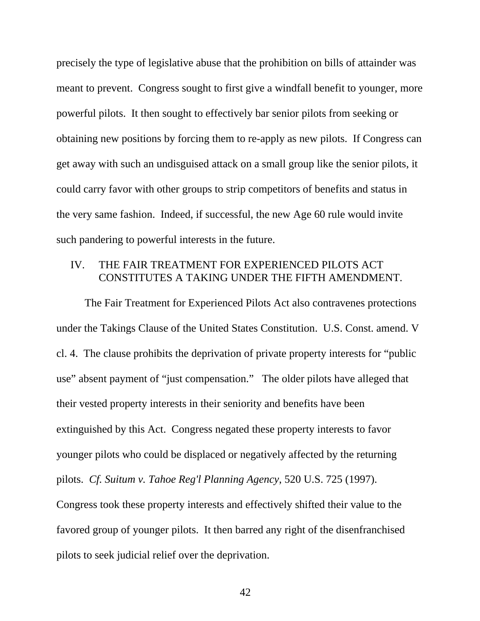precisely the type of legislative abuse that the prohibition on bills of attainder was meant to prevent. Congress sought to first give a windfall benefit to younger, more powerful pilots. It then sought to effectively bar senior pilots from seeking or obtaining new positions by forcing them to re-apply as new pilots. If Congress can get away with such an undisguised attack on a small group like the senior pilots, it could carry favor with other groups to strip competitors of benefits and status in the very same fashion. Indeed, if successful, the new Age 60 rule would invite such pandering to powerful interests in the future.

### IV. THE FAIR TREATMENT FOR EXPERIENCED PILOTS ACT CONSTITUTES A TAKING UNDER THE FIFTH AMENDMENT.

The Fair Treatment for Experienced Pilots Act also contravenes protections under the Takings Clause of the United States Constitution. U.S. Const. amend. V cl. 4. The clause prohibits the deprivation of private property interests for "public use" absent payment of "just compensation." The older pilots have alleged that their vested property interests in their seniority and benefits have been extinguished by this Act. Congress negated these property interests to favor younger pilots who could be displaced or negatively affected by the returning pilots. *Cf. [Suitum v. Tahoe Reg'l Planning Agency](http://www.lexis.com/research/buttonTFLink?_m=352912c3b8036ce20e288c7ca9939c16&_xfercite=%253ccite%20cc%253d%2522USA%2522%253e%253c%2521%255bCDATA%255b193%20F.3d%201348%255d%255d%253e%253c%252fcite%253e&_butType=3&_butStat=2&_butNum=66&_butInline=1&_butinfo=%253ccite%20cc%253d%2522USA%2522%253e%253c%2521%255bCDATA%255b520%20U.S.%20725%255d%255d%253e%253c%252fcite%253e&_fmtstr=FULL&docnum=3&_startdoc=1&wchp=dGLbVlz-zSkAV&_md5=380aa95317e431681502a29f17b80115)*, 520 U.S. 725 (1997). Congress took these property interests and effectively shifted their value to the favored group of younger pilots. It then barred any right of the disenfranchised pilots to seek judicial relief over the deprivation.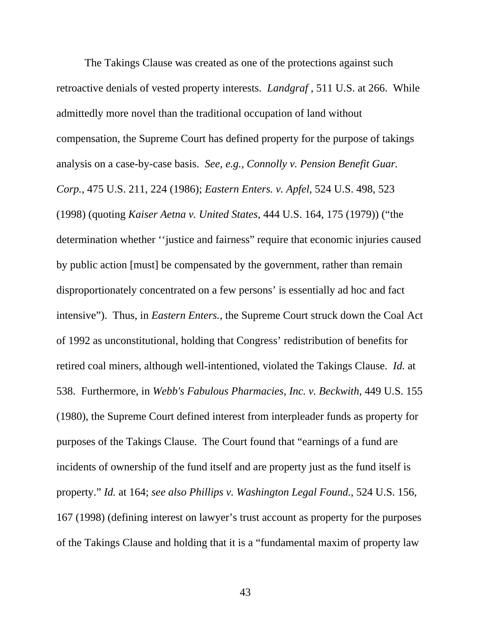The Takings Clause was created as one of the protections against such retroactive denials of vested property interests. *Landgraf* , 511 U.S. at 266. While admittedly more novel than the traditional occupation of land without compensation, the Supreme Court has defined property for the purpose of takings analysis on a case-by-case basis. *See, e.g., [Connolly v. Pension Benefit Guar.](http://www.lexis.com/research/buttonTFLink?_m=d52b40e91f319565f614894732dd7927&_xfercite=%253ccite%20cc%253d%2522USA%2522%253e%253c%2521%255bCDATA%255b356%20F.3d%20677%255d%255d%253e%253c%252fcite%253e&_butType=3&_butStat=2&_butNum=81&_butInline=1&_butinfo=%253ccite%20cc%253d%2522USA%2522%253e%253c%2521%255bCDATA%255b475%20U.S.%20211%252c%20224%255d%255d%253e%253c%252fcite%253e&_fmtstr=FULL&docnum=9&_startdoc=1&wchp=dGLbVtz-zSkAB&_md5=965011a3df994117a117c8277c654055)  Corp.*[, 475 U.S. 211, 224 \(1986\)](http://www.lexis.com/research/buttonTFLink?_m=d52b40e91f319565f614894732dd7927&_xfercite=%253ccite%20cc%253d%2522USA%2522%253e%253c%2521%255bCDATA%255b356%20F.3d%20677%255d%255d%253e%253c%252fcite%253e&_butType=3&_butStat=2&_butNum=81&_butInline=1&_butinfo=%253ccite%20cc%253d%2522USA%2522%253e%253c%2521%255bCDATA%255b475%20U.S.%20211%252c%20224%255d%255d%253e%253c%252fcite%253e&_fmtstr=FULL&docnum=9&_startdoc=1&wchp=dGLbVtz-zSkAB&_md5=965011a3df994117a117c8277c654055); *Eastern Enters. v. Apfel*, 524 U.S. 498, 523 (1998) (quoting *Kaiser Aetna v. United States*, 444 U.S. 164, 175 (1979)) ("the determination whether ''justice and fairness" require that economic injuries caused by public action [must] be compensated by the government, rather than remain disproportionately concentrated on a few persons' is essentially ad hoc and fact intensive"). Thus, in *Eastern Enters.*, the Supreme Court struck down the Coal Act of 1992 as unconstitutional, holding that Congress' redistribution of benefits for retired coal miners, although well-intentioned, violated the Takings Clause. *Id.* at 538. Furthermore, in *Webb's Fabulous Pharmacies, Inc. v. Beckwith,* 449 U.S. 155 (1980), the Supreme Court defined interest from interpleader funds as property for purposes of the Takings Clause. The Court found that "earnings of a fund are incidents of ownership of the fund itself and are property just as the fund itself is property." *Id.* [at 164;](http://www.lexis.com/research/buttonTFLink?_m=07e3601998b79a74339970255f09f396&_xfercite=%253ccite%20cc%253d%2522USA%2522%253e%253c%2521%255bCDATA%255b478%20F.3d%20985%255d%255d%253e%253c%252fcite%253e&_butType=3&_butStat=2&_butNum=261&_butInline=1&_butinfo=%253ccite%20cc%253d%2522USA%2522%253e%253c%2521%255bCDATA%255b449%20U.S.%20155%252c%20164%255d%255d%253e%253c%252fcite%253e&_fmtstr=FULL&docnum=3&_startdoc=1&wchp=dGLbVtz-zSkAB&_md5=ca14d5f5b3398f9df822a9a3212b2c49) *see also [Phillips v. Washington Legal Found.](http://www.lexis.com/research/buttonTFLink?_m=07e3601998b79a74339970255f09f396&_xfercite=%253ccite%20cc%253d%2522USA%2522%253e%253c%2521%255bCDATA%255b478%20F.3d%20985%255d%255d%253e%253c%252fcite%253e&_butType=3&_butStat=2&_butNum=262&_butInline=1&_butinfo=%253ccite%20cc%253d%2522USA%2522%253e%253c%2521%255bCDATA%255b524%20U.S.%20156%255d%255d%253e%253c%252fcite%253e&_fmtstr=FULL&docnum=3&_startdoc=1&wchp=dGLbVtz-zSkAB&_md5=9fd89836cfac117f79b3630eaf568d34)*, 524 U.S. 156, [167 \(1998\)](http://www.lexis.com/research/buttonTFLink?_m=07e3601998b79a74339970255f09f396&_xfercite=%253ccite%20cc%253d%2522USA%2522%253e%253c%2521%255bCDATA%255b478%20F.3d%20985%255d%255d%253e%253c%252fcite%253e&_butType=3&_butStat=2&_butNum=262&_butInline=1&_butinfo=%253ccite%20cc%253d%2522USA%2522%253e%253c%2521%255bCDATA%255b524%20U.S.%20156%255d%255d%253e%253c%252fcite%253e&_fmtstr=FULL&docnum=3&_startdoc=1&wchp=dGLbVtz-zSkAB&_md5=9fd89836cfac117f79b3630eaf568d34) (defining interest on lawyer's trust account as property for the purposes of the Takings Clause and holding that it is a "fundamental maxim of property law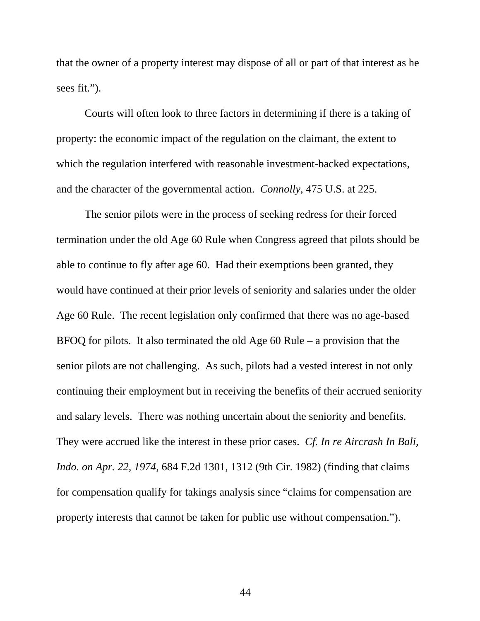that the owner of a property interest may dispose of all or part of that interest as he sees fit.").

Courts will often look to three factors in determining if there is a taking of property: the economic impact of the regulation on the claimant, the extent to which the regulation interfered with reasonable investment-backed expectations, and the character of the governmental action. *Connolly*, 475 U.S. at 225.

 The senior pilots were in the process of seeking redress for their forced termination under the old Age 60 Rule when Congress agreed that pilots should be able to continue to fly after age 60. Had their exemptions been granted, they would have continued at their prior levels of seniority and salaries under the older Age 60 Rule. The recent legislation only confirmed that there was no age-based BFOQ for pilots. It also terminated the old Age 60 Rule – a provision that the senior pilots are not challenging. As such, pilots had a vested interest in not only continuing their employment but in receiving the benefits of their accrued seniority and salary levels. There was nothing uncertain about the seniority and benefits. They were accrued like the interest in these prior cases. *Cf. [In re Aircrash In Bali,](http://www.lexis.com/research/buttonTFLink?_m=07e3601998b79a74339970255f09f396&_xfercite=%253ccite%20cc%253d%2522USA%2522%253e%253c%2521%255bCDATA%255b478%20F.3d%20985%255d%255d%253e%253c%252fcite%253e&_butType=3&_butStat=2&_butNum=271&_butInline=1&_butinfo=%253ccite%20cc%253d%2522USA%2522%253e%253c%2521%255bCDATA%255b684%20F.2d%201301%252c%201312%255d%255d%253e%253c%252fcite%253e&_fmtstr=FULL&docnum=3&_startdoc=1&wchp=dGLbVtz-zSkAB&_md5=23bd0fe156d16b20f0e431cd5c827d67)  Indo. on Apr. 22, 1974*[, 684 F.2d 1301, 1312 \(9th Cir. 1982\)](http://www.lexis.com/research/buttonTFLink?_m=07e3601998b79a74339970255f09f396&_xfercite=%253ccite%20cc%253d%2522USA%2522%253e%253c%2521%255bCDATA%255b478%20F.3d%20985%255d%255d%253e%253c%252fcite%253e&_butType=3&_butStat=2&_butNum=271&_butInline=1&_butinfo=%253ccite%20cc%253d%2522USA%2522%253e%253c%2521%255bCDATA%255b684%20F.2d%201301%252c%201312%255d%255d%253e%253c%252fcite%253e&_fmtstr=FULL&docnum=3&_startdoc=1&wchp=dGLbVtz-zSkAB&_md5=23bd0fe156d16b20f0e431cd5c827d67) (finding that claims for compensation qualify for takings analysis since "claims for compensation are property interests that cannot be taken for public use without compensation.").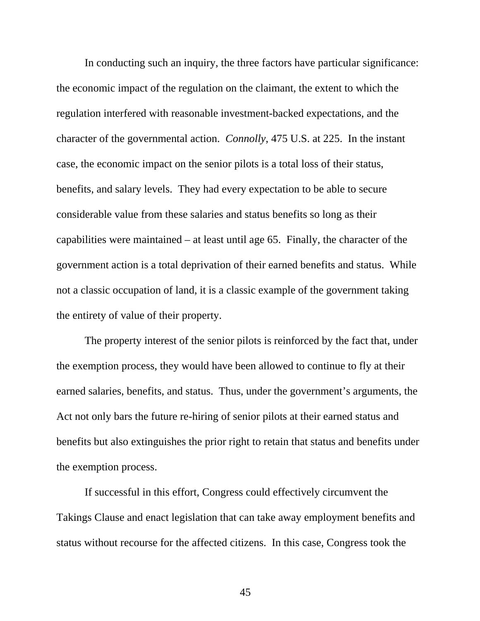In conducting such an inquiry, the three factors have particular significance: the economic impact of the regulation on the claimant, the extent to which the regulation interfered with reasonable investment-backed expectations, and the character of the governmental action. *Connolly*, 475 U.S. at 225. In the instant case, the economic impact on the senior pilots is a total loss of their status, benefits, and salary levels. They had every expectation to be able to secure considerable value from these salaries and status benefits so long as their capabilities were maintained – at least until age 65. Finally, the character of the government action is a total deprivation of their earned benefits and status. While not a classic occupation of land, it is a classic example of the government taking the entirety of value of their property.

The property interest of the senior pilots is reinforced by the fact that, under the exemption process, they would have been allowed to continue to fly at their earned salaries, benefits, and status. Thus, under the government's arguments, the Act not only bars the future re-hiring of senior pilots at their earned status and benefits but also extinguishes the prior right to retain that status and benefits under the exemption process.

 If successful in this effort, Congress could effectively circumvent the Takings Clause and enact legislation that can take away employment benefits and status without recourse for the affected citizens. In this case, Congress took the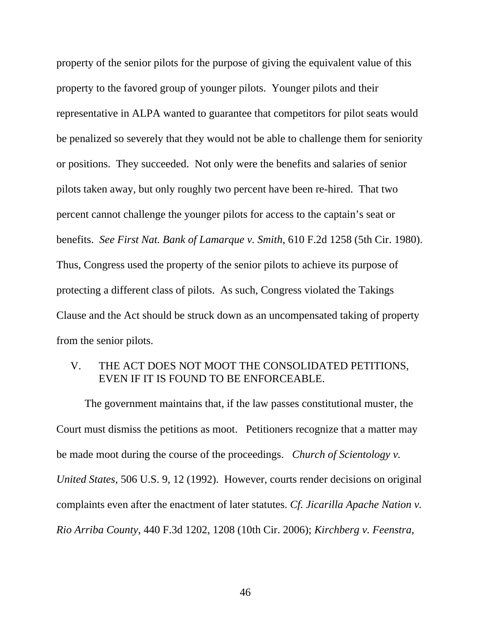property of the senior pilots for the purpose of giving the equivalent value of this property to the favored group of younger pilots. Younger pilots and their representative in ALPA wanted to guarantee that competitors for pilot seats would be penalized so severely that they would not be able to challenge them for seniority or positions. They succeeded. Not only were the benefits and salaries of senior pilots taken away, but only roughly two percent have been re-hired. That two percent cannot challenge the younger pilots for access to the captain's seat or benefits. *See First Nat. Bank of Lamarque v. Smith*, 610 F.2d 1258 (5th Cir. 1980). Thus, Congress used the property of the senior pilots to achieve its purpose of protecting a different class of pilots. As such, Congress violated the Takings Clause and the Act should be struck down as an uncompensated taking of property from the senior pilots.

# V. THE ACT DOES NOT MOOT THE CONSOLIDATED PETITIONS, EVEN IF IT IS FOUND TO BE ENFORCEABLE.

The government maintains that, if the law passes constitutional muster, the Court must dismiss the petitions as moot. Petitioners recognize that a matter may be made moot during the course of the proceedings. *Church of Scientology v. United States*, 506 U.S. 9, 12 (1992). However, courts render decisions on original complaints even after the enactment of later statutes. *Cf. Jicarilla Apache Nation v. Rio Arriba County*, 440 F.3d 1202, 1208 (10th Cir. 2006); *Kirchberg v. Feenstra*,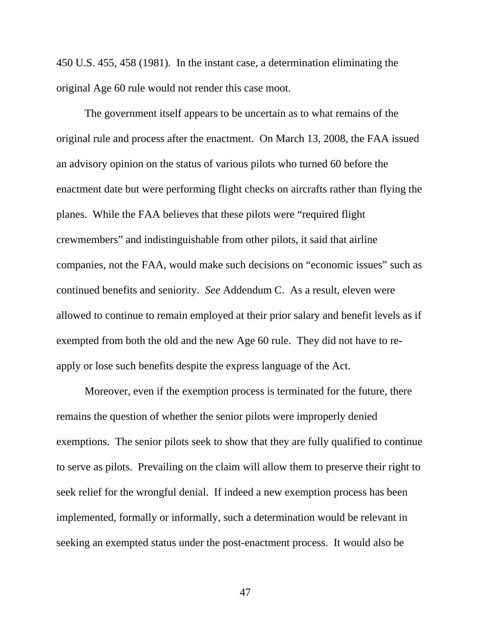450 U.S. 455, 458 (1981). In the instant case, a determination eliminating the original Age 60 rule would not render this case moot.

The government itself appears to be uncertain as to what remains of the original rule and process after the enactment. On March 13, 2008, the FAA issued an advisory opinion on the status of various pilots who turned 60 before the enactment date but were performing flight checks on aircrafts rather than flying the planes. While the FAA believes that these pilots were "required flight crewmembers" and indistinguishable from other pilots, it said that airline companies, not the FAA, would make such decisions on "economic issues" such as continued benefits and seniority. *See* Addendum C. As a result, eleven were allowed to continue to remain employed at their prior salary and benefit levels as if exempted from both the old and the new Age 60 rule. They did not have to reapply or lose such benefits despite the express language of the Act.

Moreover, even if the exemption process is terminated for the future, there remains the question of whether the senior pilots were improperly denied exemptions. The senior pilots seek to show that they are fully qualified to continue to serve as pilots. Prevailing on the claim will allow them to preserve their right to seek relief for the wrongful denial. If indeed a new exemption process has been implemented, formally or informally, such a determination would be relevant in seeking an exempted status under the post-enactment process. It would also be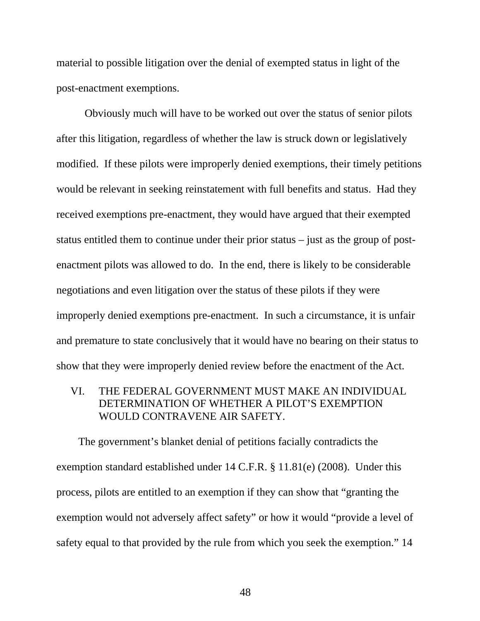material to possible litigation over the denial of exempted status in light of the post-enactment exemptions.

Obviously much will have to be worked out over the status of senior pilots after this litigation, regardless of whether the law is struck down or legislatively modified. If these pilots were improperly denied exemptions, their timely petitions would be relevant in seeking reinstatement with full benefits and status. Had they received exemptions pre-enactment, they would have argued that their exempted status entitled them to continue under their prior status – just as the group of postenactment pilots was allowed to do. In the end, there is likely to be considerable negotiations and even litigation over the status of these pilots if they were improperly denied exemptions pre-enactment. In such a circumstance, it is unfair and premature to state conclusively that it would have no bearing on their status to show that they were improperly denied review before the enactment of the Act.

# VI. THE FEDERAL GOVERNMENT MUST MAKE AN INDIVIDUAL DETERMINATION OF WHETHER A PILOT'S EXEMPTION WOULD CONTRAVENE AIR SAFETY.

 The government's blanket denial of petitions facially contradicts the exemption standard established under 14 C.F.R. § 11.81(e) (2008). Under this process, pilots are entitled to an exemption if they can show that "granting the exemption would not adversely affect safety" or how it would "provide a level of safety equal to that provided by the rule from which you seek the exemption." 14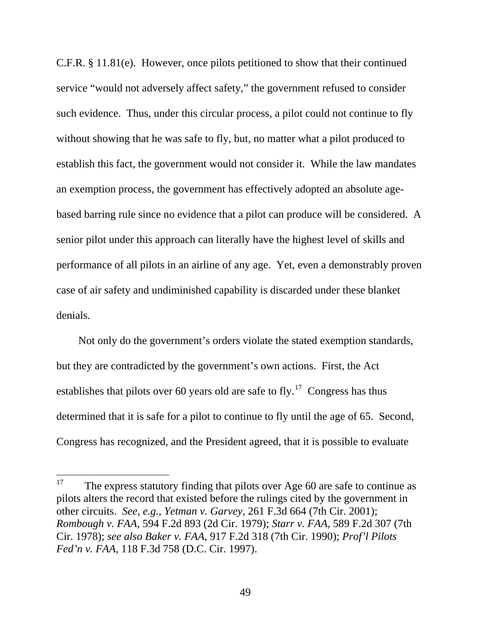C.F.R. § 11.81(e). However, once pilots petitioned to show that their continued service "would not adversely affect safety," the government refused to consider such evidence. Thus, under this circular process, a pilot could not continue to fly without showing that he was safe to fly, but, no matter what a pilot produced to establish this fact, the government would not consider it. While the law mandates an exemption process, the government has effectively adopted an absolute agebased barring rule since no evidence that a pilot can produce will be considered. A senior pilot under this approach can literally have the highest level of skills and performance of all pilots in an airline of any age. Yet, even a demonstrably proven case of air safety and undiminished capability is discarded under these blanket denials.

 Not only do the government's orders violate the stated exemption standards, but they are contradicted by the government's own actions. First, the Act establishes that pilots over 60 years old are safe to fly.<sup>[17](#page-63-0)</sup> Congress has thus determined that it is safe for a pilot to continue to fly until the age of 65. Second, Congress has recognized, and the President agreed, that it is possible to evaluate

<span id="page-63-0"></span><sup>17</sup> The express statutory finding that pilots over Age 60 are safe to continue as pilots alters the record that existed before the rulings cited by the government in other circuits. *See, e.g., Yetman v. Garvey*, 261 F.3d 664 (7th Cir. 2001); *Rombough v. FAA*, 594 F.2d 893 (2d Cir. 1979); *Starr v. FAA*, 589 F.2d 307 (7th Cir. 1978); *see also Baker v. FAA*, 917 F.2d 318 (7th Cir. 1990); *Prof'l Pilots Fed'n v. FAA*, 118 F.3d 758 (D.C. Cir. 1997).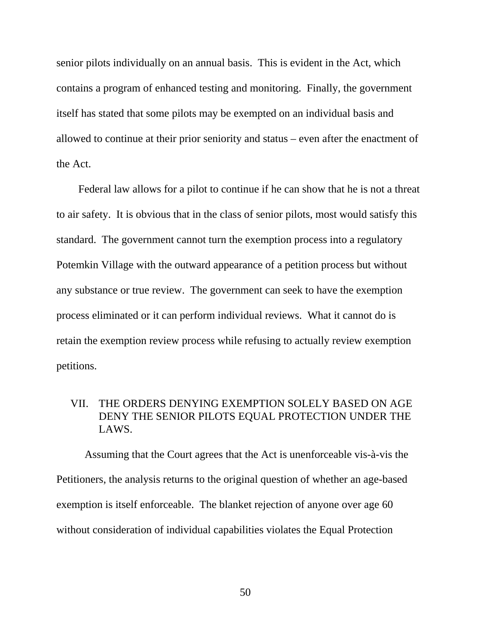senior pilots individually on an annual basis. This is evident in the Act, which contains a program of enhanced testing and monitoring. Finally, the government itself has stated that some pilots may be exempted on an individual basis and allowed to continue at their prior seniority and status – even after the enactment of the Act.

 Federal law allows for a pilot to continue if he can show that he is not a threat to air safety. It is obvious that in the class of senior pilots, most would satisfy this standard. The government cannot turn the exemption process into a regulatory Potemkin Village with the outward appearance of a petition process but without any substance or true review. The government can seek to have the exemption process eliminated or it can perform individual reviews. What it cannot do is retain the exemption review process while refusing to actually review exemption petitions.

# VII. THE ORDERS DENYING EXEMPTION SOLELY BASED ON AGE DENY THE SENIOR PILOTS EQUAL PROTECTION UNDER THE LAWS.

 Assuming that the Court agrees that the Act is unenforceable vis-à-vis the Petitioners, the analysis returns to the original question of whether an age-based exemption is itself enforceable. The blanket rejection of anyone over age 60 without consideration of individual capabilities violates the Equal Protection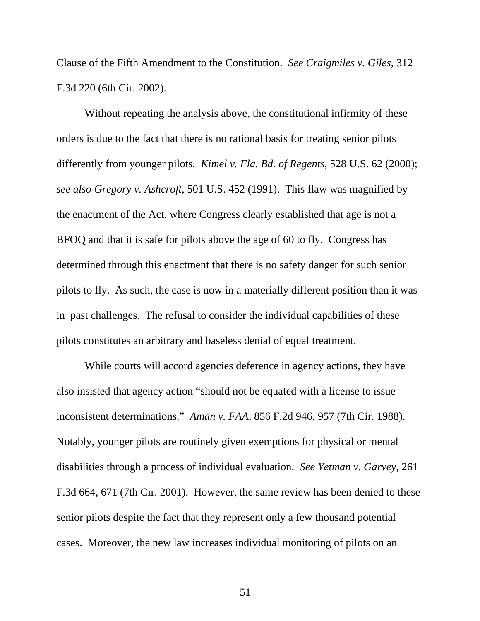Clause of the Fifth Amendment to the Constitution. *See Craigmiles v. Giles*, 312 F.3d 220 (6th Cir. 2002).

 Without repeating the analysis above, the constitutional infirmity of these orders is due to the fact that there is no rational basis for treating senior pilots differently from younger pilots. *[Kimel v. Fla. Bd. of Regents](http://www.westlaw.com/Find/Default.wl?rs=dfa1.0&vr=2.0&DB=0000960&FindType=Y&SerialNum=2000028881)*, 528 U.S. 62 (2000); *see also Gregory v. Ashcroft,* 501 U.S. 452 (1991). This flaw was magnified by the enactment of the Act, where Congress clearly established that age is not a BFOQ and that it is safe for pilots above the age of 60 to fly. Congress has determined through this enactment that there is no safety danger for such senior pilots to fly. As such, the case is now in a materially different position than it was in past challenges. The refusal to consider the individual capabilities of these pilots constitutes an arbitrary and baseless denial of equal treatment.

 While courts will accord agencies deference in agency actions, they have also insisted that agency action "should not be equated with a license to issue inconsistent determinations." *Aman v. FAA*, 856 F.2d 946, 957 (7th Cir. 1988). Notably, younger pilots are routinely given exemptions for physical or mental disabilities through a process of individual evaluation. *See Yetman v. Garvey*, 261 F.3d 664, 671 (7th Cir. 2001). However, the same review has been denied to these senior pilots despite the fact that they represent only a few thousand potential cases. Moreover, the new law increases individual monitoring of pilots on an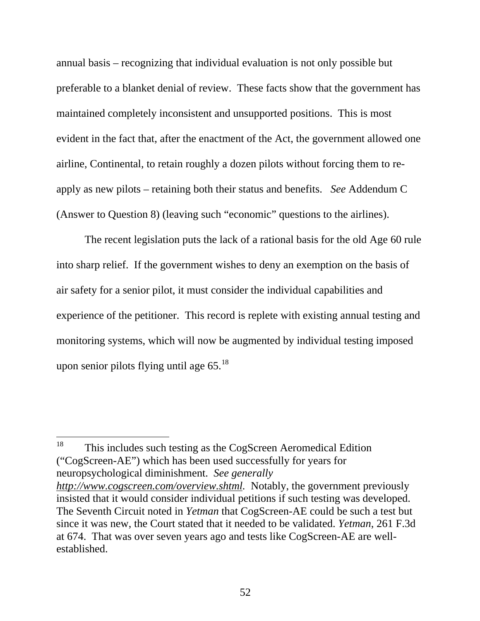annual basis – recognizing that individual evaluation is not only possible but preferable to a blanket denial of review. These facts show that the government has maintained completely inconsistent and unsupported positions. This is most evident in the fact that, after the enactment of the Act, the government allowed one airline, Continental, to retain roughly a dozen pilots without forcing them to reapply as new pilots – retaining both their status and benefits. *See* Addendum C (Answer to Question 8) (leaving such "economic" questions to the airlines).

 The recent legislation puts the lack of a rational basis for the old Age 60 rule into sharp relief. If the government wishes to deny an exemption on the basis of air safety for a senior pilot, it must consider the individual capabilities and experience of the petitioner. This record is replete with existing annual testing and monitoring systems, which will now be augmented by individual testing imposed upon senior pilots flying until age  $65.^{18}$  $65.^{18}$  $65.^{18}$ 

<span id="page-66-0"></span>18 This includes such testing as the CogScreen Aeromedical Edition ("CogScreen-AE") which has been used successfully for years for neuropsychological diminishment. *See generally http://www.cogscreen.com/overview.shtml.* Notably, the government previously insisted that it would consider individual petitions if such testing was developed. The Seventh Circuit noted in *Yetman* that CogScreen-AE could be such a test but since it was new, the Court stated that it needed to be validated. *Yetman*, 261 F.3d at 674. That was over seven years ago and tests like CogScreen-AE are wellestablished.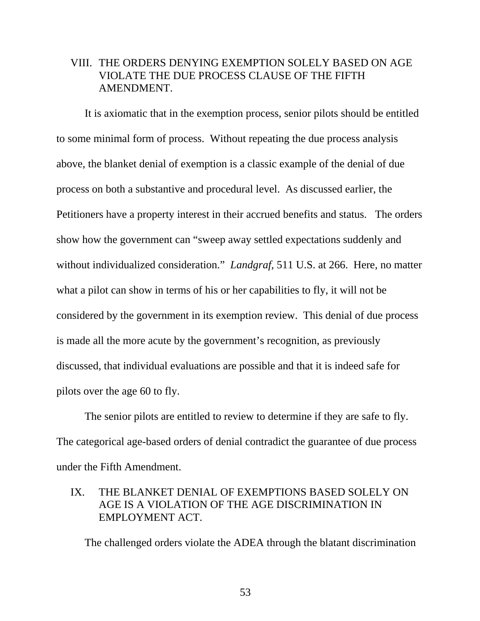### VIII. THE ORDERS DENYING EXEMPTION SOLELY BASED ON AGE VIOLATE THE DUE PROCESS CLAUSE OF THE FIFTH AMENDMENT.

 It is axiomatic that in the exemption process, senior pilots should be entitled to some minimal form of process. Without repeating the due process analysis above, the blanket denial of exemption is a classic example of the denial of due process on both a substantive and procedural level. As discussed earlier, the Petitioners have a property interest in their accrued benefits and status. The orders show how the government can "sweep away settled expectations suddenly and without individualized consideration." *Landgraf*, 511 U.S. at 266. Here, no matter what a pilot can show in terms of his or her capabilities to fly, it will not be considered by the government in its exemption review. This denial of due process is made all the more acute by the government's recognition, as previously discussed, that individual evaluations are possible and that it is indeed safe for pilots over the age 60 to fly.

 The senior pilots are entitled to review to determine if they are safe to fly. The categorical age-based orders of denial contradict the guarantee of due process under the Fifth Amendment.

### IX. THE BLANKET DENIAL OF EXEMPTIONS BASED SOLELY ON AGE IS A VIOLATION OF THE AGE DISCRIMINATION IN EMPLOYMENT ACT.

The challenged orders violate the ADEA through the blatant discrimination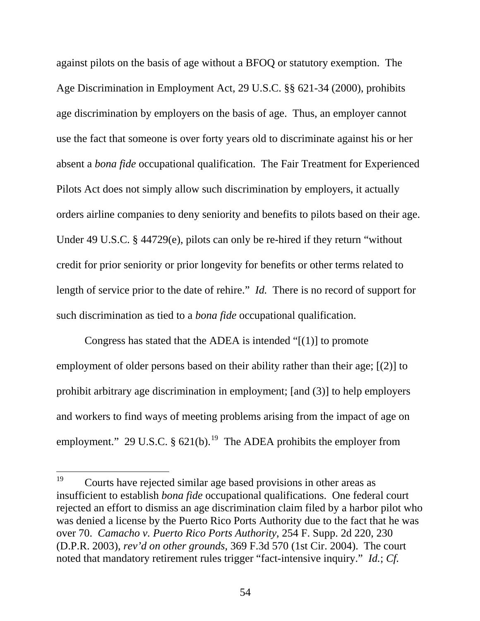against pilots on the basis of age without a BFOQ or statutory exemption. The Age Discrimination in Employment Act, 29 U.S.C. §§ 621-34 (2000), prohibits age discrimination by employers on the basis of age. Thus, an employer cannot use the fact that someone is over forty years old to discriminate against his or her absent a *bona fide* occupational qualification. The Fair Treatment for Experienced Pilots Act does not simply allow such discrimination by employers, it actually orders airline companies to deny seniority and benefits to pilots based on their age. Under 49 U.S.C. § 44729(e), pilots can only be re-hired if they return "without credit for prior seniority or prior longevity for benefits or other terms related to length of service prior to the date of rehire." *Id.* There is no record of support for such discrimination as tied to a *bona fide* occupational qualification.

 Congress has stated that the ADEA is intended "[(1)] to promote employment of older persons based on their ability rather than their age; [(2)] to prohibit arbitrary age discrimination in employment; [and (3)] to help employers and workers to find ways of meeting problems arising from the impact of age on employment." 29 U.S.C.  $\S 621(b)$ .<sup>[19](#page-68-0)</sup> The ADEA prohibits the employer from

<span id="page-68-0"></span><sup>19</sup> 19 Courts have rejected similar age based provisions in other areas as insufficient to establish *bona fide* occupational qualifications. One federal court rejected an effort to dismiss an age discrimination claim filed by a harbor pilot who was denied a license by the Puerto Rico Ports Authority due to the fact that he was over 70. *Camacho v. Puerto Rico Ports Authority*, 254 F. Supp. 2d 220, 230 (D.P.R. 2003), *rev'd on other grounds*, 369 F.3d 570 (1st Cir. 2004). The court noted that mandatory retirement rules trigger "fact-intensive inquiry." *Id.*; *Cf.*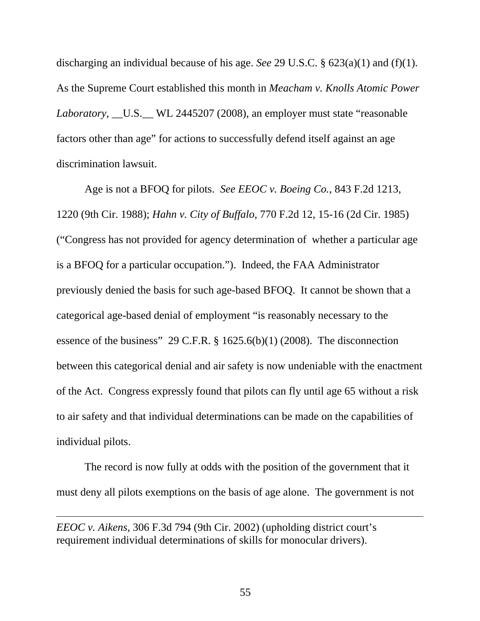discharging an individual because of his age. *See* [29 U.S.C. § 623\(a\)\(1\)](http://www.lexis.com/research/buttonTFLink?_m=b8abc324219c2befe94d0ea4553522e3&_xfercite=%253ccite%20cc%253d%2522USA%2522%253e%253c%2521%255bCDATA%255b121%20F.3d%201022%255d%255d%253e%253c%252fcite%253e&_butType=4&_butStat=0&_butNum=24&_butInline=1&_butinfo=29%20U.S.C.%20623&_fmtstr=FULL&docnum=6&_startdoc=1&wchp=dGLzVlz-zSkAA&_md5=52a1b5faf63519d83eaff1b6509c9b75) and [\(f\)\(1\).](http://www.lexis.com/research/buttonTFLink?_m=b8abc324219c2befe94d0ea4553522e3&_xfercite=%253ccite%20cc%253d%2522USA%2522%253e%253c%2521%255bCDATA%255b121%20F.3d%201022%255d%255d%253e%253c%252fcite%253e&_butType=4&_butStat=0&_butNum=25&_butInline=1&_butinfo=29%20U.S.C.%20623&_fmtstr=FULL&docnum=6&_startdoc=1&wchp=dGLzVlz-zSkAA&_md5=0579dd66210ad3525bff5352dcfe2691) As the Supreme Court established this month in *Meacham v. Knolls Atomic Power Laboratory*, \_\_U.S.\_\_ WL 2445207 (2008), an employer must state "reasonable factors other than age" for actions to successfully defend itself against an age discrimination lawsuit.

Age is not a BFOQ for pilots. *See [EEOC v. Boeing Co.](http://www.lexis.com/research/buttonTFLink?_m=b8abc324219c2befe94d0ea4553522e3&_xfercite=%253ccite%20cc%253d%2522USA%2522%253e%253c%2521%255bCDATA%255b121%20F.3d%201022%255d%255d%253e%253c%252fcite%253e&_butType=3&_butStat=2&_butNum=35&_butInline=1&_butinfo=%253ccite%20cc%253d%2522USA%2522%253e%253c%2521%255bCDATA%255b843%20F.2d%201213%252c%201220%255d%255d%253e%253c%252fcite%253e&_fmtstr=FULL&docnum=6&_startdoc=1&wchp=dGLzVlz-zSkAA&_md5=5eece84103ef59903f9faa71bb099fd2)*, 843 F.2d 1213, [1220](http://www.lexis.com/research/buttonTFLink?_m=b8abc324219c2befe94d0ea4553522e3&_xfercite=%253ccite%20cc%253d%2522USA%2522%253e%253c%2521%255bCDATA%255b121%20F.3d%201022%255d%255d%253e%253c%252fcite%253e&_butType=3&_butStat=2&_butNum=35&_butInline=1&_butinfo=%253ccite%20cc%253d%2522USA%2522%253e%253c%2521%255bCDATA%255b843%20F.2d%201213%252c%201220%255d%255d%253e%253c%252fcite%253e&_fmtstr=FULL&docnum=6&_startdoc=1&wchp=dGLzVlz-zSkAA&_md5=5eece84103ef59903f9faa71bb099fd2) (9th Cir. 1988); *Hahn v. City of Buffalo*[, 770 F.2d 12, 15-16 \(2d Cir. 1985\)](http://www.lexis.com/research/buttonTFLink?_m=b8abc324219c2befe94d0ea4553522e3&_xfercite=%253ccite%20cc%253d%2522USA%2522%253e%253c%2521%255bCDATA%255b121%20F.3d%201022%255d%255d%253e%253c%252fcite%253e&_butType=3&_butStat=2&_butNum=37&_butInline=1&_butinfo=%253ccite%20cc%253d%2522USA%2522%253e%253c%2521%255bCDATA%255b770%20F.2d%2012%252c%2015%255d%255d%253e%253c%252fcite%253e&_fmtstr=FULL&docnum=6&_startdoc=1&wchp=dGLzVlz-zSkAA&_md5=bea3c4cad47e7e48b1a8b88f07425ecc) ("Congress has not provided for agency determination of whether a particular age is a BFOQ for a particular occupation."). Indeed, the FAA Administrator previously denied the basis for such age-based BFOQ. It cannot be shown that a categorical age-based denial of employment "is reasonably necessary to the essence of the business" 29 C.F.R.  $\S$  1625.6(b)(1) (2008). The disconnection between this categorical denial and air safety is now undeniable with the enactment of the Act. Congress expressly found that pilots can fly until age 65 without a risk to air safety and that individual determinations can be made on the capabilities of individual pilots.

The record is now fully at odds with the position of the government that it must deny all pilots exemptions on the basis of age alone. The government is not

 $\overline{a}$ 

*EEOC v. Aikens*, 306 F.3d 794 (9th Cir. 2002) (upholding district court's requirement individual determinations of skills for monocular drivers).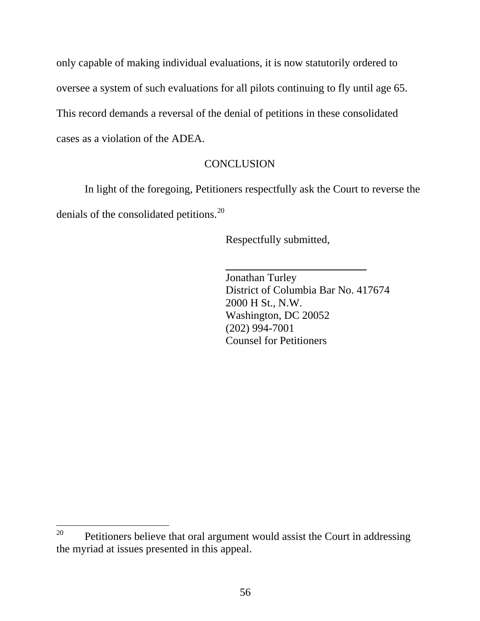only capable of making individual evaluations, it is now statutorily ordered to oversee a system of such evaluations for all pilots continuing to fly until age 65. This record demands a reversal of the denial of petitions in these consolidated cases as a violation of the ADEA.

### **CONCLUSION**

In light of the foregoing, Petitioners respectfully ask the Court to reverse the denials of the consolidated petitions.<sup>[20](#page-70-0)</sup>

Respectfully submitted,

Jonathan Turley District of Columbia Bar No. 417674 2000 H St., N.W. Washington, DC 20052 (202) 994-7001 Counsel for Petitioners

<span id="page-70-0"></span><sup>20</sup> Petitioners believe that oral argument would assist the Court in addressing the myriad at issues presented in this appeal.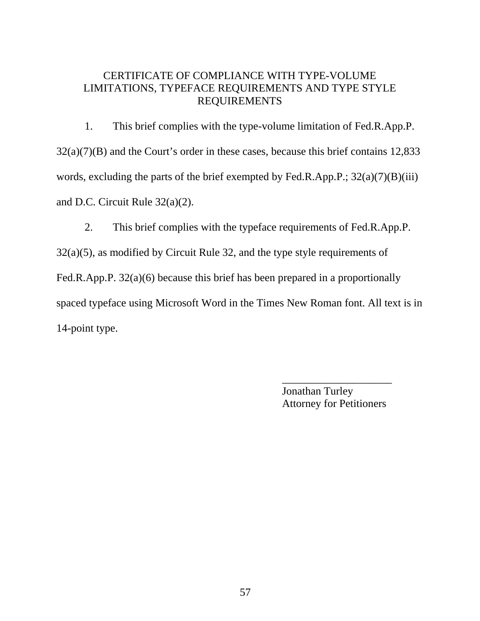### CERTIFICATE OF COMPLIANCE WITH TYPE-VOLUME LIMITATIONS, TYPEFACE REQUIREMENTS AND TYPE STYLE REQUIREMENTS

1. This brief complies with the type-volume limitation of Fed.R.App.P. 32(a)(7)(B) and the Court's order in these cases, because this brief contains 12,833 words, excluding the parts of the brief exempted by Fed.R.App.P.;  $32(a)(7)(B)(iii)$ and D.C. Circuit Rule 32(a)(2).

2. This brief complies with the typeface requirements of Fed.R.App.P. 32(a)(5), as modified by Circuit Rule 32, and the type style requirements of Fed.R.App.P. 32(a)(6) because this brief has been prepared in a proportionally spaced typeface using Microsoft Word in the Times New Roman font. All text is in 14-point type.

> Jonathan Turley Attorney for Petitioners

\_\_\_\_\_\_\_\_\_\_\_\_\_\_\_\_\_\_\_\_